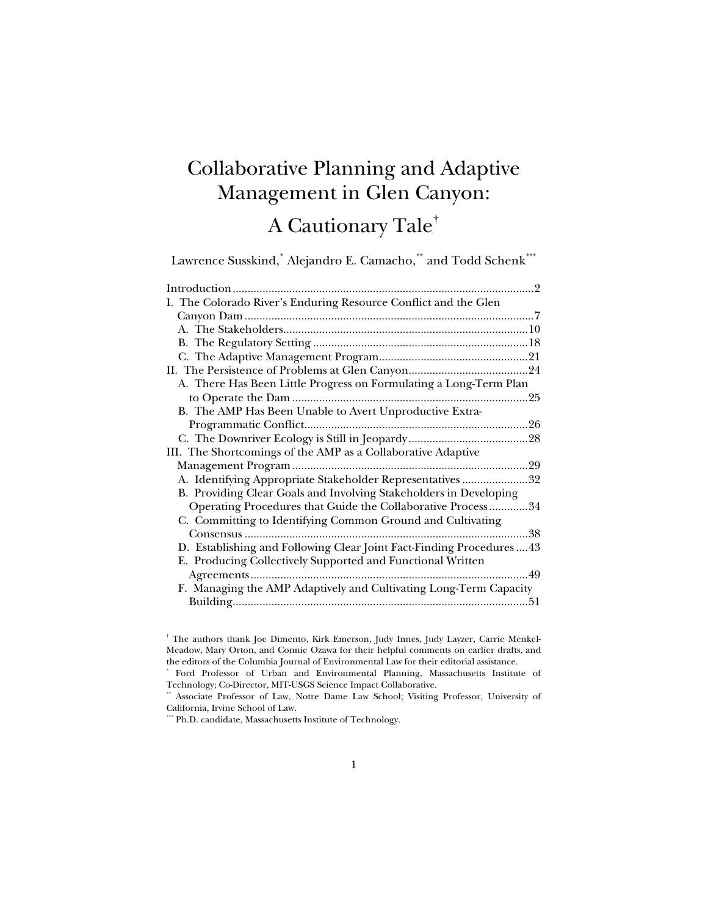# Collaborative Planning and Adaptive Management in Glen Canyon:

# A Cautionary Tale**[†](#page-0-0)**

Lawrence Susskind,**[\\*](#page-0-1)** Alejandro E. Camacho,**[\\*\\*](#page-0-2)** and Todd Schenk**[\\*\\*\\*](#page-0-3)**

| I. The Colorado River's Enduring Resource Conflict and the Glen     |     |
|---------------------------------------------------------------------|-----|
|                                                                     |     |
|                                                                     |     |
|                                                                     |     |
|                                                                     |     |
|                                                                     |     |
| A. There Has Been Little Progress on Formulating a Long-Term Plan   |     |
|                                                                     | .25 |
| B. The AMP Has Been Unable to Avert Unproductive Extra-             |     |
|                                                                     |     |
|                                                                     |     |
| III. The Shortcomings of the AMP as a Collaborative Adaptive        |     |
|                                                                     |     |
| A. Identifying Appropriate Stakeholder Representatives 32           |     |
| B. Providing Clear Goals and Involving Stakeholders in Developing   |     |
| Operating Procedures that Guide the Collaborative Process34         |     |
| C. Committing to Identifying Common Ground and Cultivating          |     |
|                                                                     | 38  |
| D. Establishing and Following Clear Joint Fact-Finding Procedures43 |     |
| E. Producing Collectively Supported and Functional Written          |     |
|                                                                     |     |
| F. Managing the AMP Adaptively and Cultivating Long-Term Capacity   |     |
|                                                                     | .51 |

<span id="page-0-0"></span><sup>†</sup> The authors thank Joe Dimento, Kirk Emerson, Judy Innes, Judy Layzer, Carrie Menkel-Meadow, Mary Orton, and Connie Ozawa for their helpful comments on earlier drafts, and the editors of the Columbia Journal of Environmental Law for their editorial assistance.

<span id="page-0-1"></span><sup>\*</sup> Ford Professor of Urban and Environmental Planning, Massachusetts Institute of Technology; Co-Director, MIT-USGS Science Impact Collaborative.

<span id="page-0-3"></span><span id="page-0-2"></span>Associate Professor of Law, Notre Dame Law School; Visiting Professor, University of California, Irvine School of Law.

 $*$  Ph.D. candidate, Massachusetts Institute of Technology.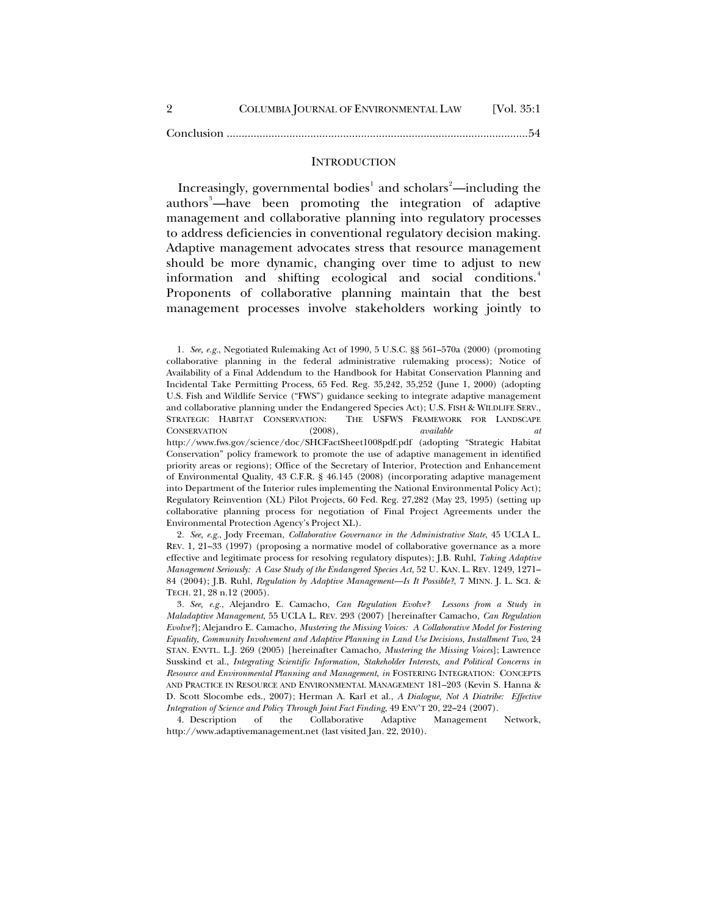<span id="page-1-0"></span>

| COLUMBIA JOURNAL OF ENVIRONMENTAL LAW | [Vol. $35:1$ ] |
|---------------------------------------|----------------|
|                                       |                |

Conclusion [.....................................................................................................54](#page-53-0)

#### **INTRODUCTION**

Increasingly, governmental bodies<sup>[1](#page-1-1)</sup> and scholars<sup>[2](#page-1-2)</sup>—including the authors<sup>[3](#page-1-3)</sup>—have been promoting the integration of adaptive management and collaborative planning into regulatory processes to address deficiencies in conventional regulatory decision making. Adaptive management advocates stress that resource management should be more dynamic, changing over time to adjust to new information and shifting ecological and social conditions.<sup>[4](#page-1-4)</sup> Proponents of collaborative planning maintain that the best management processes involve stakeholders working jointly to

<span id="page-1-2"></span>2*. See, e.g.*, Jody Freeman, *Collaborative Governance in the Administrative State*, 45 UCLA L. REV. 1, 21–33 (1997) (proposing a normative model of collaborative governance as a more effective and legitimate process for resolving regulatory disputes); J.B. Ruhl, *Taking Adaptive Management Seriously: A Case Study of the Endangered Species Act*, 52 U. KAN. L. REV. 1249, 1271– 84 (2004); J.B. Ruhl, *Regulation by Adaptive Management—Is It Possible?*, 7 MINN. J. L. SCI. & TECH. 21, 28 n.12 (2005).

<span id="page-1-3"></span>3*. See, e.g.*, Alejandro E. Camacho, *Can Regulation Evolve? Lessons from a Study in Maladaptive Management*, 55 UCLA L. REV. 293 (2007) [hereinafter Camacho, *Can Regulation Evolve?*]; Alejandro E. Camacho, *Mustering the Missing Voices: A Collaborative Model for Fostering Equality, Community Involvement and Adaptive Planning in Land Use Decisions, Installment Two*, 24 STAN. ENVTL. L.J. 269 (2005) [hereinafter Camacho, *Mustering the Missing Voices*]; Lawrence Susskind et al., *Integrating Scientific Information, Stakeholder Interests, and Political Concerns in Resource and Environmental Planning and Management*, *in* FOSTERING INTEGRATION: CONCEPTS AND PRACTICE IN RESOURCE AND ENVIRONMENTAL MANAGEMENT 181–203 (Kevin S. Hanna & D. Scott Slocombe eds., 2007); Herman A. Karl et al., *A Dialogue, Not A Diatribe: Effective Integration of Science and Policy Through Joint Fact Finding*, 49 ENV'T 20, 22–24 (2007).

<span id="page-1-4"></span>4. Description of the Collaborative Adaptive Management Network, http://www.adaptivemanagement.net (last visited Jan. 22, 2010).

<span id="page-1-1"></span><sup>1</sup>*. See, e.g.*, Negotiated Rulemaking Act of 1990, 5 U.S.C. §§ 561–570a (2000) (promoting collaborative planning in the federal administrative rulemaking process); Notice of Availability of a Final Addendum to the Handbook for Habitat Conservation Planning and Incidental Take Permitting Process, 65 Fed. Reg. 35,242, 35,252 (June 1, 2000) (adopting U.S. Fish and Wildlife Service ("FWS") guidance seeking to integrate adaptive management and collaborative planning under the Endangered Species Act); U.S. FISH & WILDLIFE SERV., STRATEGIC HABITAT CONSERVATION: THE USFWS FRAMEWORK FOR LANDSCAPE CONSERVATION (2008), *available at* http://www.fws.gov/science/doc/SHCFactSheet1008pdf.pdf (adopting "Strategic Habitat Conservation" policy framework to promote the use of adaptive management in identified priority areas or regions); Office of the Secretary of Interior, Protection and Enhancement of Environmental Quality, 43 C.F.R. § 46.145 (2008) (incorporating adaptive management into Department of the Interior rules implementing the National Environmental Policy Act); Regulatory Reinvention (XL) Pilot Projects, 60 Fed. Reg. 27,282 (May 23, 1995) (setting up collaborative planning process for negotiation of Final Project Agreements under the Environmental Protection Agency's Project XL).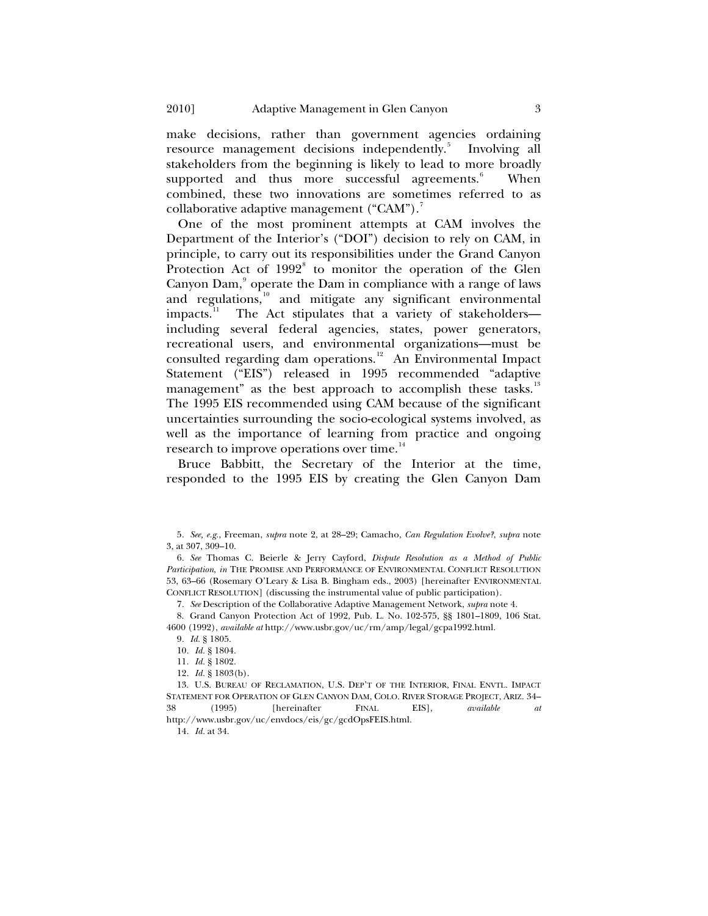make decisions, rather than government agencies ordaining resource management decisions independently.<sup>[5](#page-2-0)</sup> Involving all stakeholders from the beginning is likely to lead to more broadly supported and thus more successful agreements.<sup>[6](#page-2-1)</sup> When combined, these two innovations are sometimes referred to as collaborative adaptive management ("CAM").<sup>[7](#page-2-2)</sup>

One of the most prominent attempts at CAM involves the Department of the Interior's ("DOI") decision to rely on CAM, in principle, to carry out its responsibilities under the Grand Canyon Protection Act of 1992<sup>[8](#page-2-3)</sup> to monitor the operation of the Glen Canyon Dam,<sup>[9](#page-2-4)</sup> operate the Dam in compliance with a range of laws and regulations,<sup>[10](#page-2-5)</sup> and mitigate any significant environmental impacts.<sup>11</sup> The Act stipulates that a variety of stakeholders— The Act stipulates that a variety of stakeholders including several federal agencies, states, power generators, recreational users, and environmental organizations—must be consulted regarding dam operations.<sup>[12](#page-2-7)</sup> An Environmental Impact Statement ("EIS") released in 1995 recommended "adaptive management" as the best approach to accomplish these tasks.<sup>[13](#page-2-8)</sup> The 1995 EIS recommended using CAM because of the significant uncertainties surrounding the socio-ecological systems involved, as well as the importance of learning from practice and ongoing research to improve operations over time.<sup>[14](#page-2-9)</sup>

Bruce Babbitt, the Secretary of the Interior at the time, responded to the 1995 EIS by creating the Glen Canyon Dam

7*. See* Description of the Collaborative Adaptive Management Network, *supra* note 4.

<span id="page-2-4"></span><span id="page-2-3"></span><span id="page-2-2"></span>8. Grand Canyon Protection Act of 1992, Pub. L. No. 102-575, §§ 1801–1809, 106 Stat. 4600 (1992), *available at* http://www.usbr.gov/uc/rm/amp/legal/gcpa1992.html.

9*. Id.* § 1805.

10*. Id.* § 1804.

11*. Id.* § 1802.

12*. Id.* § 1803(b).

<span id="page-2-9"></span><span id="page-2-8"></span><span id="page-2-7"></span><span id="page-2-6"></span><span id="page-2-5"></span>13. U.S. BUREAU OF RECLAMATION, U.S. DEP'T OF THE INTERIOR, FINAL ENVTL. IMPACT STATEMENT FOR OPERATION OF GLEN CANYON DAM, COLO. RIVER STORAGE PROJECT, ARIZ. 34– 38 (1995) [hereinafter FINAL EIS], *available at* http://www.usbr.gov/uc/envdocs/eis/gc/gcdOpsFEIS.html.

14*. Id.* at 34.

<span id="page-2-0"></span><sup>5</sup>*. See, e.g.*, Freeman, *supra* note 2, at 28–29; Camacho, *Can Regulation Evolve?*, *supra* note 3, at 307, 309–10.

<span id="page-2-1"></span><sup>6</sup>*. See* Thomas C. Beierle & Jerry Cayford, *Dispute Resolution as a Method of Public Participation*, *in* THE PROMISE AND PERFORMANCE OF ENVIRONMENTAL CONFLICT RESOLUTION 53, 63–66 (Rosemary O'Leary & Lisa B. Bingham eds., 2003) [hereinafter ENVIRONMENTAL CONFLICT RESOLUTION] (discussing the instrumental value of public participation).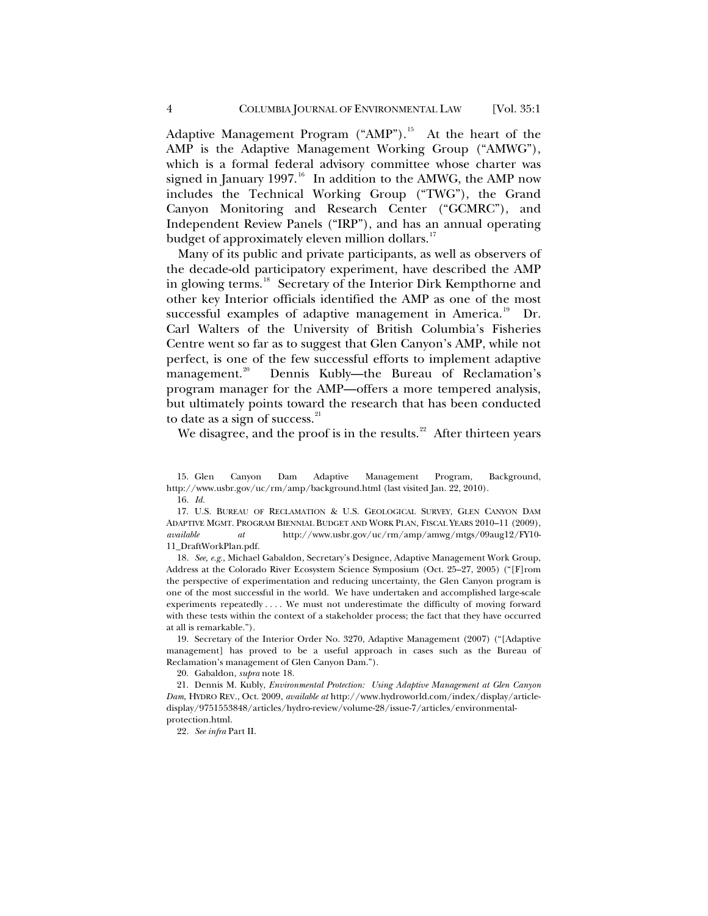Adaptive Management Program ("AMP").<sup>[15](#page-3-0)</sup> At the heart of the AMP is the Adaptive Management Working Group ("AMWG"), which is a formal federal advisory committee whose charter was signed in January 1997.<sup>[16](#page-3-1)</sup> In addition to the AMWG, the AMP now includes the Technical Working Group ("TWG"), the Grand Canyon Monitoring and Research Center ("GCMRC"), and Independent Review Panels ("IRP"), and has an annual operating budget of approximately eleven million dollars.<sup>[17](#page-3-2)</sup>

Many of its public and private participants, as well as observers of the decade-old participatory experiment, have described the AMP in glowing terms.<sup>[18](#page-3-3)</sup> Secretary of the Interior Dirk Kempthorne and other key Interior officials identified the AMP as one of the most successful examples of adaptive management in America.<sup>[19](#page-3-4)</sup> Dr. Carl Walters of the University of British Columbia's Fisheries Centre went so far as to suggest that Glen Canyon's AMP, while not perfect, is one of the few successful efforts to implement adaptive management.<sup>[20](#page-3-5)</sup> Dennis Kubly—the Bureau of Reclamation's program manager for the AMP—offers a more tempered analysis, but ultimately points toward the research that has been conducted to date as a sign of success. $21$ 

We disagree, and the proof is in the results.<sup>[22](#page-3-7)</sup> After thirteen years

<span id="page-3-1"></span><span id="page-3-0"></span>15. Glen Canyon Dam Adaptive Management Program, Background, http://www.usbr.gov/uc/rm/amp/background.html (last visited Jan. 22, 2010).

16*. Id.*

<span id="page-3-2"></span>17. U.S. BUREAU OF RECLAMATION & U.S. GEOLOGICAL SURVEY, GLEN CANYON DAM ADAPTIVE MGMT. PROGRAM BIENNIAL BUDGET AND WORK PLAN, FISCAL YEARS 2010–11 (2009), *available at* http://www.usbr.gov/uc/rm/amp/amwg/mtgs/09aug12/FY10- 11\_DraftWorkPlan.pdf.

<span id="page-3-3"></span>18*. See, e.g.*, Michael Gabaldon, Secretary's Designee, Adaptive Management Work Group, Address at the Colorado River Ecosystem Science Symposium (Oct. 25–27, 2005) ("[F]rom the perspective of experimentation and reducing uncertainty, the Glen Canyon program is one of the most successful in the world. We have undertaken and accomplished large-scale experiments repeatedly . . . . We must not underestimate the difficulty of moving forward with these tests within the context of a stakeholder process; the fact that they have occurred at all is remarkable.").

<span id="page-3-4"></span>19. Secretary of the Interior Order No. 3270, Adaptive Management (2007) ("[Adaptive management] has proved to be a useful approach in cases such as the Bureau of Reclamation's management of Glen Canyon Dam.").

20. Gabaldon, *supra* note 18.

<span id="page-3-7"></span><span id="page-3-6"></span><span id="page-3-5"></span>21. Dennis M. Kubly, *Environmental Protection: Using Adaptive Management at Glen Canyon Dam*, HYDRO REV., Oct. 2009, *available at* http://www.hydroworld.com/index/display/articledisplay/9751553848/articles/hydro-review/volume-28/issue-7/articles/environmentalprotection.html.

22*. See infra* Part II.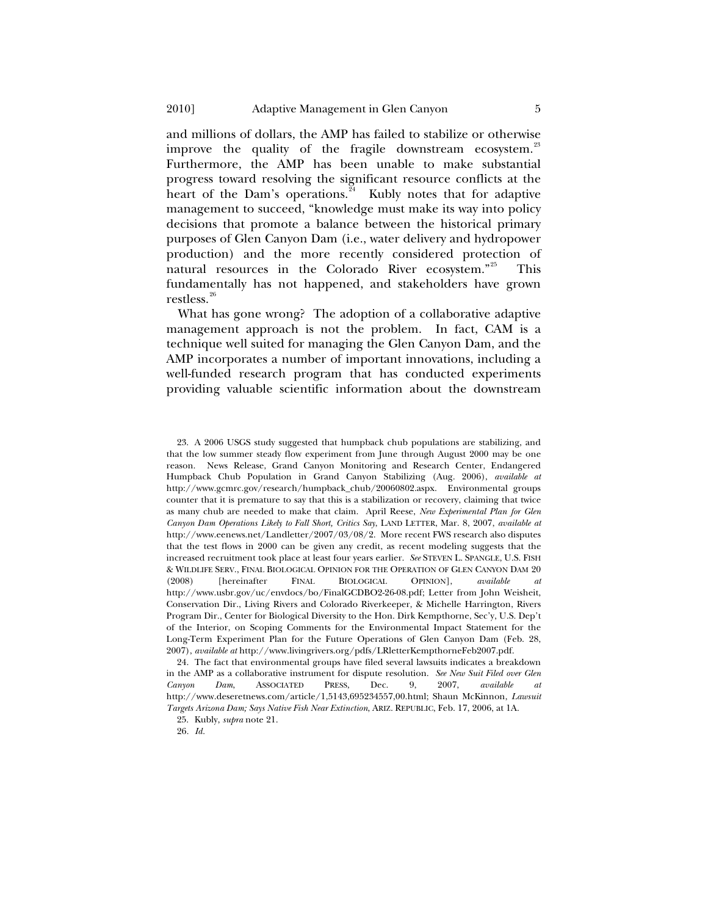and millions of dollars, the AMP has failed to stabilize or otherwise improve the quality of the fragile downstream ecosystem.<sup>[23](#page-4-0)</sup> Furthermore, the AMP has been unable to make substantial progress toward resolving the significant resource conflicts at the heart of the Dam's operations.<sup>[24](#page-4-1)</sup> Kubly notes that for adaptive management to succeed, "knowledge must make its way into policy decisions that promote a balance between the historical primary purposes of Glen Canyon Dam (i.e., water delivery and hydropower production) and the more recently considered protection of natural resources in the Colorado River ecosystem."<sup>[25](#page-4-2)</sup> This fundamentally has not happened, and stakeholders have grown restless.<sup>[26](#page-4-3)</sup>

What has gone wrong? The adoption of a collaborative adaptive management approach is not the problem. In fact, CAM is a technique well suited for managing the Glen Canyon Dam, and the AMP incorporates a number of important innovations, including a well-funded research program that has conducted experiments providing valuable scientific information about the downstream

<span id="page-4-2"></span><span id="page-4-1"></span>24. The fact that environmental groups have filed several lawsuits indicates a breakdown in the AMP as a collaborative instrument for dispute resolution. *See New Suit Filed over Glen Canyon Dam*, ASSOCIATED PRESS, Dec. 9, 2007, *available at* http://www.deseretnews.com/article/1,5143,695234557,00.html; Shaun McKinnon, *Lawsuit Targets Arizona Dam; Says Native Fish Near Extinction*, ARIZ. REPUBLIC, Feb. 17, 2006, at 1A.

25. Kubly, *supra* note 21.

<span id="page-4-3"></span>26*. Id.*

<span id="page-4-0"></span><sup>23.</sup> A 2006 USGS study suggested that humpback chub populations are stabilizing, and that the low summer steady flow experiment from June through August 2000 may be one reason. News Release, Grand Canyon Monitoring and Research Center, Endangered Humpback Chub Population in Grand Canyon Stabilizing (Aug. 2006), *available at* http://www.gcmrc.gov/research/humpback\_chub/20060802.aspx. Environmental groups counter that it is premature to say that this is a stabilization or recovery, claiming that twice as many chub are needed to make that claim. April Reese, *New Experimental Plan for Glen Canyon Dam Operations Likely to Fall Short, Critics Say*, LAND LETTER, Mar. 8, 2007, *available at*  http://www.eenews.net/Landletter/2007/03/08/2. More recent FWS research also disputes that the test flows in 2000 can be given any credit, as recent modeling suggests that the increased recruitment took place at least four years earlier. *See* STEVEN L. SPANGLE, U.S. FISH & WILDLIFE SERV., FINAL BIOLOGICAL OPINION FOR THE OPERATION OF GLEN CANYON DAM 20 (2008) [hereinafter FINAL BIOLOGICAL OPINION], *available at* http://www.usbr.gov/uc/envdocs/bo/FinalGCDBO2-26-08.pdf; Letter from John Weisheit, Conservation Dir., Living Rivers and Colorado Riverkeeper, & Michelle Harrington, Rivers Program Dir., Center for Biological Diversity to the Hon. Dirk Kempthorne, Sec'y, U.S. Dep't of the Interior, on Scoping Comments for the Environmental Impact Statement for the Long-Term Experiment Plan for the Future Operations of Glen Canyon Dam (Feb. 28, 2007), *available at* http://www.livingrivers.org/pdfs/LRletterKempthorneFeb2007.pdf.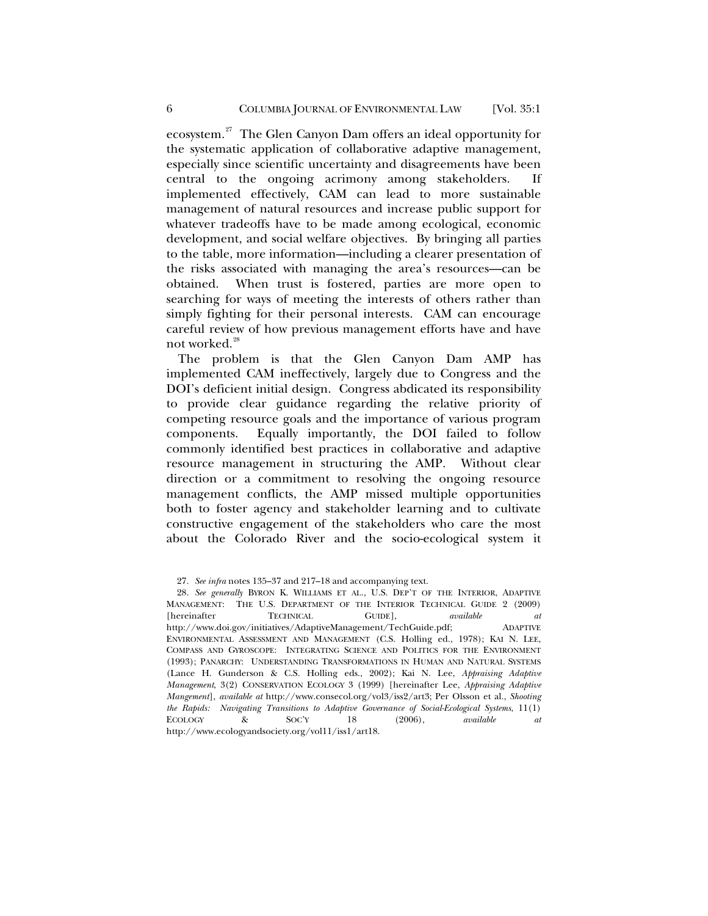ecosystem.<sup>[27](#page-5-0)</sup> The Glen Canyon Dam offers an ideal opportunity for the systematic application of collaborative adaptive management, especially since scientific uncertainty and disagreements have been central to the ongoing acrimony among stakeholders. If implemented effectively, CAM can lead to more sustainable management of natural resources and increase public support for whatever tradeoffs have to be made among ecological, economic development, and social welfare objectives. By bringing all parties to the table, more information—including a clearer presentation of the risks associated with managing the area's resources—can be obtained. When trust is fostered, parties are more open to searching for ways of meeting the interests of others rather than simply fighting for their personal interests. CAM can encourage careful review of how previous management efforts have and have not worked.<sup>[28](#page-5-1)</sup>

The problem is that the Glen Canyon Dam AMP has implemented CAM ineffectively, largely due to Congress and the DOI's deficient initial design. Congress abdicated its responsibility to provide clear guidance regarding the relative priority of competing resource goals and the importance of various program components. Equally importantly, the DOI failed to follow commonly identified best practices in collaborative and adaptive resource management in structuring the AMP. Without clear direction or a commitment to resolving the ongoing resource management conflicts, the AMP missed multiple opportunities both to foster agency and stakeholder learning and to cultivate constructive engagement of the stakeholders who care the most about the Colorado River and the socio-ecological system it

<sup>27</sup>*. See infra* notes 135–37 and 217–18 and accompanying text.

<span id="page-5-1"></span><span id="page-5-0"></span><sup>28</sup>*. See generally* BYRON K. WILLIAMS ET AL., U.S. DEP'T OF THE INTERIOR, ADAPTIVE MANAGEMENT: THE U.S. DEPARTMENT OF THE INTERIOR TECHNICAL GUIDE 2 (2009) [hereinafter TECHNICAL GUIDE], *available at* http://www.doi.gov/initiatives/AdaptiveManagement/TechGuide.pdf; ADAPTIVE ENVIRONMENTAL ASSESSMENT AND MANAGEMENT (C.S. Holling ed., 1978); KAI N. LEE, COMPASS AND GYROSCOPE: INTEGRATING SCIENCE AND POLITICS FOR THE ENVIRONMENT (1993); PANARCHY: UNDERSTANDING TRANSFORMATIONS IN HUMAN AND NATURAL SYSTEMS (Lance H. Gunderson & C.S. Holling eds., 2002); Kai N. Lee, *Appraising Adaptive Management*, 3(2) CONSERVATION ECOLOGY 3 (1999) [hereinafter Lee, *Appraising Adaptive Mangement*], *available at* http://www.consecol.org/vol3/iss2/art3; Per Olsson et al., *Shooting the Rapids: Navigating Transitions to Adaptive Governance of Social-Ecological Systems*, 11(1) ECOLOGY & SOC'Y 18 (2006), *available at* http://www.ecologyandsociety.org/vol11/iss1/art18.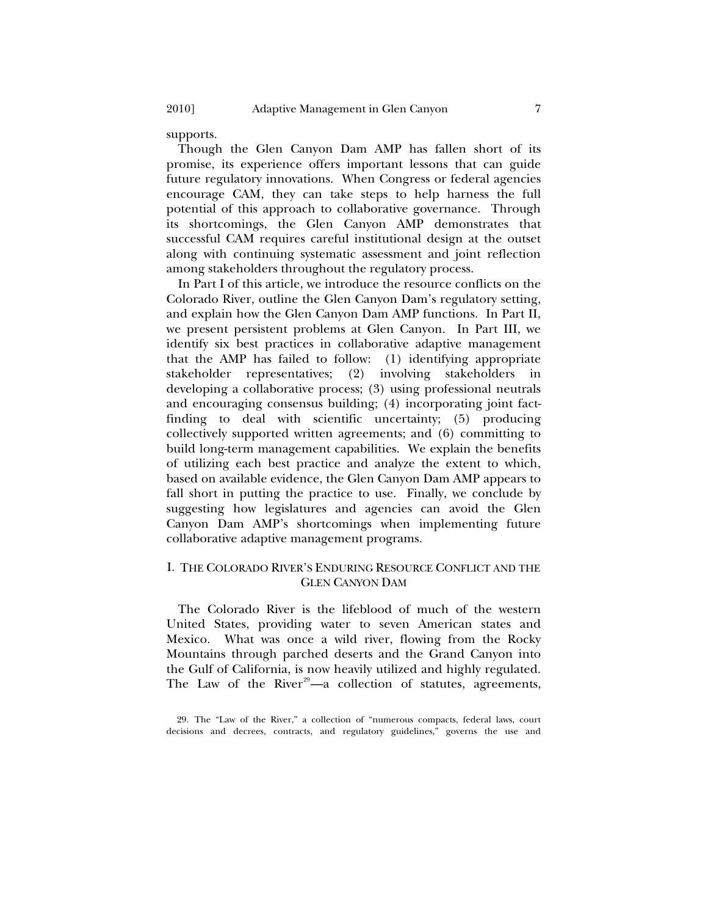supports.

Though the Glen Canyon Dam AMP has fallen short of its promise, its experience offers important lessons that can guide future regulatory innovations. When Congress or federal agencies encourage CAM, they can take steps to help harness the full potential of this approach to collaborative governance. Through its shortcomings, the Glen Canyon AMP demonstrates that successful CAM requires careful institutional design at the outset along with continuing systematic assessment and joint reflection among stakeholders throughout the regulatory process.

In Part I of this article, we introduce the resource conflicts on the Colorado River, outline the Glen Canyon Dam's regulatory setting, and explain how the Glen Canyon Dam AMP functions. In Part II, we present persistent problems at Glen Canyon. In Part III, we identify six best practices in collaborative adaptive management that the AMP has failed to follow: (1) identifying appropriate stakeholder representatives; (2) involving stakeholders in developing a collaborative process; (3) using professional neutrals and encouraging consensus building; (4) incorporating joint factfinding to deal with scientific uncertainty; (5) producing collectively supported written agreements; and (6) committing to build long-term management capabilities. We explain the benefits of utilizing each best practice and analyze the extent to which, based on available evidence, the Glen Canyon Dam AMP appears to fall short in putting the practice to use. Finally, we conclude by suggesting how legislatures and agencies can avoid the Glen Canyon Dam AMP's shortcomings when implementing future collaborative adaptive management programs.

## I. THE COLORADO RIVER'S ENDURING RESOURCE CONFLICT AND THE GLEN CANYON DAM

The Colorado River is the lifeblood of much of the western United States, providing water to seven American states and Mexico. What was once a wild river, flowing from the Rocky Mountains through parched deserts and the Grand Canyon into the Gulf of California, is now heavily utilized and highly regulated. The Law of the River<sup>[29](#page-6-1)</sup>—a collection of statutes, agreements,

<span id="page-6-0"></span>

<span id="page-6-1"></span><sup>29.</sup> The "Law of the River," a collection of "numerous compacts, federal laws, court decisions and decrees, contracts, and regulatory guidelines," governs the use and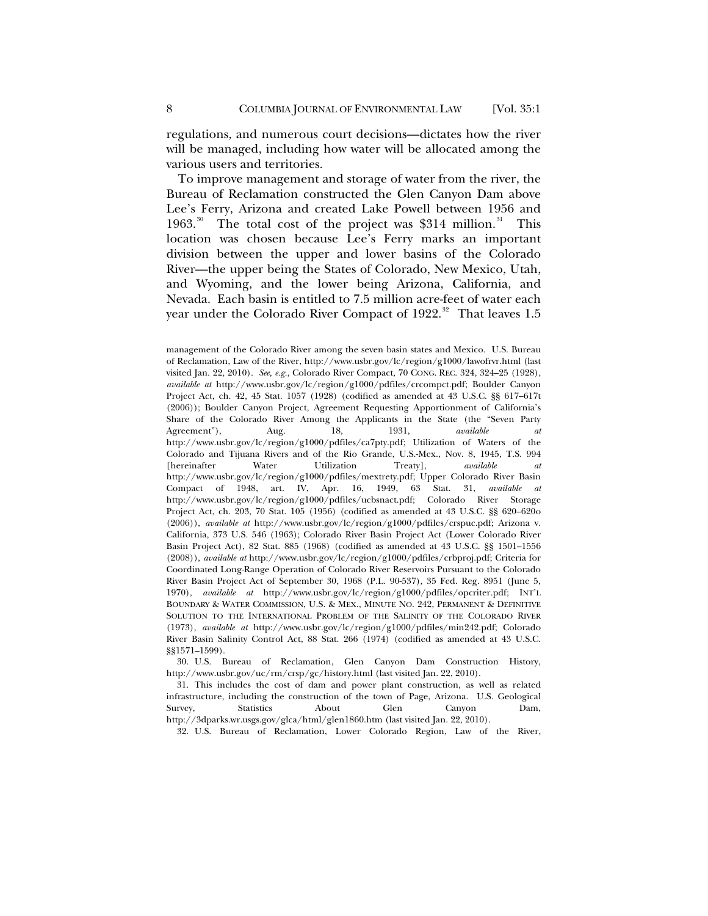regulations, and numerous court decisions—dictates how the river will be managed, including how water will be allocated among the various users and territories.

To improve management and storage of water from the river, the Bureau of Reclamation constructed the Glen Canyon Dam above Lee's Ferry, Arizona and created Lake Powell between 1956 and 1963.<sup>[30](#page-7-0)</sup> The total cost of the project was \$[31](#page-7-1)4 million.<sup>31</sup> This location was chosen because Lee's Ferry marks an important division between the upper and lower basins of the Colorado River—the upper being the States of Colorado, New Mexico, Utah, and Wyoming, and the lower being Arizona, California, and Nevada. Each basin is entitled to 7.5 million acre-feet of water each year under the Colorado River Compact of  $1922$ .<sup>[32](#page-7-2)</sup> That leaves 1.5

<span id="page-7-0"></span>30. U.S. Bureau of Reclamation, Glen Canyon Dam Construction History, http://www.usbr.gov/uc/rm/crsp/gc/history.html (last visited Jan. 22, 2010).

<span id="page-7-2"></span><span id="page-7-1"></span>31. This includes the cost of dam and power plant construction, as well as related infrastructure, including the construction of the town of Page, Arizona. U.S. Geological Survey, Statistics About Glen Canyon Dam, http://3dparks.wr.usgs.gov/glca/html/glen1860.htm (last visited Jan. 22, 2010).

32. U.S. Bureau of Reclamation, Lower Colorado Region, Law of the River,

management of the Colorado River among the seven basin states and Mexico. U.S. Bureau of Reclamation, Law of the River, http://www.usbr.gov/lc/region/g1000/lawofrvr.html (last visited Jan. 22, 2010). *See, e.g.*, Colorado River Compact, 70 CONG. REC. 324, 324–25 (1928), *available at* http://www.usbr.gov/lc/region/g1000/pdfiles/crcompct.pdf; Boulder Canyon Project Act, ch. 42, 45 Stat. 1057 (1928) (codified as amended at 43 U.S.C. §§ 617–617t (2006)); Boulder Canyon Project, Agreement Requesting Apportionment of California's Share of the Colorado River Among the Applicants in the State (the "Seven Party Agreement"), Aug. 18, 1931, *available at* http://www.usbr.gov/lc/region/g1000/pdfiles/ca7pty.pdf; Utilization of Waters of the Colorado and Tijuana Rivers and of the Rio Grande, U.S.-Mex., Nov. 8, 1945, T.S. 994 [hereinafter Water Utilization Treaty], *available at* http://www.usbr.gov/lc/region/g1000/pdfiles/mextrety.pdf; Upper Colorado River Basin Compact of 1948, art. IV, Apr. 16, 1949, 63 Stat. 31, *available at* http://www.usbr.gov/lc/region/g1000/pdfiles/ucbsnact.pdf; Colorado River Storage Project Act, ch. 203, 70 Stat. 105 (1956) (codified as amended at 43 U.S.C. §§ 620–620o (2006)), *available at* http://www.usbr.gov/lc/region/g1000/pdfiles/crspuc.pdf; Arizona v. California, 373 U.S. 546 (1963); Colorado River Basin Project Act (Lower Colorado River Basin Project Act), 82 Stat. 885 (1968) (codified as amended at 43 U.S.C. §§ 1501–1556 (2008)), *available at* http://www.usbr.gov/lc/region/g1000/pdfiles/crbproj.pdf; Criteria for Coordinated Long-Range Operation of Colorado River Reservoirs Pursuant to the Colorado River Basin Project Act of September 30, 1968 (P.L. 90-537), 35 Fed. Reg. 8951 (June 5, 1970), *available at* http://www.usbr.gov/lc/region/g1000/pdfiles/opcriter.pdf; INT'L BOUNDARY & WATER COMMISSION, U.S. & MEX., MINUTE NO. 242, PERMANENT & DEFINITIVE SOLUTION TO THE INTERNATIONAL PROBLEM OF THE SALINITY OF THE COLORADO RIVER (1973), *available at* http://www.usbr.gov/lc/region/g1000/pdfiles/min242.pdf; Colorado River Basin Salinity Control Act, 88 Stat. 266 (1974) (codified as amended at 43 U.S.C. §§1571–1599).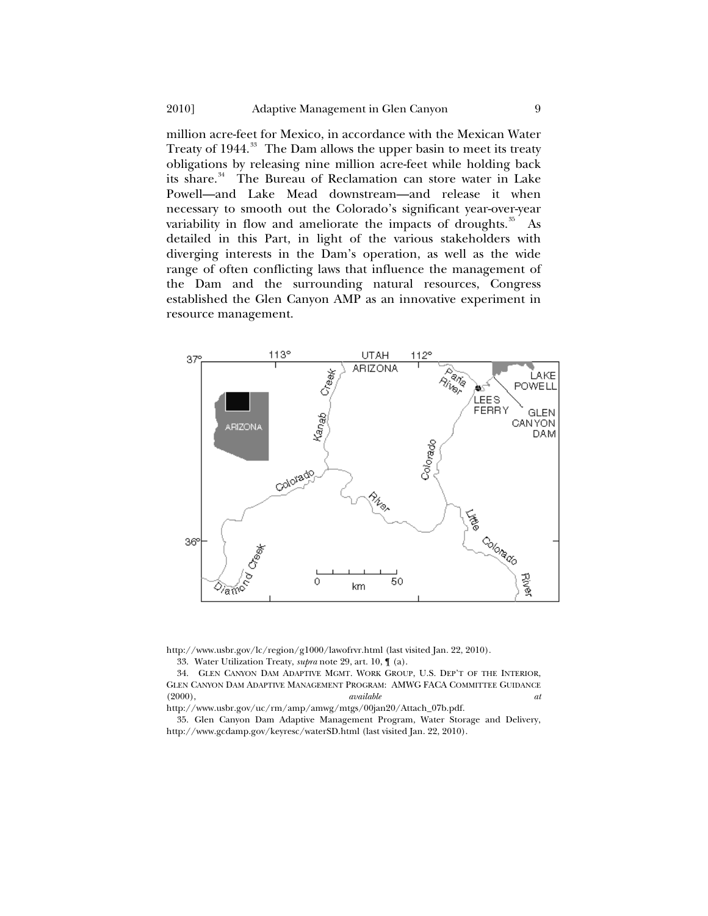million acre-feet for Mexico, in accordance with the Mexican Water Treaty of 1944.<sup>[33](#page-8-0)</sup> The Dam allows the upper basin to meet its treaty obligations by releasing nine million acre-feet while holding back its share.<sup>[34](#page-8-1)</sup> The Bureau of Reclamation can store water in Lake Powell—and Lake Mead downstream—and release it when necessary to smooth out the Colorado's significant year-over-year variability in flow and ameliorate the impacts of droughts. $35$  As detailed in this Part, in light of the various stakeholders with diverging interests in the Dam's operation, as well as the wide range of often conflicting laws that influence the management of the Dam and the surrounding natural resources, Congress established the Glen Canyon AMP as an innovative experiment in resource management.



<span id="page-8-0"></span>http://www.usbr.gov/lc/region/g1000/lawofrvr.html (last visited Jan. 22, 2010).

33. Water Utilization Treaty, *supra* note 29, art. 10, ¶ (a).

<span id="page-8-1"></span>34. GLEN CANYON DAM ADAPTIVE MGMT. WORK GROUP, U.S. DEP'T OF THE INTERIOR, GLEN CANYON DAM ADAPTIVE MANAGEMENT PROGRAM: AMWG FACA COMMITTEE GUIDANCE (2000), *available at* 

http://www.usbr.gov/uc/rm/amp/amwg/mtgs/00jan20/Attach\_07b.pdf.

<span id="page-8-2"></span>35. Glen Canyon Dam Adaptive Management Program, Water Storage and Delivery, http://www.gcdamp.gov/keyresc/waterSD.html (last visited Jan. 22, 2010).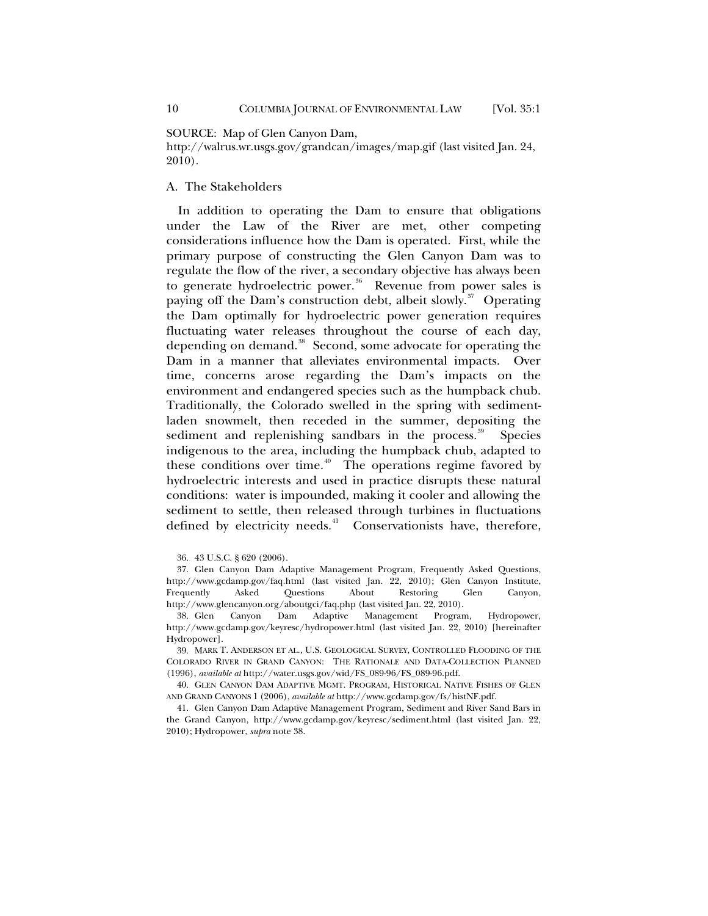<span id="page-9-0"></span>SOURCE: Map of Glen Canyon Dam,

http://walrus.wr.usgs.gov/grandcan/images/map.gif (last visited Jan. 24, 2010).

## A. The Stakeholders

In addition to operating the Dam to ensure that obligations under the Law of the River are met, other competing considerations influence how the Dam is operated. First, while the primary purpose of constructing the Glen Canyon Dam was to regulate the flow of the river, a secondary objective has always been to generate hydroelectric power.<sup>[36](#page-9-1)</sup> Revenue from power sales is paying off the Dam's construction debt, albeit slowly.<sup>[37](#page-9-2)</sup> Operating the Dam optimally for hydroelectric power generation requires fluctuating water releases throughout the course of each day, depending on demand.<sup>[38](#page-9-3)</sup> Second, some advocate for operating the Dam in a manner that alleviates environmental impacts. Over time, concerns arose regarding the Dam's impacts on the environment and endangered species such as the humpback chub. Traditionally, the Colorado swelled in the spring with sedimentladen snowmelt, then receded in the summer, depositing the sediment and replenishing sandbars in the process.<sup>[39](#page-9-4)</sup> Species indigenous to the area, including the humpback chub, adapted to these conditions over time.<sup> $40$ </sup> The operations regime favored by hydroelectric interests and used in practice disrupts these natural conditions: water is impounded, making it cooler and allowing the sediment to settle, then released through turbines in fluctuations defined by electricity needs.<sup>[41](#page-9-6)</sup> Conservationists have, therefore,

<sup>36. 43</sup> U.S.C. § 620 (2006).

<span id="page-9-2"></span><span id="page-9-1"></span><sup>37.</sup> Glen Canyon Dam Adaptive Management Program, Frequently Asked Questions, http://www.gcdamp.gov/faq.html (last visited Jan. 22, 2010); Glen Canyon Institute, Frequently Asked Questions About Restoring Glen Canyon, http://www.glencanyon.org/aboutgci/faq.php (last visited Jan. 22, 2010).

<span id="page-9-3"></span><sup>38.</sup> Glen Canyon Dam Adaptive Management Program, Hydropower, http://www.gcdamp.gov/keyresc/hydropower.html (last visited Jan. 22, 2010) [hereinafter Hydropower].

<span id="page-9-4"></span><sup>39.</sup> MARK T. ANDERSON ET AL., U.S. GEOLOGICAL SURVEY, CONTROLLED FLOODING OF THE COLORADO RIVER IN GRAND CANYON: THE RATIONALE AND DATA-COLLECTION PLANNED (1996), *available at* http://water.usgs.gov/wid/FS\_089-96/FS\_089-96.pdf.

<span id="page-9-5"></span><sup>40.</sup> GLEN CANYON DAM ADAPTIVE MGMT. PROGRAM, HISTORICAL NATIVE FISHES OF GLEN AND GRAND CANYONS 1 (2006), *available at* http://www.gcdamp.gov/fs/histNF.pdf.

<span id="page-9-6"></span><sup>41.</sup> Glen Canyon Dam Adaptive Management Program, Sediment and River Sand Bars in the Grand Canyon, http://www.gcdamp.gov/keyresc/sediment.html (last visited Jan. 22, 2010); Hydropower, *supra* note 38.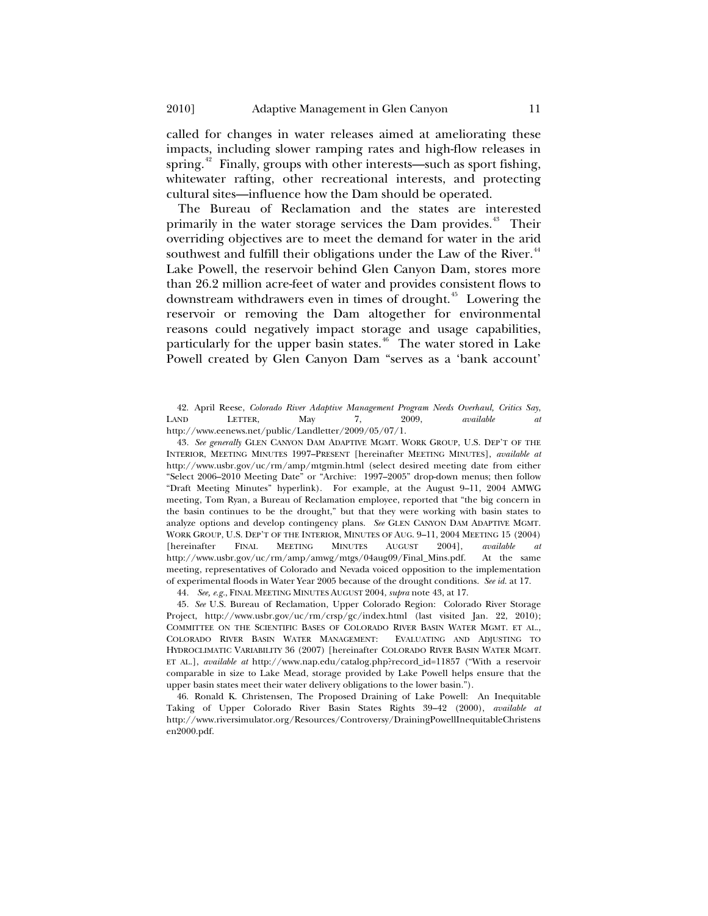called for changes in water releases aimed at ameliorating these impacts, including slower ramping rates and high-flow releases in spring.<sup>[42](#page-10-0)</sup> Finally, groups with other interests—such as sport fishing, whitewater rafting, other recreational interests, and protecting cultural sites—influence how the Dam should be operated.

The Bureau of Reclamation and the states are interested primarily in the water storage services the Dam provides.<sup>[43](#page-10-1)</sup> Their overriding objectives are to meet the demand for water in the arid southwest and fulfill their obligations under the Law of the River.<sup>[44](#page-10-2)</sup> Lake Powell, the reservoir behind Glen Canyon Dam, stores more than 26.2 million acre-feet of water and provides consistent flows to downstream withdrawers even in times of drought.<sup>[45](#page-10-3)</sup> Lowering the reservoir or removing the Dam altogether for environmental reasons could negatively impact storage and usage capabilities, particularly for the upper basin states.<sup>[46](#page-10-4)</sup> The water stored in Lake Powell created by Glen Canyon Dam "serves as a 'bank account'

<span id="page-10-0"></span>42. April Reese, *Colorado River Adaptive Management Program Needs Overhaul, Critics Say*, LAND LETTER, May 7, 2009, *available at* http://www.eenews.net/public/Landletter/2009/05/07/1.

<span id="page-10-1"></span>43*. See generally* GLEN CANYON DAM ADAPTIVE MGMT. WORK GROUP, U.S. DEP'T OF THE INTERIOR, MEETING MINUTES 1997–PRESENT [hereinafter MEETING MINUTES], *available at* http://www.usbr.gov/uc/rm/amp/mtgmin.html (select desired meeting date from either "Select 2006–2010 Meeting Date" or "Archive: 1997–2005" drop-down menus; then follow "Draft Meeting Minutes" hyperlink). For example, at the August 9–11, 2004 AMWG meeting, Tom Ryan, a Bureau of Reclamation employee, reported that "the big concern in the basin continues to be the drought," but that they were working with basin states to analyze options and develop contingency plans. *See* GLEN CANYON DAM ADAPTIVE MGMT. WORK GROUP, U.S. DEP'T OF THE INTERIOR, MINUTES OF AUG. 9–11, 2004 MEETING 15 (2004) [hereinafter FINAL MEETING MINUTES AUGUST 2004], *available at* http://www.usbr.gov/uc/rm/amp/amwg/mtgs/04aug09/Final\_Mins.pdf. At the same meeting, representatives of Colorado and Nevada voiced opposition to the implementation of experimental floods in Water Year 2005 because of the drought conditions. *See id.* at 17.

44*. See, e.g.*, FINAL MEETING MINUTES AUGUST 2004, *supra* note 43, at 17.

<span id="page-10-3"></span><span id="page-10-2"></span>45*. See* U.S. Bureau of Reclamation, Upper Colorado Region: Colorado River Storage Project, http://www.usbr.gov/uc/rm/crsp/gc/index.html (last visited Jan. 22, 2010); COMMITTEE ON THE SCIENTIFIC BASES OF COLORADO RIVER BASIN WATER MGMT. ET AL., COLORADO RIVER BASIN WATER MANAGEMENT: EVALUATING AND ADJUSTING TO HYDROCLIMATIC VARIABILITY 36 (2007) [hereinafter COLORADO RIVER BASIN WATER MGMT. ET AL.], *available at* http://www.nap.edu/catalog.php?record\_id=11857 ("With a reservoir comparable in size to Lake Mead, storage provided by Lake Powell helps ensure that the upper basin states meet their water delivery obligations to the lower basin.").

<span id="page-10-4"></span>46. Ronald K. Christensen, The Proposed Draining of Lake Powell: An Inequitable Taking of Upper Colorado River Basin States Rights 39–42 (2000), *available at*  http://www.riversimulator.org/Resources/Controversy/DrainingPowellInequitableChristens en2000.pdf.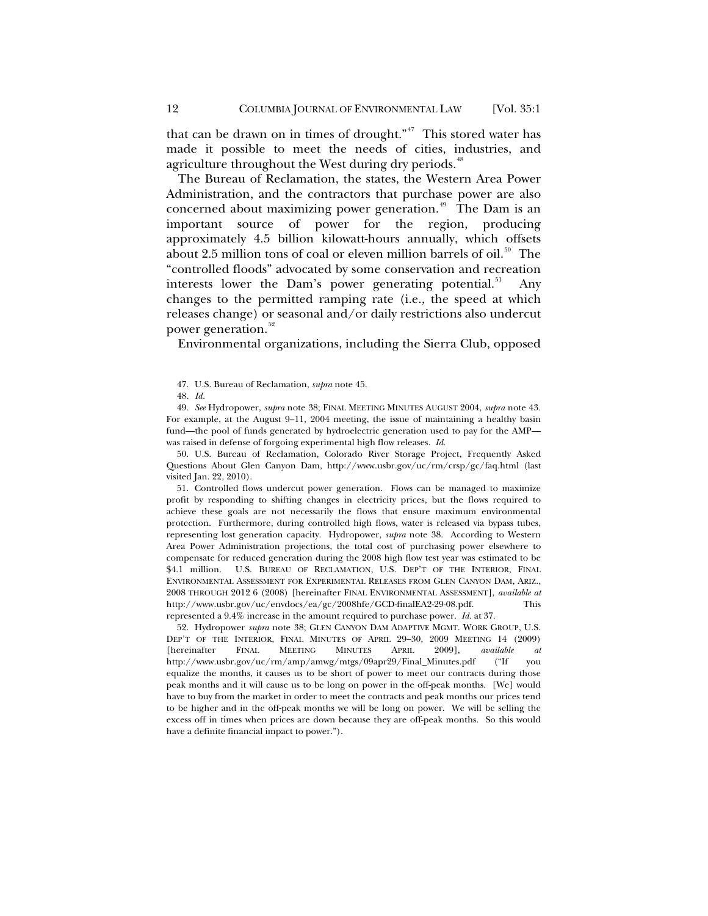that can be drawn on in times of drought."<sup>[47](#page-11-0)</sup> This stored water has made it possible to meet the needs of cities, industries, and agriculture throughout the West during dry periods.<sup>[48](#page-11-1)</sup>

The Bureau of Reclamation, the states, the Western Area Power Administration, and the contractors that purchase power are also concerned about maximizing power generation.<sup>[49](#page-11-2)</sup> The Dam is an important source of power for the region, producing approximately 4.5 billion kilowatt-hours annually, which offsets about 2.5 million tons of coal or eleven million barrels of oil.<sup>[50](#page-11-3)</sup> The "controlled floods" advocated by some conservation and recreation interests lower the Dam's power generating potential.<sup>[51](#page-11-4)</sup> changes to the permitted ramping rate (i.e., the speed at which releases change) or seasonal and/or daily restrictions also undercut power generation.<sup>[52](#page-11-5)</sup>

Environmental organizations, including the Sierra Club, opposed

<span id="page-11-2"></span><span id="page-11-1"></span><span id="page-11-0"></span>49*. See* Hydropower, *supra* note 38; FINAL MEETING MINUTES AUGUST 2004, *supra* note 43. For example, at the August 9–11, 2004 meeting, the issue of maintaining a healthy basin fund—the pool of funds generated by hydroelectric generation used to pay for the AMP was raised in defense of forgoing experimental high flow releases. *Id.*

<span id="page-11-3"></span>50. U.S. Bureau of Reclamation, Colorado River Storage Project, Frequently Asked Questions About Glen Canyon Dam, http://www.usbr.gov/uc/rm/crsp/gc/faq.html (last visited Jan. 22, 2010).

<span id="page-11-4"></span>51. Controlled flows undercut power generation. Flows can be managed to maximize profit by responding to shifting changes in electricity prices, but the flows required to achieve these goals are not necessarily the flows that ensure maximum environmental protection. Furthermore, during controlled high flows, water is released via bypass tubes, representing lost generation capacity. Hydropower, *supra* note 38. According to Western Area Power Administration projections, the total cost of purchasing power elsewhere to compensate for reduced generation during the 2008 high flow test year was estimated to be \$4.1 million. U.S. BUREAU OF RECLAMATION, U.S. DEP'T OF THE INTERIOR, FINAL ENVIRONMENTAL ASSESSMENT FOR EXPERIMENTAL RELEASES FROM GLEN CANYON DAM, ARIZ., 2008 THROUGH 2012 6 (2008) [hereinafter FINAL ENVIRONMENTAL ASSESSMENT], *available at* http://www.usbr.gov/uc/envdocs/ea/gc/2008hfe/GCD-finalEA2-29-08.pdf. represented a 9.4% increase in the amount required to purchase power. *Id.* at 37.

<span id="page-11-5"></span>52. Hydropower *supra* note 38; GLEN CANYON DAM ADAPTIVE MGMT. WORK GROUP, U.S. DEP'T OF THE INTERIOR, FINAL MINUTES OF APRIL 29-30, 2009 MEETING 14 (2009)<br>[hereinafter FINAL MEETING MINUTES APRIL 2009], available at [hereinafter FINAL MEETING MINUTES APRIL 2009], *available at* http://www.usbr.gov/uc/rm/amp/amwg/mtgs/09apr29/Final\_Minutes.pdf ("If you equalize the months, it causes us to be short of power to meet our contracts during those peak months and it will cause us to be long on power in the off-peak months. [We] would have to buy from the market in order to meet the contracts and peak months our prices tend to be higher and in the off-peak months we will be long on power. We will be selling the excess off in times when prices are down because they are off-peak months. So this would have a definite financial impact to power.").

<sup>47.</sup> U.S. Bureau of Reclamation, *supra* note 45.

<sup>48</sup>*. Id.*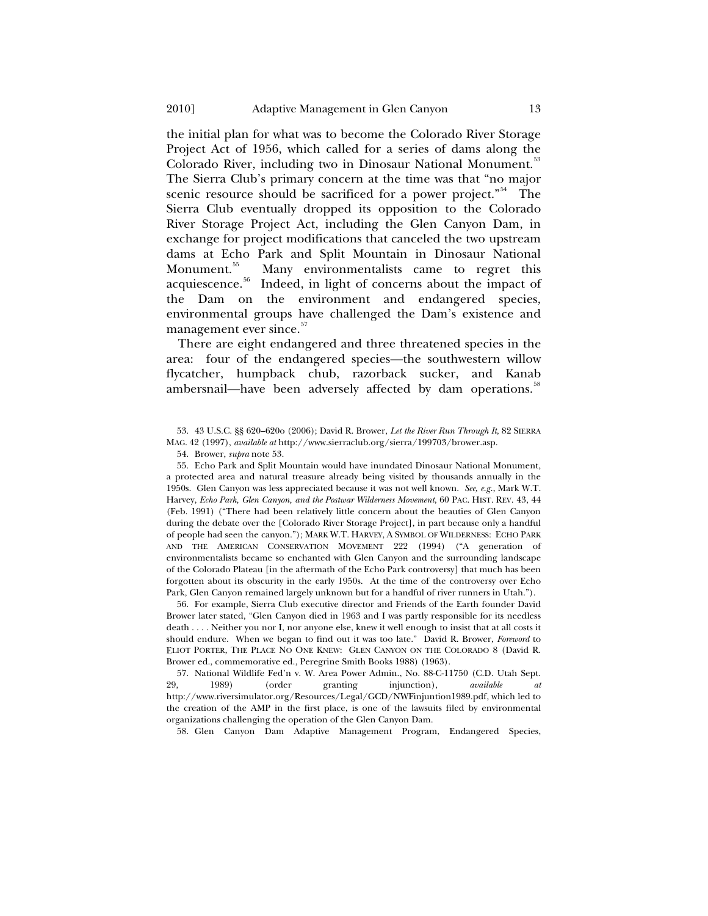the initial plan for what was to become the Colorado River Storage Project Act of 1956, which called for a series of dams along the Colorado River, including two in Dinosaur National Monument.<sup>[53](#page-12-0)</sup> The Sierra Club's primary concern at the time was that "no major scenic resource should be sacrificed for a power project."<sup>[54](#page-12-1)</sup> The Sierra Club eventually dropped its opposition to the Colorado River Storage Project Act, including the Glen Canyon Dam, in exchange for project modifications that canceled the two upstream dams at Echo Park and Split Mountain in Dinosaur National Monument.<sup>[55](#page-12-2)</sup> Many environmentalists came to regret this acquiescence.<sup>[56](#page-12-3)</sup> Indeed, in light of concerns about the impact of the Dam on the environment and endangered species, environmental groups have challenged the Dam's existence and management ever since.<sup>[57](#page-12-4)</sup>

There are eight endangered and three threatened species in the area: four of the endangered species—the southwestern willow flycatcher, humpback chub, razorback sucker, and Kanab ambersnail—have been adversely affected by dam operations.<sup>[58](#page-12-5)</sup>

<span id="page-12-2"></span><span id="page-12-1"></span>55. Echo Park and Split Mountain would have inundated Dinosaur National Monument, a protected area and natural treasure already being visited by thousands annually in the 1950s. Glen Canyon was less appreciated because it was not well known. *See, e.g.*, Mark W.T. Harvey, *Echo Park, Glen Canyon, and the Postwar Wilderness Movement*, 60 PAC. HIST. REV. 43, 44 (Feb. 1991) ("There had been relatively little concern about the beauties of Glen Canyon during the debate over the [Colorado River Storage Project], in part because only a handful of people had seen the canyon."); MARK W.T. HARVEY, A SYMBOL OF WILDERNESS: ECHO PARK AND THE AMERICAN CONSERVATION MOVEMENT 222 (1994) ("A generation of environmentalists became so enchanted with Glen Canyon and the surrounding landscape of the Colorado Plateau [in the aftermath of the Echo Park controversy] that much has been forgotten about its obscurity in the early 1950s. At the time of the controversy over Echo Park, Glen Canyon remained largely unknown but for a handful of river runners in Utah.").

<span id="page-12-3"></span>56. For example, Sierra Club executive director and Friends of the Earth founder David Brower later stated, "Glen Canyon died in 1963 and I was partly responsible for its needless death . . . . Neither you nor I, nor anyone else, knew it well enough to insist that at all costs it should endure. When we began to find out it was too late." David R. Brower, *Foreword* to ELIOT PORTER, THE PLACE NO ONE KNEW: GLEN CANYON ON THE COLORADO 8 (David R. Brower ed., commemorative ed., Peregrine Smith Books 1988) (1963).

<span id="page-12-5"></span><span id="page-12-4"></span>57. National Wildlife Fed'n v. W. Area Power Admin., No. 88-C-11750 (C.D. Utah Sept. 29, 1989) (order granting iniunction). *available at* 29, 1989) (order granting injunction), *available at* http://www.riversimulator.org/Resources/Legal/GCD/NWFinjuntion1989.pdf, which led to the creation of the AMP in the first place, is one of the lawsuits filed by environmental organizations challenging the operation of the Glen Canyon Dam.

58. Glen Canyon Dam Adaptive Management Program, Endangered Species,

<span id="page-12-0"></span><sup>53. 43</sup> U.S.C. §§ 620–620o (2006); David R. Brower, *Let the River Run Through It*, 82 SIERRA MAG. 42 (1997), *available at* http://www.sierraclub.org/sierra/199703/brower.asp.

<sup>54.</sup> Brower, *supra* note 53.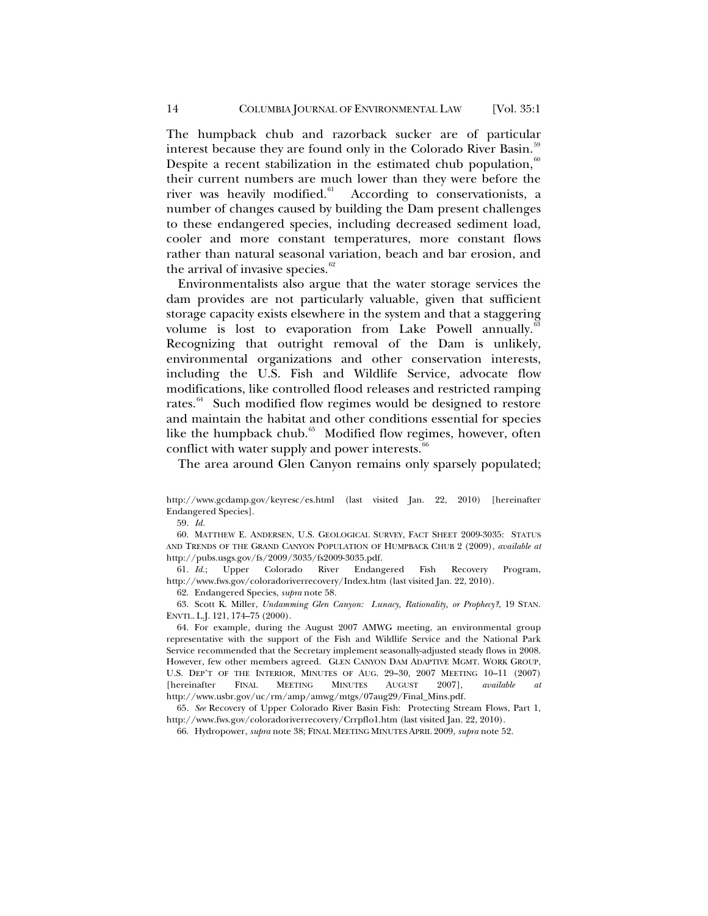The humpback chub and razorback sucker are of particular interest because they are found only in the Colorado River Basin.<sup>5</sup> Despite a recent stabilization in the estimated chub population, $60$ their current numbers are much lower than they were before the river was heavily modified.<sup>61</sup> According to conservationists, a According to conservationists, a number of changes caused by building the Dam present challenges to these endangered species, including decreased sediment load, cooler and more constant temperatures, more constant flows rather than natural seasonal variation, beach and bar erosion, and the arrival of invasive species.<sup>[62](#page-13-3)</sup>

Environmentalists also argue that the water storage services the dam provides are not particularly valuable, given that sufficient storage capacity exists elsewhere in the system and that a staggering volume is lost to evaporation from Lake Powell annually.<sup>6</sup> Recognizing that outright removal of the Dam is unlikely, environmental organizations and other conservation interests, including the U.S. Fish and Wildlife Service, advocate flow modifications, like controlled flood releases and restricted ramping rates.<sup>[64](#page-13-5)</sup> Such modified flow regimes would be designed to restore and maintain the habitat and other conditions essential for species like the humpback chub.<sup>[65](#page-13-6)</sup> Modified flow regimes, however, often conflict with water supply and power interests. $66$ 

The area around Glen Canyon remains only sparsely populated;

59*. Id.*

<span id="page-13-1"></span><span id="page-13-0"></span>60. MATTHEW E. ANDERSEN, U.S. GEOLOGICAL SURVEY, FACT SHEET 2009-3035: STATUS AND TRENDS OF THE GRAND CANYON POPULATION OF HUMPBACK CHUB 2 (2009), *available at* http://pubs.usgs.gov/fs/2009/3035/fs2009-3035.pdf.

<span id="page-13-2"></span>61*. Id.*; Upper Colorado River Endangered Fish Recovery Program, http://www.fws.gov/coloradoriverrecovery/Index.htm (last visited Jan. 22, 2010).

62. Endangered Species, *supra* note 58.

<span id="page-13-4"></span><span id="page-13-3"></span>63. Scott K. Miller, *Undamming Glen Canyon: Lunacy, Rationality, or Prophecy?*, 19 STAN. ENVTL. L.J. 121, 174–75 (2000).

<span id="page-13-5"></span>64. For example, during the August 2007 AMWG meeting, an environmental group representative with the support of the Fish and Wildlife Service and the National Park Service recommended that the Secretary implement seasonally-adjusted steady flows in 2008. However, few other members agreed. GLEN CANYON DAM ADAPTIVE MGMT. WORK GROUP, U.S. DEP'T OF THE INTERIOR, MINUTES OF AUG. 29-30, 2007 MEETING 10-11 (2007)<br>
[hereinafter FINAL MEETING MINUTES AUGUST 2007], *available at* [hereinafter FINAL MEETING MINUTES AUGUST 2007], *available at* http://www.usbr.gov/uc/rm/amp/amwg/mtgs/07aug29/Final\_Mins.pdf.

<span id="page-13-7"></span><span id="page-13-6"></span>65*. See* Recovery of Upper Colorado River Basin Fish: Protecting Stream Flows, Part 1, http://www.fws.gov/coloradoriverrecovery/Crrpflo1.htm (last visited Jan. 22, 2010).

66. Hydropower, *supra* note 38; FINAL MEETING MINUTES APRIL 2009, *supra* note 52.

http://www.gcdamp.gov/keyresc/es.html (last visited Jan. 22, 2010) [hereinafter Endangered Species].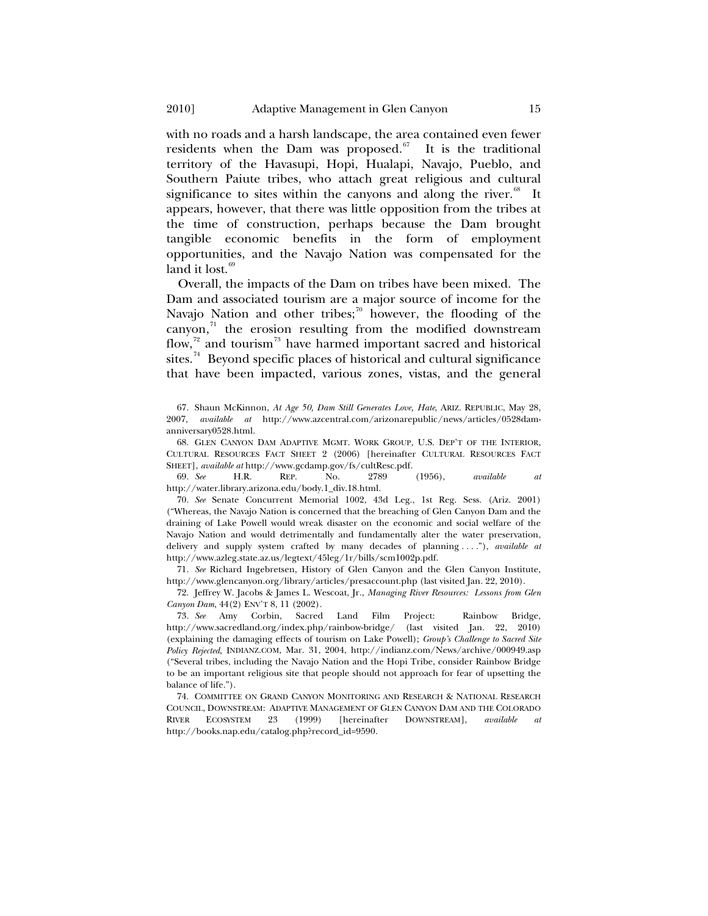with no roads and a harsh landscape, the area contained even fewer residents when the Dam was proposed. $67$  It is the traditional territory of the Havasupi, Hopi, Hualapi, Navajo, Pueblo, and Southern Paiute tribes, who attach great religious and cultural significance to sites within the canyons and along the river. $68$  It appears, however, that there was little opposition from the tribes at the time of construction, perhaps because the Dam brought tangible economic benefits in the form of employment opportunities, and the Navajo Nation was compensated for the land it lost. $69$ 

Overall, the impacts of the Dam on tribes have been mixed. The Dam and associated tourism are a major source of income for the Navajo Nation and other tribes;<sup>[70](#page-14-3)</sup> however, the flooding of the canyon, $n^2$  the erosion resulting from the modified downstream flow, $72$  and tourism<sup>[73](#page-14-6)</sup> have harmed important sacred and historical sites.<sup>[74](#page-14-7)</sup> Beyond specific places of historical and cultural significance that have been impacted, various zones, vistas, and the general

<span id="page-14-2"></span>69*. See* H.R. REP. No. 2789 (1956), *available at*  http://water.library.arizona.edu/body.1\_div.18.html.

<span id="page-14-3"></span>70*. See* Senate Concurrent Memorial 1002, 43d Leg., 1st Reg. Sess. (Ariz. 2001) ("Whereas, the Navajo Nation is concerned that the breaching of Glen Canyon Dam and the draining of Lake Powell would wreak disaster on the economic and social welfare of the Navajo Nation and would detrimentally and fundamentally alter the water preservation, delivery and supply system crafted by many decades of planning . . . ."), *available at* http://www.azleg.state.az.us/legtext/45leg/1r/bills/scm1002p.pdf.

<span id="page-14-4"></span>71*. See* Richard Ingebretsen, History of Glen Canyon and the Glen Canyon Institute, http://www.glencanyon.org/library/articles/presaccount.php (last visited Jan. 22, 2010).

<span id="page-14-5"></span>72. Jeffrey W. Jacobs & James L. Wescoat, Jr*.*, *Managing River Resources: Lessons from Glen Canyon Dam*, 44(2) ENV'T 8, 11 (2002).

<span id="page-14-6"></span>73*. See* Amy Corbin, Sacred Land Film Project: Rainbow Bridge, http://www.sacredland.org/index.php/rainbow-bridge/ (last visited Jan. 22, 2010) (explaining the damaging effects of tourism on Lake Powell); *Group's Challenge to Sacred Site Policy Rejected*, INDIANZ.COM, Mar. 31, 2004, http://indianz.com/News/archive/000949.asp ("Several tribes, including the Navajo Nation and the Hopi Tribe, consider Rainbow Bridge to be an important religious site that people should not approach for fear of upsetting the balance of life.").

<span id="page-14-7"></span>74. COMMITTEE ON GRAND CANYON MONITORING AND RESEARCH & NATIONAL RESEARCH COUNCIL, DOWNSTREAM: ADAPTIVE MANAGEMENT OF GLEN CANYON DAM AND THE COLORADO RIVER ECOSYSTEM 23 (1999) [hereinafter DOWNSTREAM], *available* http://books.nap.edu/catalog.php?record\_id=9590.

<span id="page-14-0"></span><sup>67.</sup> Shaun McKinnon, *At Age 50, Dam Still Generates Love, Hate*, ARIZ. REPUBLIC, May 28, 2007, *available at* http://www.azcentral.com/arizonarepublic/news/articles/0528damanniversary0528.html.

<span id="page-14-1"></span><sup>68.</sup> GLEN CANYON DAM ADAPTIVE MGMT. WORK GROUP, U.S. DEP'T OF THE INTERIOR, CULTURAL RESOURCES FACT SHEET 2 (2006) [hereinafter CULTURAL RESOURCES FACT SHEET], *available at* http://www.gcdamp.gov/fs/cultResc.pdf.<br>69. *See* H.R. REP. No. 2789 (1956).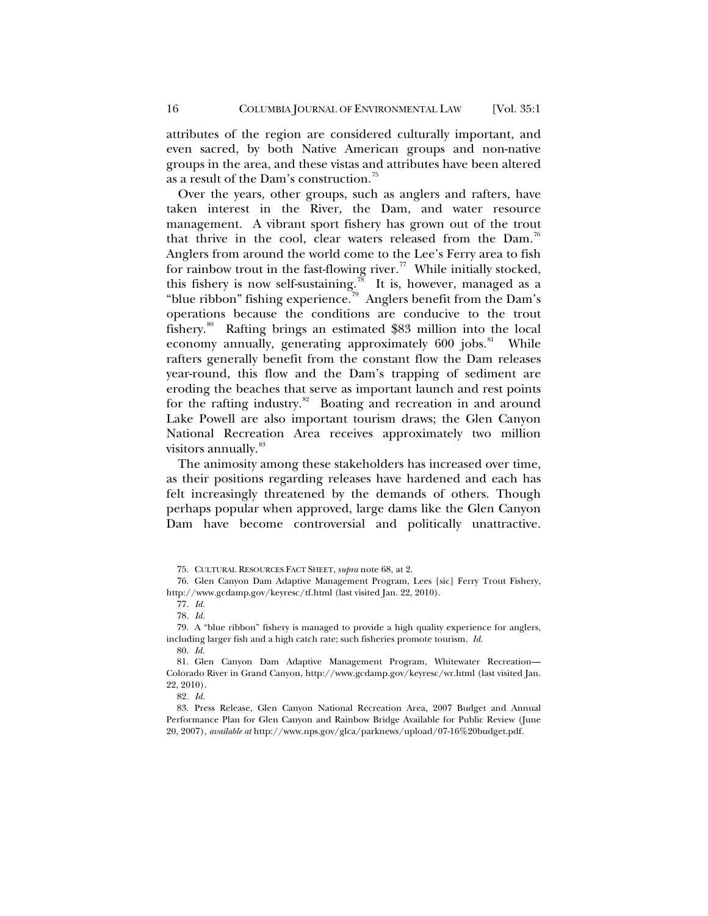attributes of the region are considered culturally important, and even sacred, by both Native American groups and non-native groups in the area, and these vistas and attributes have been altered as a result of the Dam's construction.<sup>[75](#page-15-0)</sup>

Over the years, other groups, such as anglers and rafters, have taken interest in the River, the Dam, and water resource management. A vibrant sport fishery has grown out of the trout that thrive in the cool, clear waters released from the Dam.<sup>[76](#page-15-1)</sup> Anglers from around the world come to the Lee's Ferry area to fish for rainbow trout in the fast-flowing river.<sup>[77](#page-15-2)</sup> While initially stocked, this fishery is now self-sustaining.<sup>[78](#page-15-3)</sup> It is, however, managed as a "blue ribbon" fishing experience.<sup>[79](#page-15-4)</sup> Anglers benefit from the Dam's operations because the conditions are conducive to the trout fishery.[80](#page-15-5) Rafting brings an estimated \$83 million into the local economy annually, generating approximately  $600$  jobs.<sup>[81](#page-15-6)</sup> While rafters generally benefit from the constant flow the Dam releases year-round, this flow and the Dam's trapping of sediment are eroding the beaches that serve as important launch and rest points for the rafting industry. $82$  Boating and recreation in and around Lake Powell are also important tourism draws; the Glen Canyon National Recreation Area receives approximately two million visitors annually.<sup>[83](#page-15-8)</sup>

The animosity among these stakeholders has increased over time, as their positions regarding releases have hardened and each has felt increasingly threatened by the demands of others. Though perhaps popular when approved, large dams like the Glen Canyon Dam have become controversial and politically unattractive.

<sup>75.</sup> CULTURAL RESOURCES FACT SHEET, *supra* note 68, at 2.

<span id="page-15-1"></span><span id="page-15-0"></span><sup>76.</sup> Glen Canyon Dam Adaptive Management Program, Lees [sic] Ferry Trout Fishery, http://www.gcdamp.gov/keyresc/tf.html (last visited Jan. 22, 2010).

<sup>77</sup>*. Id.*

<sup>78</sup>*. Id.*

<span id="page-15-5"></span><span id="page-15-4"></span><span id="page-15-3"></span><span id="page-15-2"></span><sup>79.</sup> A "blue ribbon" fishery is managed to provide a high quality experience for anglers, including larger fish and a high catch rate; such fisheries promote tourism. *Id.*

<sup>80.</sup> *Id.*

<span id="page-15-6"></span><sup>81.</sup> Glen Canyon Dam Adaptive Management Program, Whitewater Recreation— Colorado River in Grand Canyon, http://www.gcdamp.gov/keyresc/wr.html (last visited Jan. 22, 2010).

<sup>82</sup>*. Id.*

<span id="page-15-8"></span><span id="page-15-7"></span><sup>83.</sup> Press Release, Glen Canyon National Recreation Area, 2007 Budget and Annual Performance Plan for Glen Canyon and Rainbow Bridge Available for Public Review (June 20, 2007), *available at* http://www.nps.gov/glca/parknews/upload/07-16%20budget.pdf.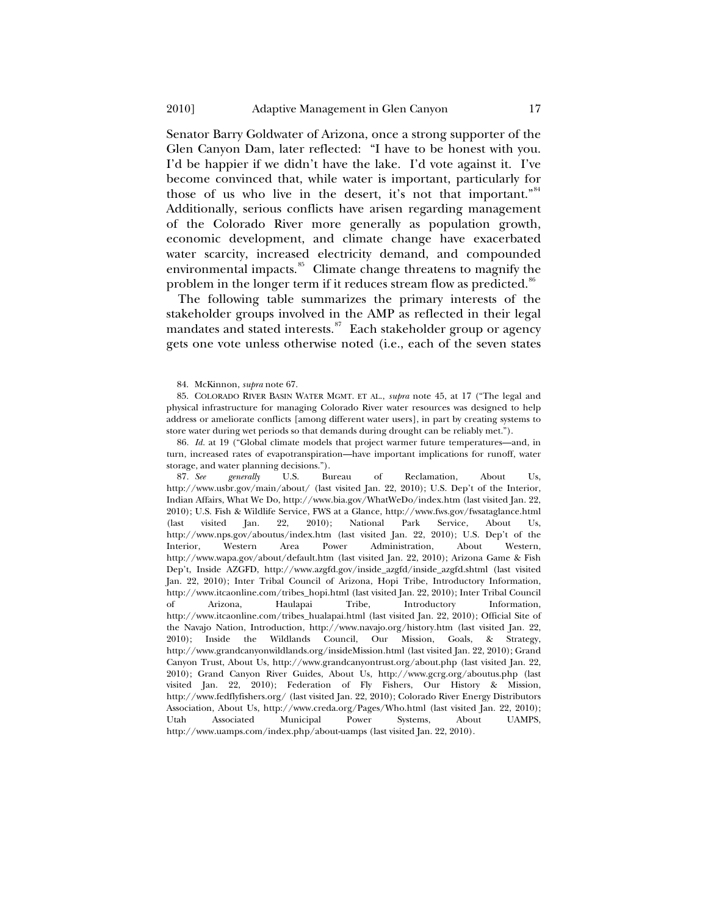Senator Barry Goldwater of Arizona, once a strong supporter of the Glen Canyon Dam, later reflected: "I have to be honest with you. I'd be happier if we didn't have the lake. I'd vote against it. I've become convinced that, while water is important, particularly for those of us who live in the desert, it's not that important."<sup>[84](#page-16-0)</sup> Additionally, serious conflicts have arisen regarding management of the Colorado River more generally as population growth, economic development, and climate change have exacerbated water scarcity, increased electricity demand, and compounded environmental impacts.<sup>[85](#page-16-1)</sup> Climate change threatens to magnify the problem in the longer term if it reduces stream flow as predicted.<sup>[86](#page-16-2)</sup>

The following table summarizes the primary interests of the stakeholder groups involved in the AMP as reflected in their legal mandates and stated interests.<sup>[87](#page-16-3)</sup> Each stakeholder group or agency gets one vote unless otherwise noted (i.e., each of the seven states

<span id="page-16-2"></span>86*. Id.* at 19 ("Global climate models that project warmer future temperatures—and, in turn, increased rates of evapotranspiration—have important implications for runoff, water storage, and water planning decisions.").<br>87. See generally U.S. Bu

<span id="page-16-3"></span>Bureau of Reclamation, About Us, http://www.usbr.gov/main/about/ (last visited Jan. 22, 2010); U.S. Dep't of the Interior, Indian Affairs, What We Do, http://www.bia.gov/WhatWeDo/index.htm (last visited Jan. 22, 2010); U.S. Fish & Wildlife Service, FWS at a Glance, http://www.fws.gov/fwsataglance.html (last visited Jan. 22, 2010); National Park Service, About Us, http://www.nps.gov/aboutus/index.htm (last visited Jan. 22, 2010); U.S. Dep't of the Interior, Western Area Power Administration, About Western, http://www.wapa.gov/about/default.htm (last visited Jan. 22, 2010); Arizona Game & Fish Dep't, Inside AZGFD, http://www.azgfd.gov/inside\_azgfd/inside\_azgfd.shtml (last visited Jan. 22, 2010); Inter Tribal Council of Arizona, Hopi Tribe, Introductory Information, http://www.itcaonline.com/tribes\_hopi.html (last visited Jan. 22, 2010); Inter Tribal Council of Arizona, Haulapai Tribe, Introductory Information, http://www.itcaonline.com/tribes\_hualapai.html (last visited Jan. 22, 2010); Official Site of the Navajo Nation, Introduction, http://www.navajo.org/history.htm (last visited Jan. 22, 2010); Inside the Wildlands Council, Our Mission, Goals, & Strategy, http://www.grandcanyonwildlands.org/insideMission.html (last visited Jan. 22, 2010); Grand Canyon Trust, About Us, http://www.grandcanyontrust.org/about.php (last visited Jan. 22, 2010); Grand Canyon River Guides, About Us, http://www.gcrg.org/aboutus.php (last visited Jan. 22, 2010); Federation of Fly Fishers, Our History & Mission, http://www.fedflyfishers.org/ (last visited Jan. 22, 2010); Colorado River Energy Distributors Association, About Us, http://www.creda.org/Pages/Who.html (last visited Jan. 22, 2010); Utah Associated Municipal Power Systems, About UAMPS, http://www.uamps.com/index.php/about-uamps (last visited Jan. 22, 2010).

<sup>84.</sup> McKinnon, *supra* note 67.

<span id="page-16-1"></span><span id="page-16-0"></span><sup>85.</sup> COLORADO RIVER BASIN WATER MGMT. ET AL., *supra* note 45, at 17 ("The legal and physical infrastructure for managing Colorado River water resources was designed to help address or ameliorate conflicts [among different water users], in part by creating systems to store water during wet periods so that demands during drought can be reliably met.").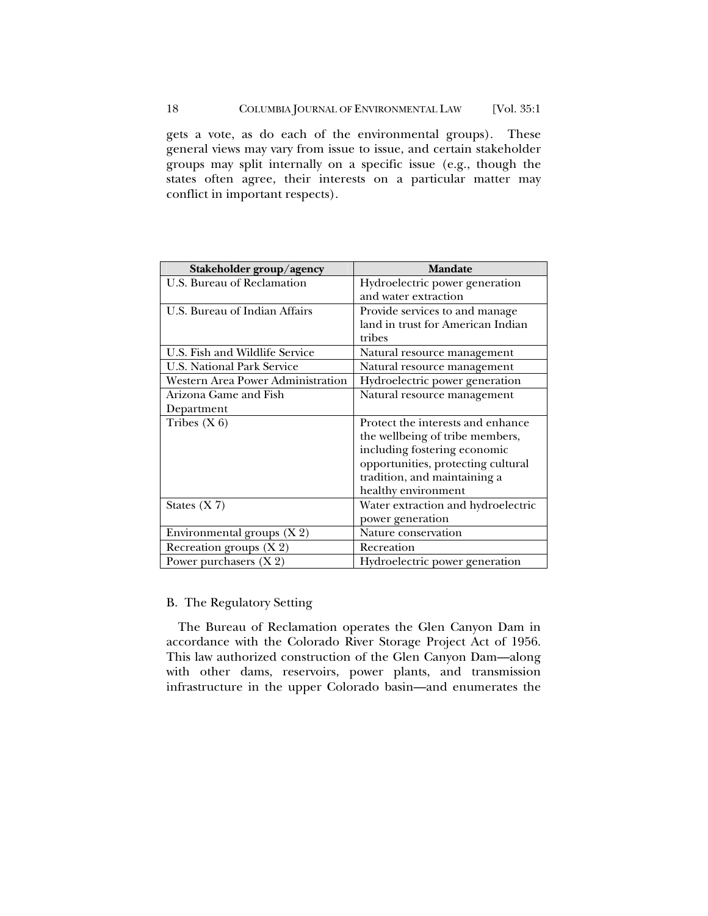<span id="page-17-0"></span>gets a vote, as do each of the environmental groups). These general views may vary from issue to issue, and certain stakeholder groups may split internally on a specific issue (e.g., though the states often agree, their interests on a particular matter may conflict in important respects).

| Stakeholder group/agency          | <b>Mandate</b>                     |
|-----------------------------------|------------------------------------|
| U.S. Bureau of Reclamation        | Hydroelectric power generation     |
|                                   | and water extraction               |
| U.S. Bureau of Indian Affairs     | Provide services to and manage     |
|                                   | land in trust for American Indian  |
|                                   | tribes                             |
| U.S. Fish and Wildlife Service    | Natural resource management        |
| <b>U.S. National Park Service</b> | Natural resource management        |
| Western Area Power Administration | Hydroelectric power generation     |
| Arizona Game and Fish             | Natural resource management        |
| Department                        |                                    |
| Tribes $(X 6)$                    | Protect the interests and enhance  |
|                                   | the wellbeing of tribe members,    |
|                                   | including fostering economic       |
|                                   | opportunities, protecting cultural |
|                                   | tradition, and maintaining a       |
|                                   | healthy environment                |
| States $(X 7)$                    | Water extraction and hydroelectric |
|                                   | power generation                   |
| Environmental groups $(X 2)$      | Nature conservation                |
| Recreation groups $(X 2)$         | Recreation                         |
| Power purchasers $(X 2)$          | Hydroelectric power generation     |

# B. The Regulatory Setting

The Bureau of Reclamation operates the Glen Canyon Dam in accordance with the Colorado River Storage Project Act of 1956. This law authorized construction of the Glen Canyon Dam—along with other dams, reservoirs, power plants, and transmission infrastructure in the upper Colorado basin—and enumerates the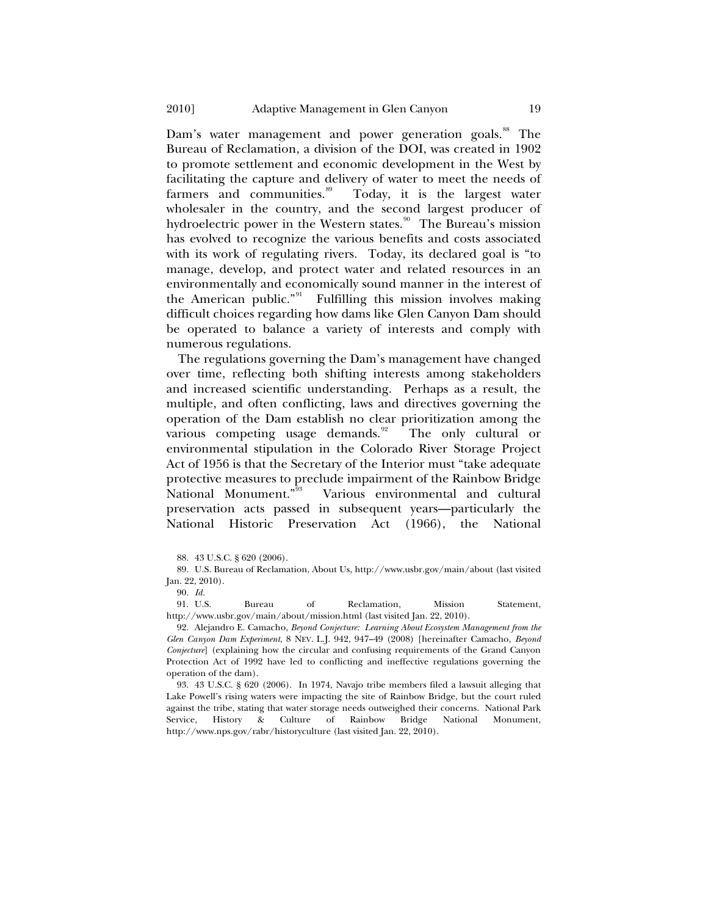numerous regulations. Dam's water management and power generation goals.<sup>[88](#page-18-0)</sup> The Bureau of Reclamation, a division of the DOI, was created in 1902 to promote settlement and economic development in the West by facilitating the capture and delivery of water to meet the needs of farmers and communities.<sup>[89](#page-18-1)</sup> Today, it is the largest water wholesaler in the country, and the second largest producer of hydroelectric power in the Western states.<sup>[90](#page-18-2)</sup> The Bureau's mission has evolved to recognize the various benefits and costs associated with its work of regulating rivers. Today, its declared goal is "to manage, develop, and protect water and related resources in an environmentally and economically sound manner in the interest of the American public."<sup>[91](#page-18-3)</sup> Fulfilling this mission involves making difficult choices regarding how dams like Glen Canyon Dam should be operated to balance a variety of interests and comply with

The regulations governing the Dam's management have changed over time, reflecting both shifting interests among stakeholders and increased scientific understanding. Perhaps as a result, the multiple, and often conflicting, laws and directives governing the operation of the Dam establish no clear prioritization among the various competing usage demands.<sup>[92](#page-18-4)</sup> The only cultural or environmental stipulation in the Colorado River Storage Project Act of 1956 is that the Secretary of the Interior must "take adequate protective measures to preclude impairment of the Rainbow Bridge National Monument."[93](#page-18-5) Various environmental and cultural preservation acts passed in subsequent years—particularly the National Historic Preservation Act (1966), the National

90*. Id.*

<span id="page-18-3"></span>91. U.S. Bureau of Reclamation, Mission Statement, http://www.usbr.gov/main/about/mission.html (last visited Jan. 22, 2010).

<span id="page-18-4"></span>92. Alejandro E. Camacho, *Beyond Conjecture: Learning About Ecosystem Management from the Glen Canyon Dam Experiment*, 8 NEV. L.J. 942, 947–49 (2008) [hereinafter Camacho, *Beyond Conjecture*] (explaining how the circular and confusing requirements of the Grand Canyon Protection Act of 1992 have led to conflicting and ineffective regulations governing the operation of the dam).

<span id="page-18-5"></span>93. 43 U.S.C. § 620 (2006). In 1974, Navajo tribe members filed a lawsuit alleging that Lake Powell's rising waters were impacting the site of Rainbow Bridge, but the court ruled against the tribe, stating that water storage needs outweighed their concerns. National Park Service, History & Culture of Rainbow Bridge National Monument, http://www.nps.gov/rabr/historyculture (last visited Jan. 22, 2010).

<sup>88. 43</sup> U.S.C. § 620 (2006).

<span id="page-18-2"></span><span id="page-18-1"></span><span id="page-18-0"></span><sup>89.</sup> U.S. Bureau of Reclamation, About Us, http://www.usbr.gov/main/about (last visited Jan. 22, 2010).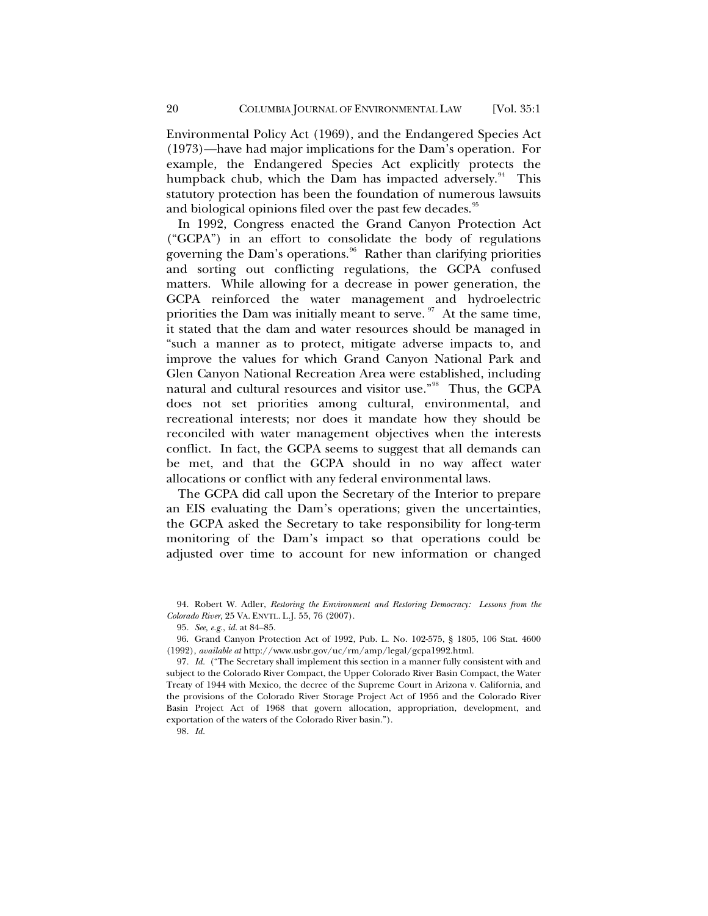Environmental Policy Act (1969), and the Endangered Species Act (1973)—have had major implications for the Dam's operation. For example, the Endangered Species Act explicitly protects the humpback chub, which the Dam has impacted adversely.<sup>[94](#page-19-0)</sup> This statutory protection has been the foundation of numerous lawsuits and biological opinions filed over the past few decades.<sup>[95](#page-19-1)</sup>

In 1992, Congress enacted the Grand Canyon Protection Act ("GCPA") in an effort to consolidate the body of regulations governing the Dam's operations.<sup>[96](#page-19-2)</sup> Rather than clarifying priorities and sorting out conflicting regulations, the GCPA confused matters. While allowing for a decrease in power generation, the GCPA reinforced the water management and hydroelectric priorities the Dam was initially meant to serve.  $\frac{97}{1}$  $\frac{97}{1}$  $\frac{97}{1}$  At the same time, it stated that the dam and water resources should be managed in "such a manner as to protect, mitigate adverse impacts to, and improve the values for which Grand Canyon National Park and Glen Canyon National Recreation Area were established, including natural and cultural resources and visitor use."<sup>[98](#page-19-4)</sup> Thus, the GCPA does not set priorities among cultural, environmental, and recreational interests; nor does it mandate how they should be reconciled with water management objectives when the interests conflict. In fact, the GCPA seems to suggest that all demands can be met, and that the GCPA should in no way affect water allocations or conflict with any federal environmental laws.

The GCPA did call upon the Secretary of the Interior to prepare an EIS evaluating the Dam's operations; given the uncertainties, the GCPA asked the Secretary to take responsibility for long-term monitoring of the Dam's impact so that operations could be adjusted over time to account for new information or changed

<span id="page-19-4"></span>98*. Id.*

<span id="page-19-0"></span><sup>94.</sup> Robert W. Adler, *Restoring the Environment and Restoring Democracy: Lessons from the Colorado River*, 25 VA. ENVTL. L.J. 55, 76 (2007).

<sup>95</sup>*. See, e.g.*, *id.* at 84–85.

<span id="page-19-2"></span><span id="page-19-1"></span><sup>96.</sup> Grand Canyon Protection Act of 1992, Pub. L. No. 102-575, § 1805, 106 Stat. 4600 (1992), *available at* http://www.usbr.gov/uc/rm/amp/legal/gcpa1992.html.

<span id="page-19-3"></span><sup>97</sup>*. Id.* ("The Secretary shall implement this section in a manner fully consistent with and subject to the Colorado River Compact, the Upper Colorado River Basin Compact, the Water Treaty of 1944 with Mexico, the decree of the Supreme Court in Arizona v. California, and the provisions of the Colorado River Storage Project Act of 1956 and the Colorado River Basin Project Act of 1968 that govern allocation, appropriation, development, and exportation of the waters of the Colorado River basin.").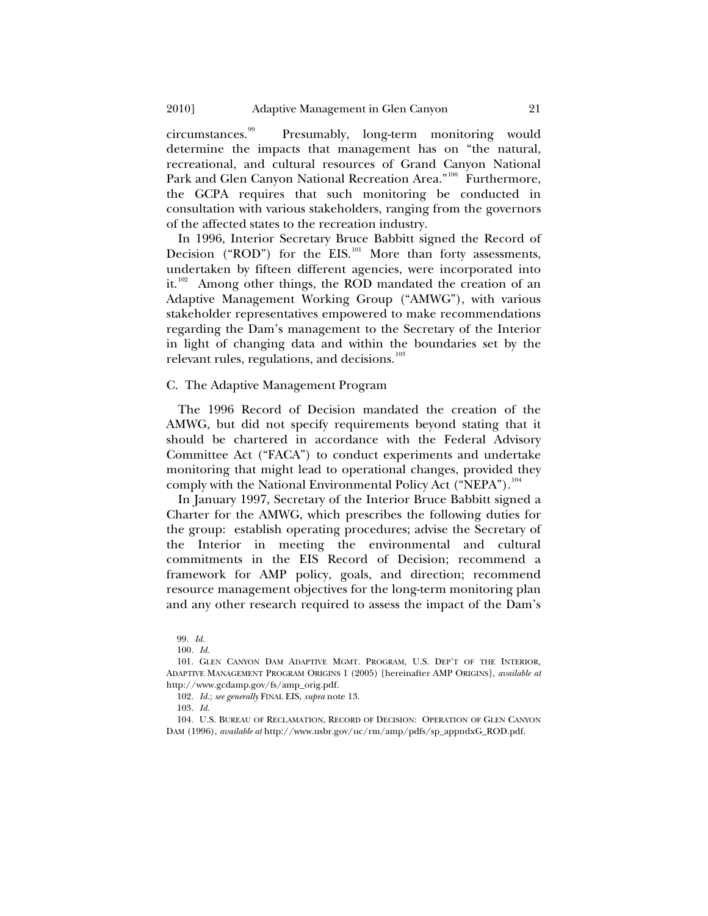<span id="page-20-0"></span>circumstances.[99](#page-20-1) Presumably, long-term monitoring would determine the impacts that management has on "the natural, recreational, and cultural resources of Grand Canyon National Park and Glen Canyon National Recreation Area."<sup>[100](#page-20-2)</sup> Furthermore, the GCPA requires that such monitoring be conducted in consultation with various stakeholders, ranging from the governors of the affected states to the recreation industry.

In 1996, Interior Secretary Bruce Babbitt signed the Record of Decision ("ROD") for the EIS.<sup>[101](#page-20-3)</sup> More than forty assessments, undertaken by fifteen different agencies, were incorporated into it.<sup>[102](#page-20-4)</sup> Among other things, the ROD mandated the creation of an Adaptive Management Working Group ("AMWG"), with various stakeholder representatives empowered to make recommendations regarding the Dam's management to the Secretary of the Interior in light of changing data and within the boundaries set by the relevant rules, regulations, and decisions.<sup>[103](#page-20-5)</sup>

## C. The Adaptive Management Program

The 1996 Record of Decision mandated the creation of the AMWG, but did not specify requirements beyond stating that it should be chartered in accordance with the Federal Advisory Committee Act ("FACA") to conduct experiments and undertake monitoring that might lead to operational changes, provided they comply with the National Environmental Policy Act ("NEPA").<sup>[104](#page-20-6)</sup>

In January 1997, Secretary of the Interior Bruce Babbitt signed a Charter for the AMWG, which prescribes the following duties for the group: establish operating procedures; advise the Secretary of the Interior in meeting the environmental and cultural commitments in the EIS Record of Decision; recommend a framework for AMP policy, goals, and direction; recommend resource management objectives for the long-term monitoring plan and any other research required to assess the impact of the Dam's

<sup>99</sup>*. Id.*

<sup>100</sup>*. Id.*

<span id="page-20-3"></span><span id="page-20-2"></span><span id="page-20-1"></span><sup>101.</sup> GLEN CANYON DAM ADAPTIVE MGMT. PROGRAM, U.S. DEP'T OF THE INTERIOR, ADAPTIVE MANAGEMENT PROGRAM ORIGINS 1 (2005) [hereinafter AMP ORIGINS], *available at* http://www.gcdamp.gov/fs/amp\_orig.pdf.

<sup>102</sup>*. Id.*; *see generally* FINAL EIS, *supra* note 13.

<sup>103</sup>*. Id.*

<span id="page-20-6"></span><span id="page-20-5"></span><span id="page-20-4"></span><sup>104.</sup> U.S. BUREAU OF RECLAMATION, RECORD OF DECISION: OPERATION OF GLEN CANYON DAM (1996), *available at* http://www.usbr.gov/uc/rm/amp/pdfs/sp\_appndxG\_ROD.pdf.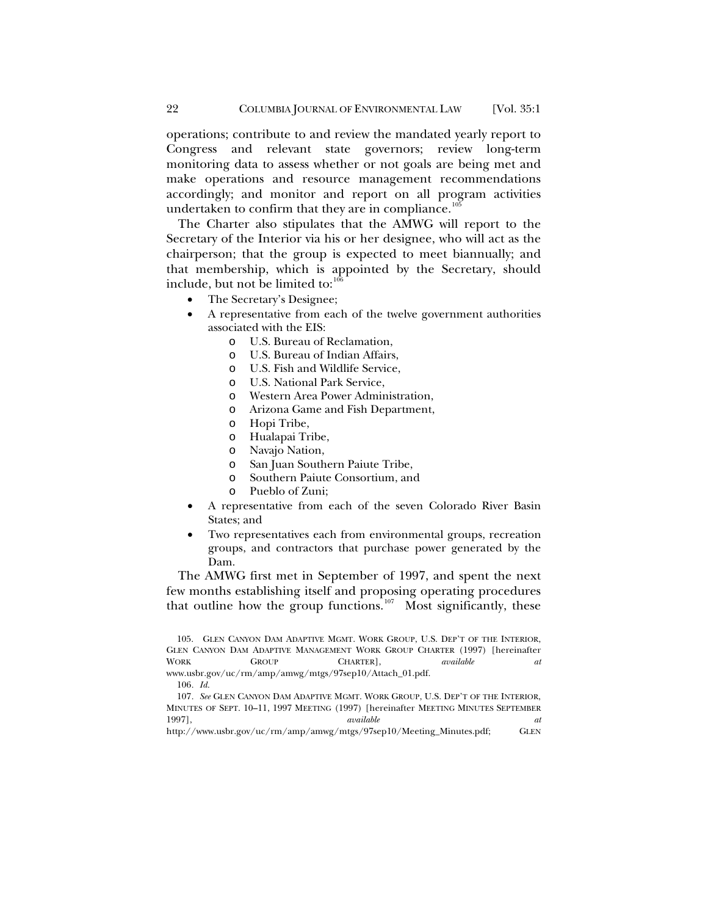operations; contribute to and review the mandated yearly report to Congress and relevant state governors; review long-term monitoring data to assess whether or not goals are being met and make operations and resource management recommendations accordingly; and monitor and report on all program activities undertaken to confirm that they are in compliance.<sup>10</sup>

The Charter also stipulates that the AMWG will report to the Secretary of the Interior via his or her designee, who will act as the chairperson; that the group is expected to meet biannually; and that membership, which is appointed by the Secretary, should include, but not be limited to: $\frac{100}{6}$ 

- The Secretary's Designee;
- A representative from each of the twelve government authorities associated with the EIS:
	- o U.S. Bureau of Reclamation,
	- o U.S. Bureau of Indian Affairs,
	- o U.S. Fish and Wildlife Service,
	- o U.S. National Park Service,
	- o Western Area Power Administration,
	- o Arizona Game and Fish Department,
	- o Hopi Tribe,
	- o Hualapai Tribe,
	- o Navajo Nation,
	- o San Juan Southern Paiute Tribe,
	- o Southern Paiute Consortium, and
	- o Pueblo of Zuni;
- A representative from each of the seven Colorado River Basin States; and
- Two representatives each from environmental groups, recreation groups, and contractors that purchase power generated by the Dam.

The AMWG first met in September of 1997, and spent the next few months establishing itself and proposing operating procedures that outline how the group functions.<sup>[107](#page-21-2)</sup> Most significantly, these

<sup>105.</sup> GLEN CANYON DAM ADAPTIVE MGMT. WORK GROUP, U.S. DEP'T OF THE INTERIOR, GLEN CANYON DAM ADAPTIVE MANAGEMENT WORK GROUP CHARTER (1997) [hereinafter WORK GROUP CHARTER], *available at*  www.usbr.gov/uc/rm/amp/amwg/mtgs/97sep10/Attach\_01.pdf. 106*. Id.*

<span id="page-21-2"></span><span id="page-21-1"></span><span id="page-21-0"></span><sup>107</sup>*. See* GLEN CANYON DAM ADAPTIVE MGMT. WORK GROUP, U.S. DEP'T OF THE INTERIOR, MINUTES OF SEPT. 10–11, 1997 MEETING (1997) [hereinafter MEETING MINUTES SEPTEMBER

<sup>1997],</sup> *available at* http://www.usbr.gov/uc/rm/amp/amwg/mtgs/97sep10/Meeting\_Minutes.pdf; GLEN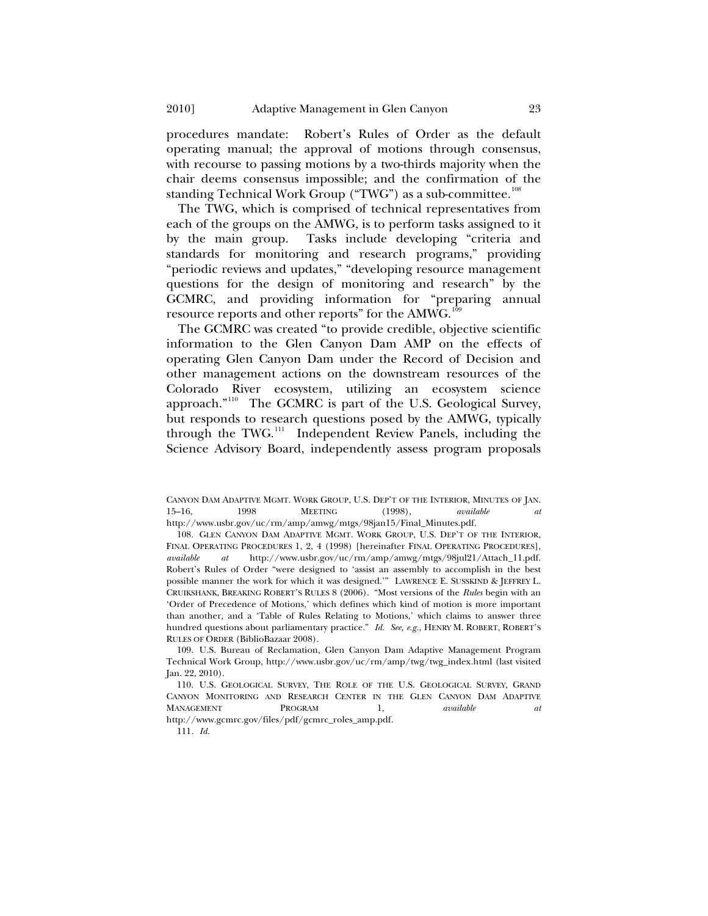procedures mandate: Robert's Rules of Order as the default operating manual; the approval of motions through consensus, with recourse to passing motions by a two-thirds majority when the chair deems consensus impossible; and the confirmation of the standing Technical Work Group ("TWG") as a sub-committee.<sup>[108](#page-22-0)</sup>

The TWG, which is comprised of technical representatives from each of the groups on the AMWG, is to perform tasks assigned to it by the main group. Tasks include developing "criteria and standards for monitoring and research programs," providing "periodic reviews and updates," "developing resource management questions for the design of monitoring and research" by the GCMRC, and providing information for "preparing annual resource reports and other reports" for the AMWG.<sup>[109](#page-22-1)</sup>

The GCMRC was created "to provide credible, objective scientific information to the Glen Canyon Dam AMP on the effects of operating Glen Canyon Dam under the Record of Decision and other management actions on the downstream resources of the Colorado River ecosystem, utilizing an ecosystem science approach."[110](#page-22-2) The GCMRC is part of the U.S. Geological Survey, but responds to research questions posed by the AMWG, typically through the TWG.<sup>[111](#page-22-3)</sup> Independent Review Panels, including the Science Advisory Board, independently assess program proposals

<span id="page-22-1"></span>109. U.S. Bureau of Reclamation, Glen Canyon Dam Adaptive Management Program Technical Work Group, http://www.usbr.gov/uc/rm/amp/twg/twg\_index.html (last visited Jan. 22, 2010).

111*. Id.*

CANYON DAM ADAPTIVE MGMT. WORK GROUP, U.S. DEP'T OF THE INTERIOR, MINUTES OF JAN. 15–16, 1998 MEETING (1998), *available at* http://www.usbr.gov/uc/rm/amp/amwg/mtgs/98jan15/Final\_Minutes.pdf.

<span id="page-22-0"></span><sup>108.</sup> GLEN CANYON DAM ADAPTIVE MGMT. WORK GROUP, U.S. DEP'T OF THE INTERIOR, FINAL OPERATING PROCEDURES 1, 2, 4 (1998) [hereinafter FINAL OPERATING PROCEDURES], *available at* http://www.usbr.gov/uc/rm/amp/amwg/mtgs/98jul21/Attach\_11.pdf. Robert's Rules of Order "were designed to 'assist an assembly to accomplish in the best possible manner the work for which it was designed.'" LAWRENCE E. SUSSKIND & JEFFREY L. CRUIKSHANK, BREAKING ROBERT'S RULES 8 (2006). "Most versions of the *Rules* begin with an 'Order of Precedence of Motions,' which defines which kind of motion is more important than another, and a 'Table of Rules Relating to Motions,' which claims to answer three hundred questions about parliamentary practice." *Id. See, e.g.*, HENRY M. ROBERT, ROBERT'S RULES OF ORDER (BiblioBazaar 2008).

<span id="page-22-3"></span><span id="page-22-2"></span><sup>110.</sup> U.S. GEOLOGICAL SURVEY, THE ROLE OF THE U.S. GEOLOGICAL SURVEY, GRAND CANYON MONITORING AND RESEARCH CENTER IN THE GLEN CANYON DAM ADAPTIVE MANAGEMENT PROGRAM 1, *available at*  http://www.gcmrc.gov/files/pdf/gcmrc\_roles\_amp.pdf.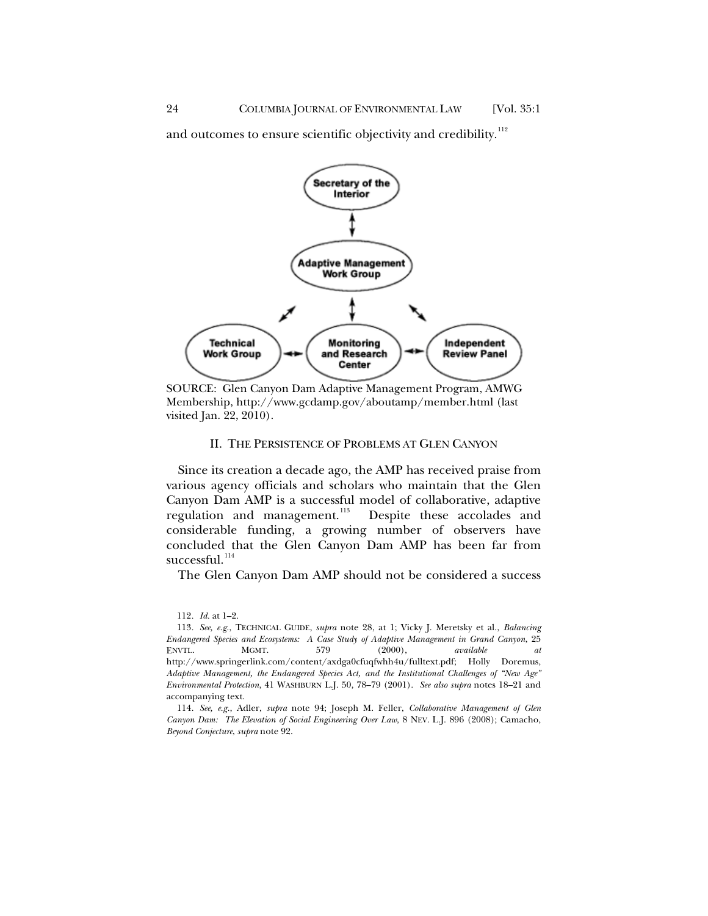<span id="page-23-0"></span>and outcomes to ensure scientific objectivity and credibility.<sup>[112](#page-23-1)</sup>



SOURCE: Glen Canyon Dam Adaptive Management Program, AMWG Membership, http://www.gcdamp.gov/aboutamp/member.html (last visited Jan. 22, 2010).

## II. THE PERSISTENCE OF PROBLEMS AT GLEN CANYON

Since its creation a decade ago, the AMP has received praise from various agency officials and scholars who maintain that the Glen Canyon Dam AMP is a successful model of collaborative, adaptive regulation and management.<sup>[113](#page-23-2)</sup> Despite these accolades and considerable funding, a growing number of observers have concluded that the Glen Canyon Dam AMP has been far from  $succes$ sful. $^{114}$  $^{114}$  $^{114}$ 

The Glen Canyon Dam AMP should not be considered a success

<sup>112</sup>*. Id.* at 1–2.

<span id="page-23-2"></span><span id="page-23-1"></span><sup>113</sup>*. See, e.g.*, TECHNICAL GUIDE, *supra* note 28, at 1; Vicky J. Meretsky et al., *Balancing Endangered Species and Ecosystems: A Case Study of Adaptive Management in Grand Canyon*, 25 ENVTL. MGMT. 579 (2000), *available at*  http://www.springerlink.com/content/axdga0cfuqfwhh4u/fulltext.pdf; Holly Doremus, *Adaptive Management, the Endangered Species Act, and the Institutional Challenges of "New Age" Environmental Protection*, 41 WASHBURN L.J. 50, 78–79 (2001). *See also supra* notes 18–21 and accompanying text.

<span id="page-23-3"></span><sup>114</sup>*. See, e.g.*, Adler, *supra* note 94; Joseph M. Feller, *Collaborative Management of Glen Canyon Dam: The Elevation of Social Engineering Over Law*, 8 NEV. L.J. 896 (2008); Camacho, *Beyond Conjecture*, *supra* note 92.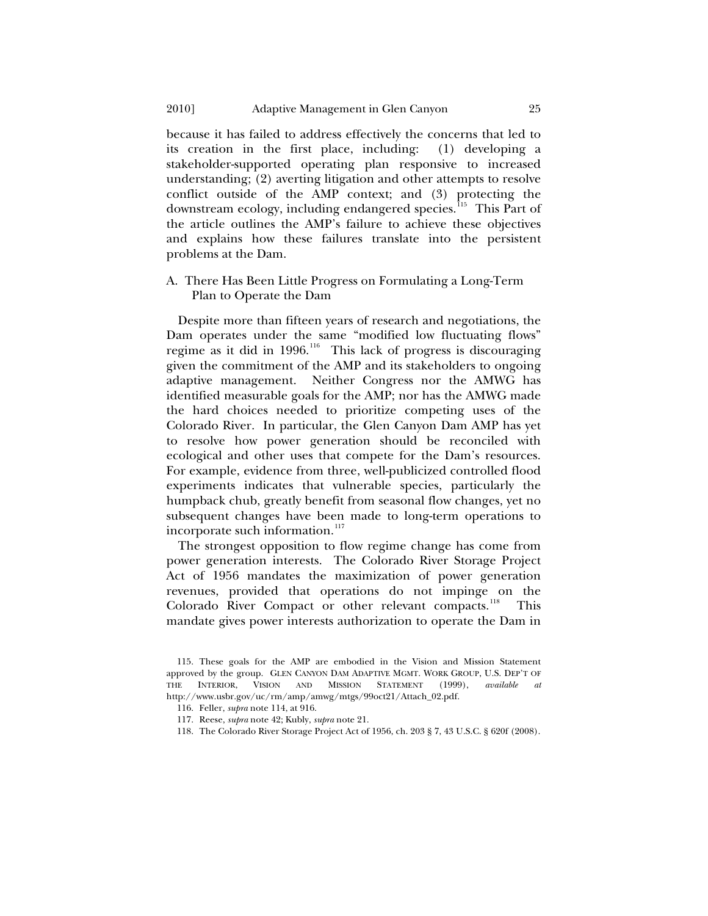<span id="page-24-0"></span>because it has failed to address effectively the concerns that led to its creation in the first place, including: (1) developing a stakeholder-supported operating plan responsive to increased understanding; (2) averting litigation and other attempts to resolve conflict outside of the AMP context; and (3) protecting the downstream ecology, including endangered species.<sup>[115](#page-24-1)</sup> This Part of the article outlines the AMP's failure to achieve these objectives and explains how these failures translate into the persistent problems at the Dam.

A. There Has Been Little Progress on Formulating a Long-Term Plan to Operate the Dam

Despite more than fifteen years of research and negotiations, the Dam operates under the same "modified low fluctuating flows" regime as it did in 1996.<sup>[116](#page-24-2)</sup> This lack of progress is discouraging given the commitment of the AMP and its stakeholders to ongoing adaptive management. Neither Congress nor the AMWG has identified measurable goals for the AMP; nor has the AMWG made the hard choices needed to prioritize competing uses of the Colorado River. In particular, the Glen Canyon Dam AMP has yet to resolve how power generation should be reconciled with ecological and other uses that compete for the Dam's resources. For example, evidence from three, well-publicized controlled flood experiments indicates that vulnerable species, particularly the humpback chub, greatly benefit from seasonal flow changes, yet no subsequent changes have been made to long-term operations to incorporate such information.<sup>[117](#page-24-3)</sup>

The strongest opposition to flow regime change has come from power generation interests. The Colorado River Storage Project Act of 1956 mandates the maximization of power generation revenues, provided that operations do not impinge on the Colorado River Compact or other relevant compacts.<sup>[118](#page-24-4)</sup> This mandate gives power interests authorization to operate the Dam in

- 117. Reese, *supra* note 42; Kubly, *supra* note 21.
- <span id="page-24-4"></span>118. The Colorado River Storage Project Act of 1956, ch. 203 § 7, 43 U.S.C. § 620f (2008).

<span id="page-24-3"></span><span id="page-24-2"></span><span id="page-24-1"></span><sup>115.</sup> These goals for the AMP are embodied in the Vision and Mission Statement approved by the group. GLEN CANYON DAM ADAPTIVE MGMT. WORK GROUP, U.S. DEP'T OF THE INTERIOR, VISION AND MISSION STATEMENT (1999), *available at* http://www.usbr.gov/uc/rm/amp/amwg/mtgs/99oct21/Attach\_02.pdf.

<sup>116.</sup> Feller, *supra* note 114, at 916.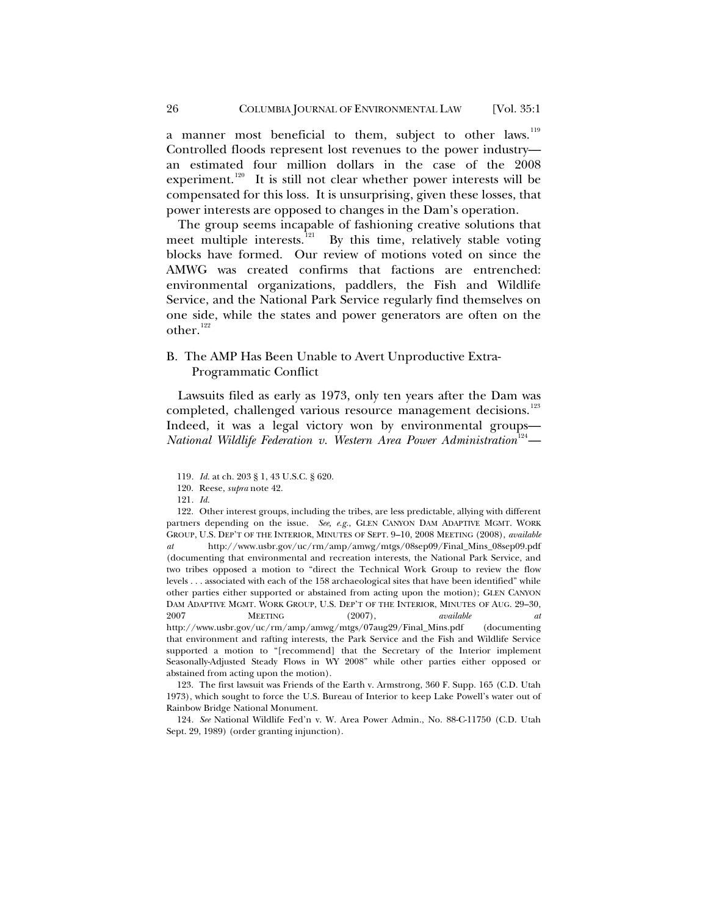a manner most beneficial to them, subject to other laws.<sup>[119](#page-25-1)</sup> Controlled floods represent lost revenues to the power industry an estimated four million dollars in the case of the 2008 experiment.<sup>[120](#page-25-2)</sup> It is still not clear whether power interests will be compensated for this loss. It is unsurprising, given these losses, that power interests are opposed to changes in the Dam's operation.

The group seems incapable of fashioning creative solutions that meet multiple interests.<sup>[121](#page-25-3)</sup> By this time, relatively stable voting blocks have formed. Our review of motions voted on since the AMWG was created confirms that factions are entrenched: environmental organizations, paddlers, the Fish and Wildlife Service, and the National Park Service regularly find themselves on one side, while the states and power generators are often on the other.<sup>[122](#page-25-4)</sup>

## B. The AMP Has Been Unable to Avert Unproductive Extra-Programmatic Conflict

Lawsuits filed as early as 1973, only ten years after the Dam was completed, challenged various resource management decisions.<sup>[123](#page-25-5)</sup> Indeed, it was a legal victory won by environmental groups— National Wildlife Federation v. Western Area Power Administration<sup>[124](#page-25-6)</sup>—

<span id="page-25-5"></span>123. The first lawsuit was Friends of the Earth v. Armstrong, 360 F. Supp. 165 (C.D. Utah 1973), which sought to force the U.S. Bureau of Interior to keep Lake Powell's water out of Rainbow Bridge National Monument.

<span id="page-25-6"></span>124*. See* National Wildlife Fed'n v. W. Area Power Admin., No. 88-C-11750 (C.D. Utah Sept. 29, 1989) (order granting injunction).

<span id="page-25-0"></span>

<sup>119</sup>*. Id.* at ch. 203 § 1, 43 U.S.C. § 620.

<sup>120.</sup> Reese, *supra* note 42.

<sup>121</sup>*. Id.*

<span id="page-25-4"></span><span id="page-25-3"></span><span id="page-25-2"></span><span id="page-25-1"></span><sup>122.</sup> Other interest groups, including the tribes, are less predictable, allying with different partners depending on the issue. *See, e.g.*, GLEN CANYON DAM ADAPTIVE MGMT. WORK GROUP, U.S. DEP'T OF THE INTERIOR, MINUTES OF SEPT. 9–10, 2008 MEETING (2008), *available at* http://www.usbr.gov/uc/rm/amp/amwg/mtgs/08sep09/Final\_Mins\_08sep09.pdf (documenting that environmental and recreation interests, the National Park Service, and two tribes opposed a motion to "direct the Technical Work Group to review the flow levels . . . associated with each of the 158 archaeological sites that have been identified" while other parties either supported or abstained from acting upon the motion); GLEN CANYON DAM ADAPTIVE MGMT. WORK GROUP, U.S. DEP'T OF THE INTERIOR, MINUTES OF AUG. 29–30, 2007 MEETING (2007), *available at* http://www.usbr.gov/uc/rm/amp/amwg/mtgs/07aug29/Final\_Mins.pdf (documenting that environment and rafting interests, the Park Service and the Fish and Wildlife Service supported a motion to "[recommend] that the Secretary of the Interior implement Seasonally-Adjusted Steady Flows in WY 2008" while other parties either opposed or abstained from acting upon the motion).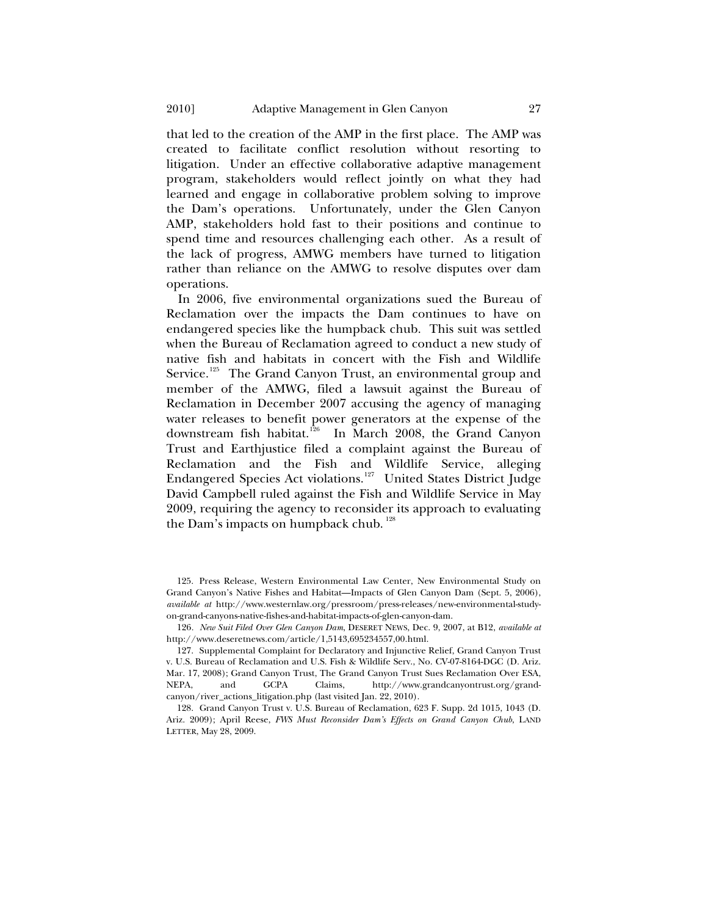that led to the creation of the AMP in the first place. The AMP was created to facilitate conflict resolution without resorting to litigation. Under an effective collaborative adaptive management program, stakeholders would reflect jointly on what they had learned and engage in collaborative problem solving to improve the Dam's operations. Unfortunately, under the Glen Canyon AMP, stakeholders hold fast to their positions and continue to spend time and resources challenging each other. As a result of the lack of progress, AMWG members have turned to litigation rather than reliance on the AMWG to resolve disputes over dam operations.

In 2006, five environmental organizations sued the Bureau of Reclamation over the impacts the Dam continues to have on endangered species like the humpback chub. This suit was settled when the Bureau of Reclamation agreed to conduct a new study of native fish and habitats in concert with the Fish and Wildlife Service.<sup>[125](#page-26-0)</sup> The Grand Canyon Trust, an environmental group and member of the AMWG, filed a lawsuit against the Bureau of Reclamation in December 2007 accusing the agency of managing water releases to benefit power generators at the expense of the downstream fish habitat.[126](#page-26-1) In March 2008, the Grand Canyon Trust and Earthjustice filed a complaint against the Bureau of Reclamation and the Fish and Wildlife Service, alleging Endangered Species Act violations.<sup>[127](#page-26-2)</sup> United States District Judge David Campbell ruled against the Fish and Wildlife Service in May 2009, requiring the agency to reconsider its approach to evaluating the Dam's impacts on humpback chub.  $128$ 

<span id="page-26-0"></span><sup>125.</sup> Press Release, Western Environmental Law Center, New Environmental Study on Grand Canyon's Native Fishes and Habitat—Impacts of Glen Canyon Dam (Sept. 5, 2006), *available at* http://www.westernlaw.org/pressroom/press-releases/new-environmental-studyon-grand-canyons-native-fishes-and-habitat-impacts-of-glen-canyon-dam.

<span id="page-26-1"></span><sup>126</sup>*. New Suit Filed Over Glen Canyon Dam*, DESERET NEWS, Dec. 9, 2007, at B12, *available at*  http://www.deseretnews.com/article/1,5143,695234557,00.html.

<span id="page-26-2"></span><sup>127.</sup> Supplemental Complaint for Declaratory and Injunctive Relief, Grand Canyon Trust v. U.S. Bureau of Reclamation and U.S. Fish & Wildlife Serv., No. CV-07-8164-DGC (D. Ariz. Mar. 17, 2008); Grand Canyon Trust, The Grand Canyon Trust Sues Reclamation Over ESA,<br>NEPA, and GCPA Claims, http://www.grandcanvontrust.org/grand-Claims, http://www.grandcanyontrust.org/grandcanyon/river\_actions\_litigation.php (last visited Jan. 22, 2010).

<span id="page-26-3"></span><sup>128.</sup> Grand Canyon Trust v. U.S. Bureau of Reclamation, 623 F. Supp. 2d 1015, 1043 (D. Ariz. 2009); April Reese, *FWS Must Reconsider Dam's Effects on Grand Canyon Chub*, LAND LETTER, May 28, 2009.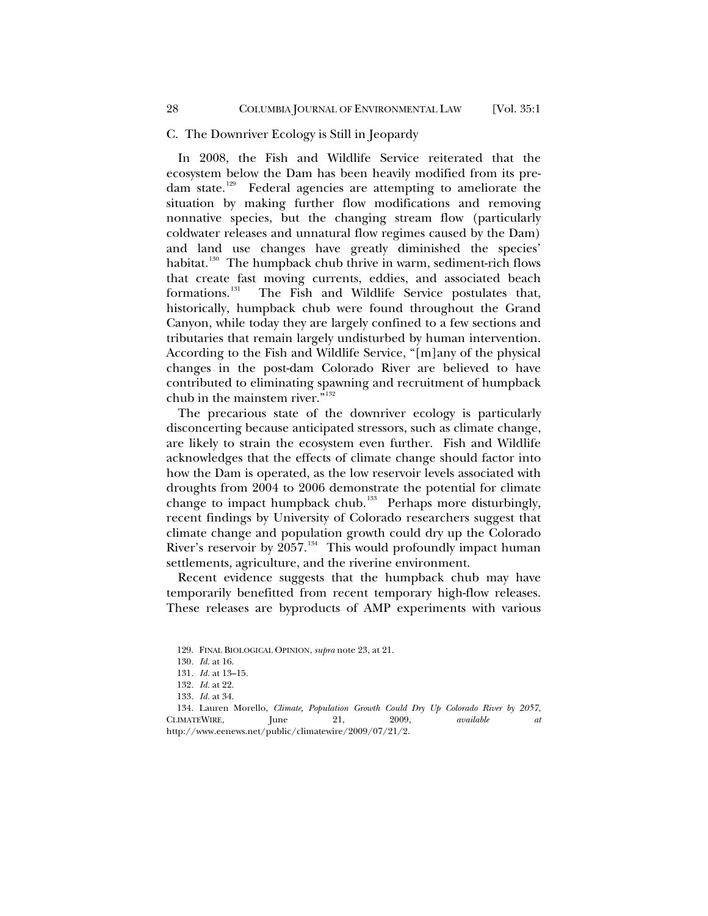#### C. The Downriver Ecology is Still in Jeopardy

In 2008, the Fish and Wildlife Service reiterated that the ecosystem below the Dam has been heavily modified from its predam state.[129](#page-27-1) Federal agencies are attempting to ameliorate the situation by making further flow modifications and removing nonnative species, but the changing stream flow (particularly coldwater releases and unnatural flow regimes caused by the Dam) and land use changes have greatly diminished the species' habitat.<sup>[130](#page-27-2)</sup> The humpback chub thrive in warm, sediment-rich flows that create fast moving currents, eddies, and associated beach formations.<sup>131</sup> The Fish and Wildlife Service postulates that, The Fish and Wildlife Service postulates that, historically, humpback chub were found throughout the Grand Canyon, while today they are largely confined to a few sections and tributaries that remain largely undisturbed by human intervention. According to the Fish and Wildlife Service, "[m]any of the physical changes in the post-dam Colorado River are believed to have contributed to eliminating spawning and recruitment of humpback chub in the mainstem river. $\mathbb{R}^{132}$  $\mathbb{R}^{132}$  $\mathbb{R}^{132}$ 

The precarious state of the downriver ecology is particularly disconcerting because anticipated stressors, such as climate change, are likely to strain the ecosystem even further. Fish and Wildlife acknowledges that the effects of climate change should factor into how the Dam is operated, as the low reservoir levels associated with droughts from 2004 to 2006 demonstrate the potential for climate change to impact humpback chub.<sup>[133](#page-27-5)</sup> Perhaps more disturbingly, recent findings by University of Colorado researchers suggest that climate change and population growth could dry up the Colorado River's reservoir by  $2057.^{134}$  $2057.^{134}$  $2057.^{134}$  This would profoundly impact human settlements, agriculture, and the riverine environment.

Recent evidence suggests that the humpback chub may have temporarily benefitted from recent temporary high-flow releases. These releases are byproducts of AMP experiments with various

<span id="page-27-0"></span>

<sup>129.</sup> FINAL BIOLOGICAL OPINION, *supra* note 23, at 21.

<sup>130</sup>*. Id.* at 16.

<sup>131</sup>*. Id.* at 13–15.

<sup>132</sup>*. Id.* at 22.

<sup>133</sup>*. Id.* at 34.

<span id="page-27-6"></span><span id="page-27-5"></span><span id="page-27-4"></span><span id="page-27-3"></span><span id="page-27-2"></span><span id="page-27-1"></span><sup>134.</sup> Lauren Morello, *Climate, Population Growth Could Dry Up Colorado River by 2057*, CLIMATEWIRE, June 21, 2009, *available at* http://www.eenews.net/public/climatewire/2009/07/21/2.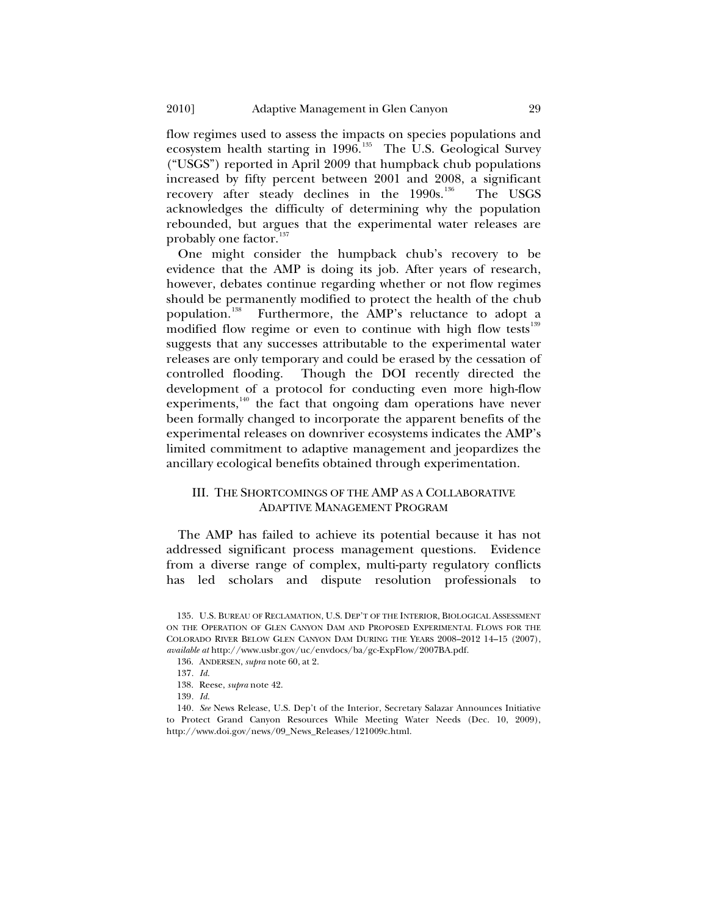<span id="page-28-0"></span>flow regimes used to assess the impacts on species populations and ecosystem health starting in 1996.<sup>[135](#page-28-1)</sup> The U.S. Geological Survey ("USGS") reported in April 2009 that humpback chub populations increased by fifty percent between 2001 and 2008, a significant recovery after steady declines in the 1990s.<sup>[136](#page-28-2)</sup> The USGS acknowledges the difficulty of determining why the population rebounded, but argues that the experimental water releases are probably one factor.<sup>[137](#page-28-3)</sup>

One might consider the humpback chub's recovery to be evidence that the AMP is doing its job. After years of research, however, debates continue regarding whether or not flow regimes should be permanently modified to protect the health of the chub population.[138](#page-28-4) Furthermore, the AMP's reluctance to adopt a modified flow regime or even to continue with high flow tests<sup>[139](#page-28-5)</sup> suggests that any successes attributable to the experimental water releases are only temporary and could be erased by the cessation of controlled flooding. Though the DOI recently directed the development of a protocol for conducting even more high-flow experiments, $140$  the fact that ongoing dam operations have never been formally changed to incorporate the apparent benefits of the experimental releases on downriver ecosystems indicates the AMP's limited commitment to adaptive management and jeopardizes the ancillary ecological benefits obtained through experimentation.

## III. THE SHORTCOMINGS OF THE AMP AS A COLLABORATIVE ADAPTIVE MANAGEMENT PROGRAM

The AMP has failed to achieve its potential because it has not addressed significant process management questions. Evidence from a diverse range of complex, multi-party regulatory conflicts has led scholars and dispute resolution professionals to

<span id="page-28-2"></span><span id="page-28-1"></span><sup>135.</sup> U.S. BUREAU OF RECLAMATION, U.S. DEP'T OF THE INTERIOR, BIOLOGICAL ASSESSMENT ON THE OPERATION OF GLEN CANYON DAM AND PROPOSED EXPERIMENTAL FLOWS FOR THE COLORADO RIVER BELOW GLEN CANYON DAM DURING THE YEARS 2008–2012 14–15 (2007), *available at* http://www.usbr.gov/uc/envdocs/ba/gc-ExpFlow/2007BA.pdf.

<sup>136.</sup> ANDERSEN, *supra* note 60, at 2.

<sup>137</sup>*. Id.*

<sup>138.</sup> Reese, *supra* note 42.

<sup>139</sup>*. Id.*

<span id="page-28-6"></span><span id="page-28-5"></span><span id="page-28-4"></span><span id="page-28-3"></span><sup>140</sup>*. See* News Release, U.S. Dep't of the Interior, Secretary Salazar Announces Initiative to Protect Grand Canyon Resources While Meeting Water Needs (Dec. 10, 2009), http://www.doi.gov/news/09\_News\_Releases/121009c.html.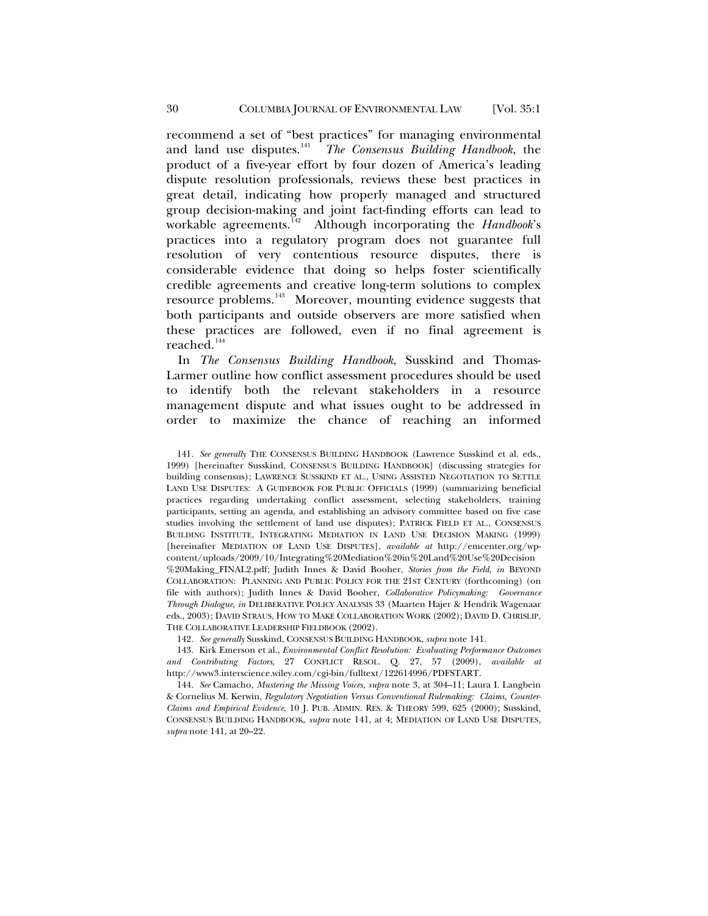recommend a set of "best practices" for managing environmental and land use disputes.<sup>[141](#page-29-0)</sup> The Consensus Building Handbook, the product of a five-year effort by four dozen of America's leading dispute resolution professionals, reviews these best practices in great detail, indicating how properly managed and structured group decision-making and joint fact-finding efforts can lead to workable agreements.[142](#page-29-1) Although incorporating the *Handbook*'s practices into a regulatory program does not guarantee full resolution of very contentious resource disputes, there is considerable evidence that doing so helps foster scientifically credible agreements and creative long-term solutions to complex resource problems.[143](#page-29-2) Moreover, mounting evidence suggests that both participants and outside observers are more satisfied when these practices are followed, even if no final agreement is reached.<sup>[144](#page-29-3)</sup>

In *The Consensus Building Handbook*, Susskind and Thomas-Larmer outline how conflict assessment procedures should be used to identify both the relevant stakeholders in a resource management dispute and what issues ought to be addressed in order to maximize the chance of reaching an informed

<span id="page-29-0"></span>141*. See generally* THE CONSENSUS BUILDING HANDBOOK (Lawrence Susskind et al. eds., 1999) [hereinafter Susskind, CONSENSUS BUILDING HANDBOOK] (discussing strategies for building consensus); LAWRENCE SUSSKIND ET AL., USING ASSISTED NEGOTIATION TO SETTLE LAND USE DISPUTES: A GUIDEBOOK FOR PUBLIC OFFICIALS (1999) (summarizing beneficial practices regarding undertaking conflict assessment, selecting stakeholders, training participants, setting an agenda, and establishing an advisory committee based on five case studies involving the settlement of land use disputes); PATRICK FIELD ET AL., CONSENSUS BUILDING INSTITUTE, INTEGRATING MEDIATION IN LAND USE DECISION MAKING (1999) [hereinafter MEDIATION OF LAND USE DISPUTES], *available at* http://emcenter.org/wpcontent/uploads/2009/10/Integrating%20Mediation%20in%20Land%20Use%20Decision %20Making\_FINAL2.pdf; Judith Innes & David Booher, *Stories from the Field*, *in* BEYOND COLLABORATION: PLANNING AND PUBLIC POLICY FOR THE 21ST CENTURY (forthcoming) (on file with authors); Judith Innes & David Booher, *Collaborative Policymaking: Governance Through Dialogue*, *in* DELIBERATIVE POLICY ANALYSIS 33 (Maarten Hajer & Hendrik Wagenaar eds., 2003); DAVID STRAUS, HOW TO MAKE COLLABORATION WORK (2002); DAVID D. CHRISLIP, THE COLLABORATIVE LEADERSHIP FIELDBOOK (2002).

142*. See generally* Susskind, CONSENSUS BUILDING HANDBOOK, *supra* note 141.

<span id="page-29-2"></span><span id="page-29-1"></span>143. Kirk Emerson et al., *Environmental Conflict Resolution: Evaluating Performance Outcomes and Contributing Factors*, 27 CONFLICT RESOL. Q. 27, 57 (2009), *available at* http://www3.interscience.wiley.com/cgi-bin/fulltext/122614996/PDFSTART.

<span id="page-29-3"></span>144*. See* Camacho, *Mustering the Missing Voices*, *supra* note 3, at 304–11; Laura I. Langbein & Cornelius M. Kerwin, *Regulatory Negotiation Versus Conventional Rulemaking: Claims, Counter-Claims and Empirical Evidence*, 10 J. PUB. ADMIN. RES. & THEORY 599, 625 (2000); Susskind, CONSENSUS BUILDING HANDBOOK, *supra* note 141, at 4; MEDIATION OF LAND USE DISPUTES, *supra* note 141, at 20–22.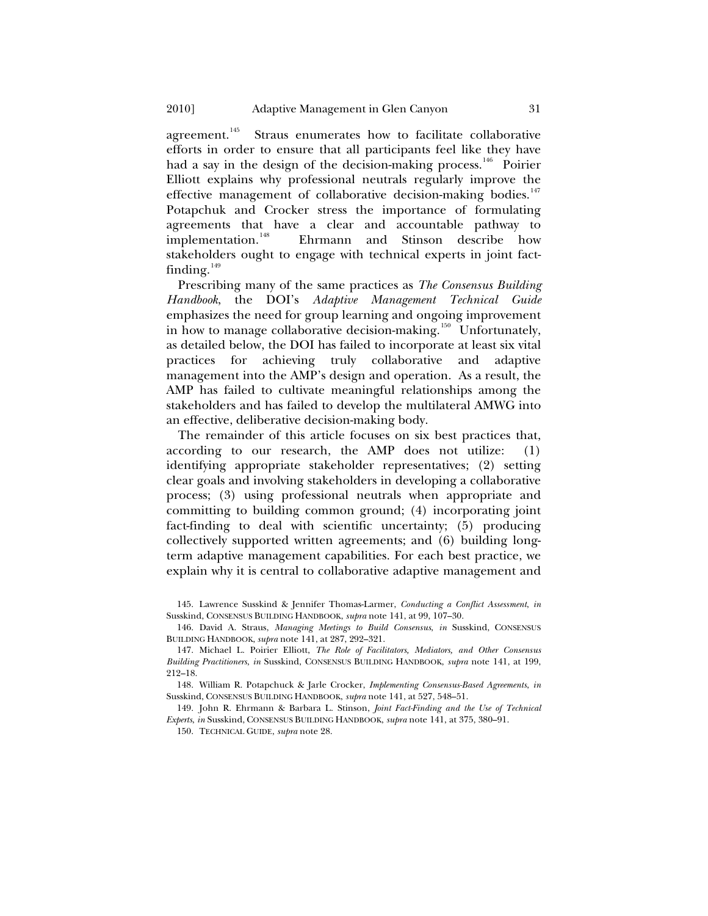agreement.<sup>[145](#page-30-0)</sup> Straus enumerates how to facilitate collaborative efforts in order to ensure that all participants feel like they have had a say in the design of the decision-making process.<sup>[146](#page-30-1)</sup> Poirier Elliott explains why professional neutrals regularly improve the effective management of collaborative decision-making bodies.<sup>[147](#page-30-2)</sup> Potapchuk and Crocker stress the importance of formulating agreements that have a clear and accountable pathway to implementation.<sup>148</sup> Ehrmann and Stinson describe how Ehrmann and Stinson describe how stakeholders ought to engage with technical experts in joint factfinding. $149$ 

Prescribing many of the same practices as *The Consensus Building Handbook*, the DOI's *Adaptive Management Technical Guide* emphasizes the need for group learning and ongoing improvement in how to manage collaborative decision-making.<sup>[150](#page-30-5)</sup> Unfortunately, as detailed below, the DOI has failed to incorporate at least six vital practices for achieving truly collaborative and adaptive management into the AMP's design and operation. As a result, the AMP has failed to cultivate meaningful relationships among the stakeholders and has failed to develop the multilateral AMWG into an effective, deliberative decision-making body.

The remainder of this article focuses on six best practices that, according to our research, the AMP does not utilize: (1) identifying appropriate stakeholder representatives; (2) setting clear goals and involving stakeholders in developing a collaborative process; (3) using professional neutrals when appropriate and committing to building common ground; (4) incorporating joint fact-finding to deal with scientific uncertainty; (5) producing collectively supported written agreements; and (6) building longterm adaptive management capabilities. For each best practice, we explain why it is central to collaborative adaptive management and

<span id="page-30-0"></span>145. Lawrence Susskind & Jennifer Thomas-Larmer, *Conducting a Conflict Assessment*, *in* Susskind, CONSENSUS BUILDING HANDBOOK, *supra* note 141, at 99, 107–30.

<span id="page-30-1"></span>146. David A. Straus, *Managing Meetings to Build Consensus*, *in* Susskind, CONSENSUS BUILDING HANDBOOK, *supra* note 141, at 287, 292–321.

<span id="page-30-3"></span>148. William R. Potapchuck & Jarle Crocker, *Implementing Consensus-Based Agreements*, *in* Susskind, CONSENSUS BUILDING HANDBOOK, *supra* note 141, at 527, 548–51.

<span id="page-30-5"></span><span id="page-30-4"></span>149. John R. Ehrmann & Barbara L. Stinson, *Joint Fact-Finding and the Use of Technical Experts*, *in* Susskind, CONSENSUS BUILDING HANDBOOK, *supra* note 141, at 375, 380–91.

150. TECHNICAL GUIDE, *supra* note 28.

<span id="page-30-2"></span><sup>147.</sup> Michael L. Poirier Elliott, *The Role of Facilitators, Mediators, and Other Consensus Building Practitioners*, *in* Susskind, CONSENSUS BUILDING HANDBOOK, *supra* note 141, at 199, 212–18.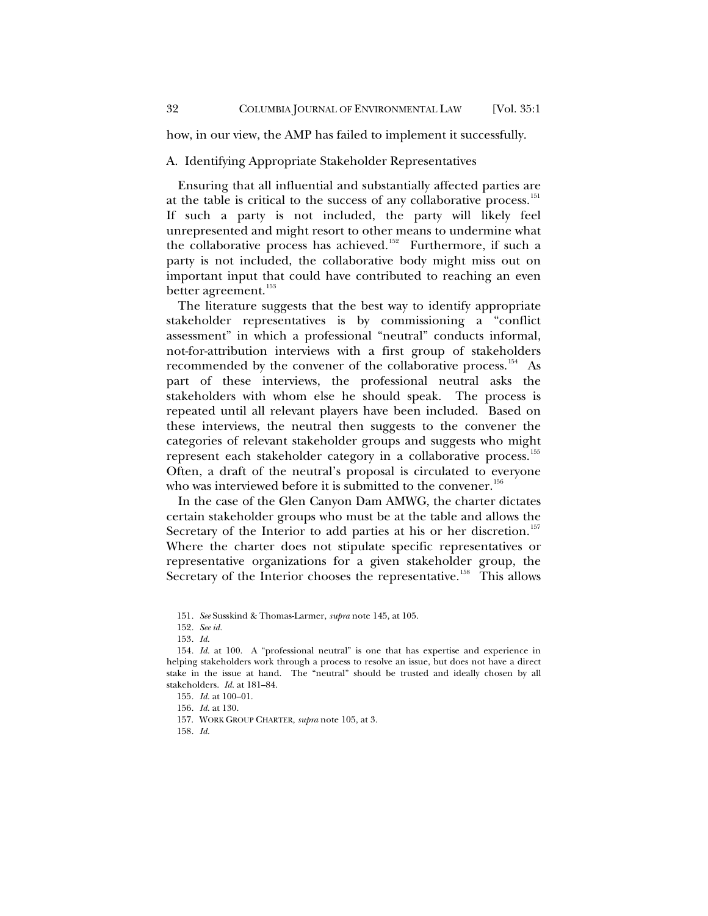<span id="page-31-0"></span>how, in our view, the AMP has failed to implement it successfully.

### A. Identifying Appropriate Stakeholder Representatives

Ensuring that all influential and substantially affected parties are at the table is critical to the success of any collaborative process.<sup>[151](#page-31-1)</sup> If such a party is not included, the party will likely feel unrepresented and might resort to other means to undermine what the collaborative process has achieved.<sup>[152](#page-31-2)</sup> Furthermore, if such a party is not included, the collaborative body might miss out on important input that could have contributed to reaching an even better agreement.<sup>[153](#page-31-3)</sup>

The literature suggests that the best way to identify appropriate stakeholder representatives is by commissioning a "conflict assessment" in which a professional "neutral" conducts informal, not-for-attribution interviews with a first group of stakeholders recommended by the convener of the collaborative process.<sup>[154](#page-31-4)</sup> As part of these interviews, the professional neutral asks the stakeholders with whom else he should speak. The process is repeated until all relevant players have been included. Based on these interviews, the neutral then suggests to the convener the categories of relevant stakeholder groups and suggests who might represent each stakeholder category in a collaborative process.<sup>[155](#page-31-5)</sup> Often, a draft of the neutral's proposal is circulated to everyone who was interviewed before it is submitted to the convener.<sup>[156](#page-31-6)</sup>

In the case of the Glen Canyon Dam AMWG, the charter dictates certain stakeholder groups who must be at the table and allows the Secretary of the Interior to add parties at his or her discretion.<sup>[157](#page-31-7)</sup> Where the charter does not stipulate specific representatives or representative organizations for a given stakeholder group, the Secretary of the Interior chooses the representative.<sup>[158](#page-31-8)</sup> This allows

152*. See id.*

<span id="page-31-8"></span>158*. Id.*

<sup>151</sup>*. See* Susskind & Thomas-Larmer, *supra* note 145, at 105.

<sup>153</sup>*. Id.*

<span id="page-31-6"></span><span id="page-31-5"></span><span id="page-31-4"></span><span id="page-31-3"></span><span id="page-31-2"></span><span id="page-31-1"></span><sup>154</sup>*. Id.* at 100. A "professional neutral" is one that has expertise and experience in helping stakeholders work through a process to resolve an issue, but does not have a direct stake in the issue at hand. The "neutral" should be trusted and ideally chosen by all stakeholders. *Id.* at 181–84.

<sup>155</sup>*. Id.* at 100–01.

<sup>156</sup>*. Id.* at 130.

<span id="page-31-7"></span><sup>157.</sup> WORK GROUP CHARTER, *supra* note 105, at 3.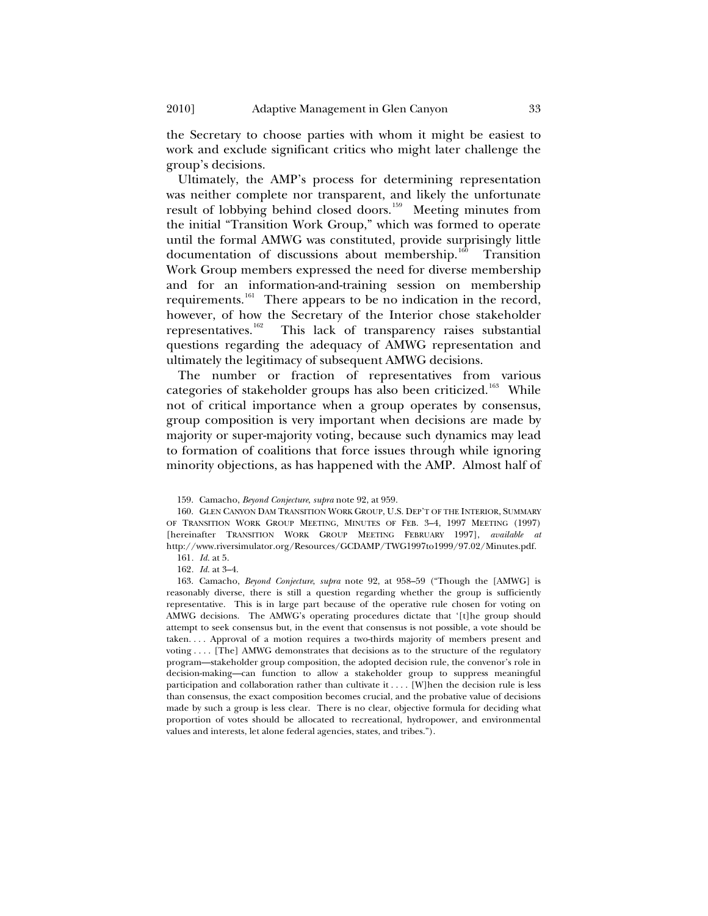the Secretary to choose parties with whom it might be easiest to work and exclude significant critics who might later challenge the group's decisions.

Ultimately, the AMP's process for determining representation was neither complete nor transparent, and likely the unfortunate result of lobbying behind closed doors.<sup>[159](#page-32-0)</sup> Meeting minutes from the initial "Transition Work Group," which was formed to operate until the formal AMWG was constituted, provide surprisingly little documentation of discussions about membership.<sup>[160](#page-32-1)</sup> Transition Work Group members expressed the need for diverse membership and for an information-and-training session on membership requirements.<sup>[161](#page-32-2)</sup> There appears to be no indication in the record, however, of how the Secretary of the Interior chose stakeholder representatives.<sup>162</sup> This lack of transparency raises substantial This lack of transparency raises substantial questions regarding the adequacy of AMWG representation and ultimately the legitimacy of subsequent AMWG decisions.

The number or fraction of representatives from various categories of stakeholder groups has also been criticized.<sup>[163](#page-32-4)</sup> While not of critical importance when a group operates by consensus, group composition is very important when decisions are made by majority or super-majority voting, because such dynamics may lead to formation of coalitions that force issues through while ignoring minority objections, as has happened with the AMP. Almost half of

<sup>159.</sup> Camacho, *Beyond Conjecture*, *supra* note 92, at 959.

<span id="page-32-1"></span><span id="page-32-0"></span><sup>160.</sup> GLEN CANYON DAM TRANSITION WORK GROUP, U.S. DEP'T OF THE INTERIOR, SUMMARY OF TRANSITION WORK GROUP MEETING, MINUTES OF FEB. 3–4, 1997 MEETING (1997) [hereinafter TRANSITION WORK GROUP MEETING FEBRUARY 1997], *available at* http://www.riversimulator.org/Resources/GCDAMP/TWG1997to1999/97.02/Minutes.pdf.

<sup>161</sup>*. Id.* at 5.

<sup>162</sup>*. Id.* at 3–4.

<span id="page-32-4"></span><span id="page-32-3"></span><span id="page-32-2"></span><sup>163.</sup> Camacho, *Beyond Conjecture*, *supra* note 92, at 958–59 ("Though the [AMWG] is reasonably diverse, there is still a question regarding whether the group is sufficiently representative. This is in large part because of the operative rule chosen for voting on AMWG decisions. The AMWG's operating procedures dictate that '[t]he group should attempt to seek consensus but, in the event that consensus is not possible, a vote should be taken. . . . Approval of a motion requires a two-thirds majority of members present and voting . . . . [The] AMWG demonstrates that decisions as to the structure of the regulatory program—stakeholder group composition, the adopted decision rule, the convenor's role in decision-making—can function to allow a stakeholder group to suppress meaningful participation and collaboration rather than cultivate it . . . . [W]hen the decision rule is less than consensus, the exact composition becomes crucial, and the probative value of decisions made by such a group is less clear. There is no clear, objective formula for deciding what proportion of votes should be allocated to recreational, hydropower, and environmental values and interests, let alone federal agencies, states, and tribes.").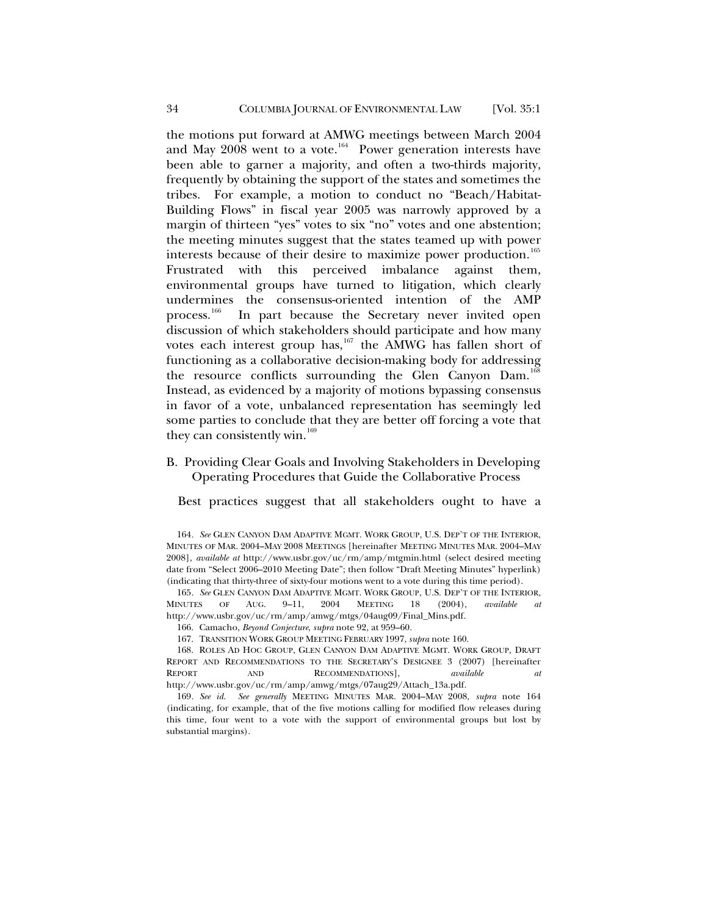<span id="page-33-0"></span>the motions put forward at AMWG meetings between March 2004 and May  $2008$  went to a vote.<sup>[164](#page-33-1)</sup> Power generation interests have been able to garner a majority, and often a two-thirds majority, frequently by obtaining the support of the states and sometimes the tribes. For example, a motion to conduct no "Beach/Habitat-Building Flows" in fiscal year 2005 was narrowly approved by a margin of thirteen "yes" votes to six "no" votes and one abstention; the meeting minutes suggest that the states teamed up with power interests because of their desire to maximize power production.<sup>[165](#page-33-2)</sup> Frustrated with this perceived imbalance against them, environmental groups have turned to litigation, which clearly undermines the consensus-oriented intention of the AMP process.<sup>[166](#page-33-3)</sup> In part because the Secretary never invited open discussion of which stakeholders should participate and how many votes each interest group has, $167$  the AMWG has fallen short of functioning as a collaborative decision-making body for addressing the resource conflicts surrounding the Glen Canyon Dam.<sup>[168](#page-33-5)</sup> Instead, as evidenced by a majority of motions bypassing consensus in favor of a vote, unbalanced representation has seemingly led some parties to conclude that they are better off forcing a vote that they can consistently win.<sup>[169](#page-33-6)</sup>

# B. Providing Clear Goals and Involving Stakeholders in Developing Operating Procedures that Guide the Collaborative Process

Best practices suggest that all stakeholders ought to have a

<span id="page-33-1"></span>164*. See* GLEN CANYON DAM ADAPTIVE MGMT. WORK GROUP, U.S. DEP'T OF THE INTERIOR, MINUTES OF MAR. 2004–MAY 2008 MEETINGS [hereinafter MEETING MINUTES MAR. 2004–MAY 2008], *available at* http://www.usbr.gov/uc/rm/amp/mtgmin.html (select desired meeting date from "Select 2006–2010 Meeting Date"; then follow "Draft Meeting Minutes" hyperlink) (indicating that thirty-three of sixty-four motions went to a vote during this time period).

<span id="page-33-2"></span>165*. See* GLEN CANYON DAM ADAPTIVE MGMT. WORK GROUP, U.S. DEP'T OF THE INTERIOR, MINUTES OF AUG. 9–11, 2004 MEETING 18 (2004), *available at*  http://www.usbr.gov/uc/rm/amp/amwg/mtgs/04aug09/Final\_Mins.pdf.

166. Camacho, *Beyond Conjecture*, *supra* note 92, at 959–60.

167. TRANSITION WORK GROUP MEETING FEBRUARY 1997, *supra* note 160.

<span id="page-33-5"></span><span id="page-33-4"></span><span id="page-33-3"></span>168. ROLES AD HOC GROUP, GLEN CANYON DAM ADAPTIVE MGMT. WORK GROUP, DRAFT REPORT AND RECOMMENDATIONS TO THE SECRETARY'S DESIGNEE 3 (2007) [hereinafter REPORT AND RECOMMENDATIONS], *available* http://www.usbr.gov/uc/rm/amp/amwg/mtgs/07aug29/Attach\_13a.pdf.

<span id="page-33-6"></span>169*. See id. See generally* MEETING MINUTES MAR. 2004–MAY 2008, *supra* note 164 (indicating, for example, that of the five motions calling for modified flow releases during this time, four went to a vote with the support of environmental groups but lost by substantial margins).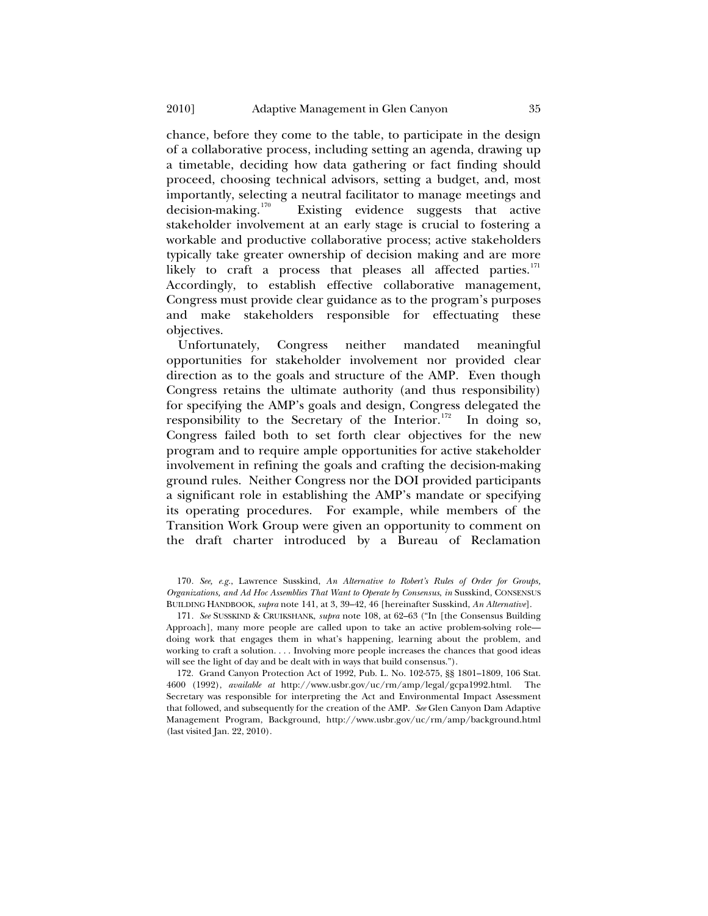chance, before they come to the table, to participate in the design of a collaborative process, including setting an agenda, drawing up a timetable, deciding how data gathering or fact finding should proceed, choosing technical advisors, setting a budget, and, most importantly, selecting a neutral facilitator to manage meetings and decision-making.<sup>170</sup> Existing evidence suggests that active Existing evidence suggests that active stakeholder involvement at an early stage is crucial to fostering a workable and productive collaborative process; active stakeholders typically take greater ownership of decision making and are more likely to craft a process that pleases all affected parties.<sup>[171](#page-34-1)</sup> Accordingly, to establish effective collaborative management, Congress must provide clear guidance as to the program's purposes and make stakeholders responsible for effectuating these objectives.

Unfortunately, Congress neither mandated meaningful opportunities for stakeholder involvement nor provided clear direction as to the goals and structure of the AMP. Even though Congress retains the ultimate authority (and thus responsibility) for specifying the AMP's goals and design, Congress delegated the responsibility to the Secretary of the Interior.<sup>[172](#page-34-2)</sup> In doing so, Congress failed both to set forth clear objectives for the new program and to require ample opportunities for active stakeholder involvement in refining the goals and crafting the decision-making ground rules. Neither Congress nor the DOI provided participants a significant role in establishing the AMP's mandate or specifying its operating procedures. For example, while members of the Transition Work Group were given an opportunity to comment on the draft charter introduced by a Bureau of Reclamation

<span id="page-34-0"></span>170*. See, e.g.*, Lawrence Susskind, *An Alternative to Robert's Rules of Order for Groups, Organizations, and Ad Hoc Assemblies That Want to Operate by Consensus*, *in* Susskind, CONSENSUS BUILDING HANDBOOK, *supra* note 141, at 3, 39–42, 46 [hereinafter Susskind, *An Alternative*].

<span id="page-34-1"></span>171*. See* SUSSKIND & CRUIKSHANK, *supra* note 108, at 62–63 ("In [the Consensus Building Approach], many more people are called upon to take an active problem-solving role doing work that engages them in what's happening, learning about the problem, and working to craft a solution. . . . Involving more people increases the chances that good ideas will see the light of day and be dealt with in ways that build consensus.").

<span id="page-34-2"></span>172. Grand Canyon Protection Act of 1992, Pub. L. No. 102-575, §§ 1801–1809, 106 Stat. 4600 (1992), *available at* http://www.usbr.gov/uc/rm/amp/legal/gcpa1992.html. The Secretary was responsible for interpreting the Act and Environmental Impact Assessment that followed, and subsequently for the creation of the AMP. *See* Glen Canyon Dam Adaptive Management Program, Background, http://www.usbr.gov/uc/rm/amp/background.html (last visited Jan. 22, 2010).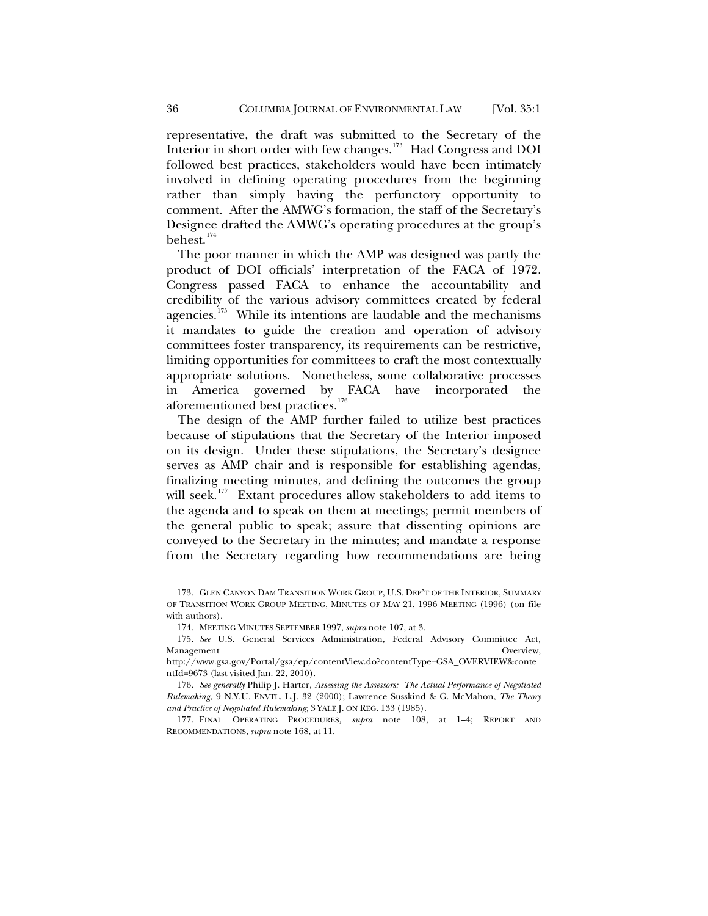representative, the draft was submitted to the Secretary of the Interior in short order with few changes.<sup>[173](#page-35-0)</sup> Had Congress and DOI followed best practices, stakeholders would have been intimately involved in defining operating procedures from the beginning rather than simply having the perfunctory opportunity to comment. After the AMWG's formation, the staff of the Secretary's Designee drafted the AMWG's operating procedures at the group's behest. $174$ 

The poor manner in which the AMP was designed was partly the product of DOI officials' interpretation of the FACA of 1972. Congress passed FACA to enhance the accountability and credibility of the various advisory committees created by federal agencies.<sup>[175](#page-35-2)</sup> While its intentions are laudable and the mechanisms it mandates to guide the creation and operation of advisory committees foster transparency, its requirements can be restrictive, limiting opportunities for committees to craft the most contextually appropriate solutions. Nonetheless, some collaborative processes in America governed by FACA have incorporated the aforementioned best practices.<sup>[176](#page-35-3)</sup>

The design of the AMP further failed to utilize best practices because of stipulations that the Secretary of the Interior imposed on its design. Under these stipulations, the Secretary's designee serves as AMP chair and is responsible for establishing agendas, finalizing meeting minutes, and defining the outcomes the group will seek.<sup>[177](#page-35-4)</sup> Extant procedures allow stakeholders to add items to the agenda and to speak on them at meetings; permit members of the general public to speak; assure that dissenting opinions are conveyed to the Secretary in the minutes; and mandate a response from the Secretary regarding how recommendations are being

174. MEETING MINUTES SEPTEMBER 1997, *supra* note 107, at 3.

<span id="page-35-2"></span><span id="page-35-1"></span>175*. See* U.S. General Services Administration, Federal Advisory Committee Act, Management **Overview,** Overview, **Overview**, **Overview**,

<span id="page-35-4"></span>177. FINAL OPERATING PROCEDURES*, supra* note 108, at 1–4; REPORT AND RECOMMENDATIONS, *supra* note 168, at 11.

<span id="page-35-0"></span><sup>173.</sup> GLEN CANYON DAM TRANSITION WORK GROUP, U.S. DEP'T OF THE INTERIOR, SUMMARY OF TRANSITION WORK GROUP MEETING, MINUTES OF MAY 21, 1996 MEETING (1996) (on file with authors).

http://www.gsa.gov/Portal/gsa/ep/contentView.do?contentType=GSA\_OVERVIEW&conte ntId=9673 (last visited Jan. 22, 2010).

<span id="page-35-3"></span><sup>176</sup>*. See generally* Philip J. Harter, *Assessing the Assessors: The Actual Performance of Negotiated Rulemaking*, 9 N.Y.U. ENVTL. L.J. 32 (2000); Lawrence Susskind & G. McMahon, *The Theory and Practice of Negotiated Rulemaking*, 3 YALE J. ON REG. 133 (1985).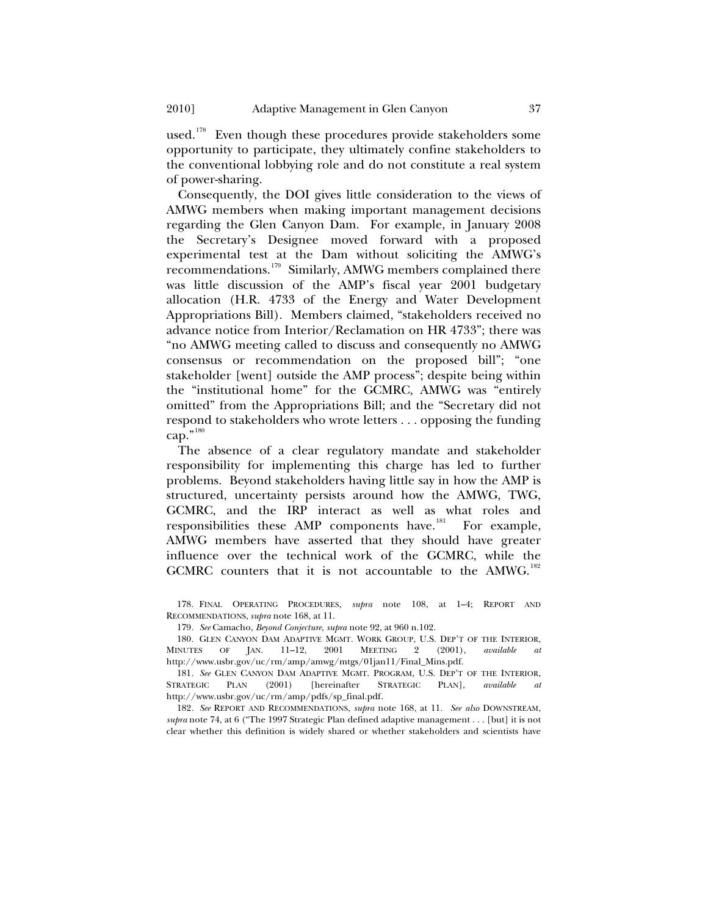used.<sup>[178](#page-36-0)</sup> Even though these procedures provide stakeholders some opportunity to participate, they ultimately confine stakeholders to the conventional lobbying role and do not constitute a real system of power-sharing.

Consequently, the DOI gives little consideration to the views of AMWG members when making important management decisions regarding the Glen Canyon Dam. For example, in January 2008 the Secretary's Designee moved forward with a proposed experimental test at the Dam without soliciting the AMWG's recommendations.[179](#page-36-1) Similarly, AMWG members complained there was little discussion of the AMP's fiscal year 2001 budgetary allocation (H.R. 4733 of the Energy and Water Development Appropriations Bill). Members claimed, "stakeholders received no advance notice from Interior/Reclamation on HR 4733"; there was "no AMWG meeting called to discuss and consequently no AMWG consensus or recommendation on the proposed bill"; "one stakeholder [went] outside the AMP process"; despite being within the "institutional home" for the GCMRC, AMWG was "entirely omitted" from the Appropriations Bill; and the "Secretary did not respond to stakeholders who wrote letters . . . opposing the funding cap." $^{180}$  $^{180}$  $^{180}$ 

The absence of a clear regulatory mandate and stakeholder responsibility for implementing this charge has led to further problems. Beyond stakeholders having little say in how the AMP is structured, uncertainty persists around how the AMWG, TWG, GCMRC, and the IRP interact as well as what roles and responsibilities these AMP components have.<sup>[181](#page-36-3)</sup> For example, AMWG members have asserted that they should have greater influence over the technical work of the GCMRC, while the GCMRC counters that it is not accountable to the  $AMWG$ <sup>[182](#page-36-4)</sup>

<span id="page-36-0"></span>178. FINAL OPERATING PROCEDURES*, supra* note 108, at 1–4; REPORT AND RECOMMENDATIONS, *supra* note 168, at 11.

179*. See* Camacho, *Beyond Conjecture*, *supra* note 92, at 960 n.102.

<span id="page-36-2"></span><span id="page-36-1"></span>180. GLEN CANYON DAM ADAPTIVE MGMT. WORK GROUP, U.S. DEP'T OF THE INTERIOR,<br>INUTES OF JAN. 11-12, 2001 MEETING 2 (2001), *available at* MINUTES OF JAN. 11–12, 2001 MEETING 2 (2001), *available at* http://www.usbr.gov/uc/rm/amp/amwg/mtgs/01jan11/Final\_Mins.pdf.

<span id="page-36-3"></span>181. See GLEN CANYON DAM ADAPTIVE MGMT. PROGRAM, U.S. DEP'T OF THE INTERIOR, STRATEGIC PLAN (2001) [hereinafter STRATEGIC PLAN], *available at* [hereinafter STRATEGIC PLAN], *available at* http://www.usbr.gov/uc/rm/amp/pdfs/sp\_final.pdf.

<span id="page-36-4"></span>182*. See* REPORT AND RECOMMENDATIONS, *supra* note 168, at 11. *See also* DOWNSTREAM, *supra* note 74, at 6 ("The 1997 Strategic Plan defined adaptive management . . . [but] it is not clear whether this definition is widely shared or whether stakeholders and scientists have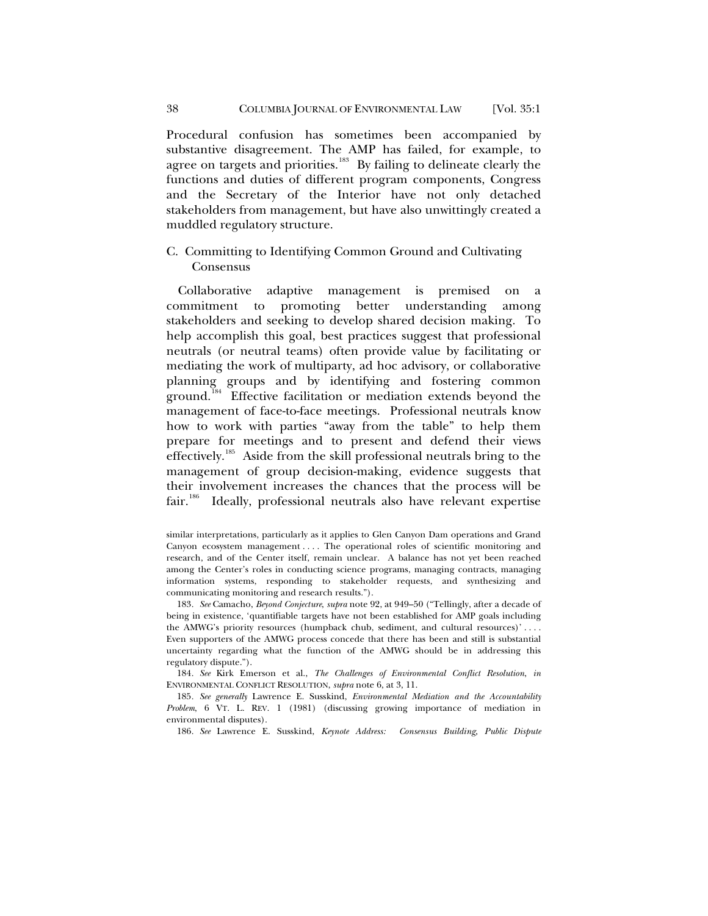<span id="page-37-0"></span>Procedural confusion has sometimes been accompanied by substantive disagreement. The AMP has failed, for example, to agree on targets and priorities.<sup>[183](#page-37-1)</sup> By failing to delineate clearly the functions and duties of different program components, Congress and the Secretary of the Interior have not only detached stakeholders from management, but have also unwittingly created a muddled regulatory structure.

## C. Committing to Identifying Common Ground and Cultivating Consensus

Collaborative adaptive management is premised on a commitment to promoting better understanding among stakeholders and seeking to develop shared decision making. To help accomplish this goal, best practices suggest that professional neutrals (or neutral teams) often provide value by facilitating or mediating the work of multiparty, ad hoc advisory, or collaborative planning groups and by identifying and fostering common ground.<sup>[184](#page-37-2)</sup> Effective facilitation or mediation extends beyond the management of face-to-face meetings. Professional neutrals know how to work with parties "away from the table" to help them prepare for meetings and to present and defend their views effectively.<sup>[185](#page-37-3)</sup> Aside from the skill professional neutrals bring to the management of group decision-making, evidence suggests that their involvement increases the chances that the process will be fair.<sup>[186](#page-37-4)</sup> Ideally, professional neutrals also have relevant expertise

<span id="page-37-2"></span>184*. See* Kirk Emerson et al., *The Challenges of Environmental Conflict Resolution*, *in* ENVIRONMENTAL CONFLICT RESOLUTION, *supra* note 6, at 3, 11.

186*. See* Lawrence E. Susskind, *Keynote Address: Consensus Building, Public Dispute* 

similar interpretations, particularly as it applies to Glen Canyon Dam operations and Grand Canyon ecosystem management . . . . The operational roles of scientific monitoring and research, and of the Center itself, remain unclear. A balance has not yet been reached among the Center's roles in conducting science programs, managing contracts, managing information systems, responding to stakeholder requests, and synthesizing and communicating monitoring and research results.").

<span id="page-37-1"></span><sup>183</sup>*. See* Camacho, *Beyond Conjecture*, *supra* note 92, at 949–50 ("Tellingly, after a decade of being in existence, 'quantifiable targets have not been established for AMP goals including the AMWG's priority resources (humpback chub, sediment, and cultural resources)' . . . . Even supporters of the AMWG process concede that there has been and still is substantial uncertainty regarding what the function of the AMWG should be in addressing this regulatory dispute.").

<span id="page-37-4"></span><span id="page-37-3"></span><sup>185</sup>*. See generally* Lawrence E. Susskind, *Environmental Mediation and the Accountability Problem*, 6 VT. L. REV. 1 (1981) (discussing growing importance of mediation in environmental disputes).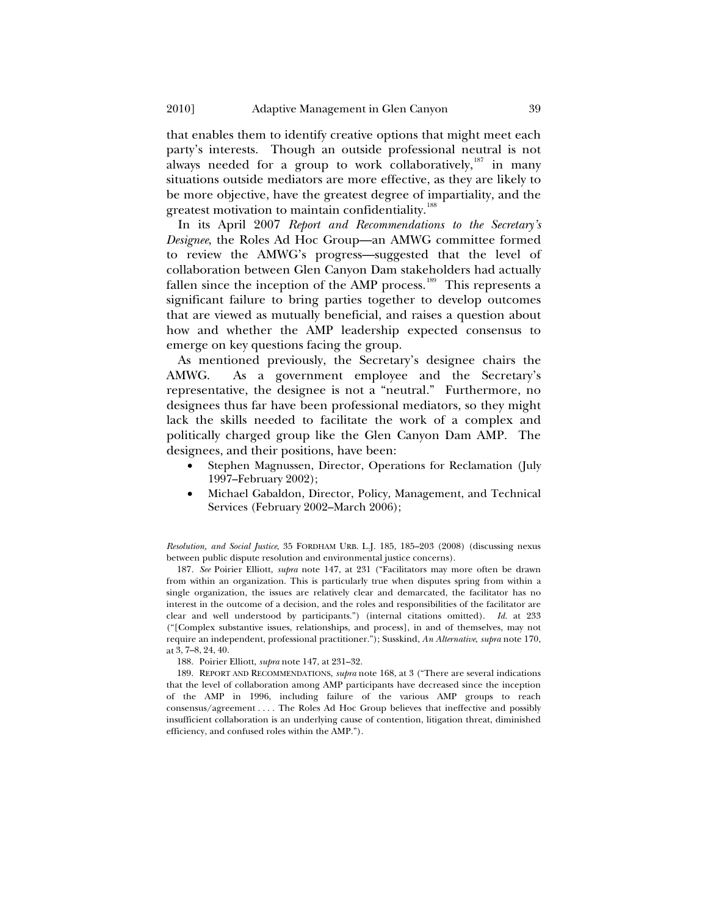that enables them to identify creative options that might meet each party's interests. Though an outside professional neutral is not always needed for a group to work collaboratively, $187$  in many situations outside mediators are more effective, as they are likely to be more objective, have the greatest degree of impartiality, and the greatest motivation to maintain confidentiality.<sup>[188](#page-38-1)</sup>

In its April 2007 *Report and Recommendations to the Secretary's Designee*, the Roles Ad Hoc Group—an AMWG committee formed to review the AMWG's progress—suggested that the level of collaboration between Glen Canyon Dam stakeholders had actually fallen since the inception of the AMP process.<sup>[189](#page-38-2)</sup> This represents a significant failure to bring parties together to develop outcomes that are viewed as mutually beneficial, and raises a question about how and whether the AMP leadership expected consensus to emerge on key questions facing the group.

As mentioned previously, the Secretary's designee chairs the AMWG. As a government employee and the Secretary's representative, the designee is not a "neutral." Furthermore, no designees thus far have been professional mediators, so they might lack the skills needed to facilitate the work of a complex and politically charged group like the Glen Canyon Dam AMP. The designees, and their positions, have been:

- Stephen Magnussen, Director, Operations for Reclamation (July 1997–February 2002);
- Michael Gabaldon, Director, Policy, Management, and Technical Services (February 2002–March 2006);

*Resolution, and Social Justice*, 35 FORDHAM URB. L.J. 185, 185–203 (2008) (discussing nexus between public dispute resolution and environmental justice concerns).

<span id="page-38-0"></span>187*. See* Poirier Elliott, *supra* note 147, at 231 ("Facilitators may more often be drawn from within an organization. This is particularly true when disputes spring from within a single organization, the issues are relatively clear and demarcated, the facilitator has no interest in the outcome of a decision, and the roles and responsibilities of the facilitator are clear and well understood by participants.") (internal citations omitted). *Id.* at 233 ("[Complex substantive issues, relationships, and process], in and of themselves, may not require an independent, professional practitioner."); Susskind, *An Alternative*, *supra* note 170, at 3, 7–8, 24, 40.

188. Poirier Elliott, *supra* note 147, at 231–32.

<span id="page-38-2"></span><span id="page-38-1"></span>189. REPORT AND RECOMMENDATIONS, *supra* note 168, at 3 ("There are several indications that the level of collaboration among AMP participants have decreased since the inception of the AMP in 1996, including failure of the various AMP groups to reach consensus/agreement . . . . The Roles Ad Hoc Group believes that ineffective and possibly insufficient collaboration is an underlying cause of contention, litigation threat, diminished efficiency, and confused roles within the AMP.").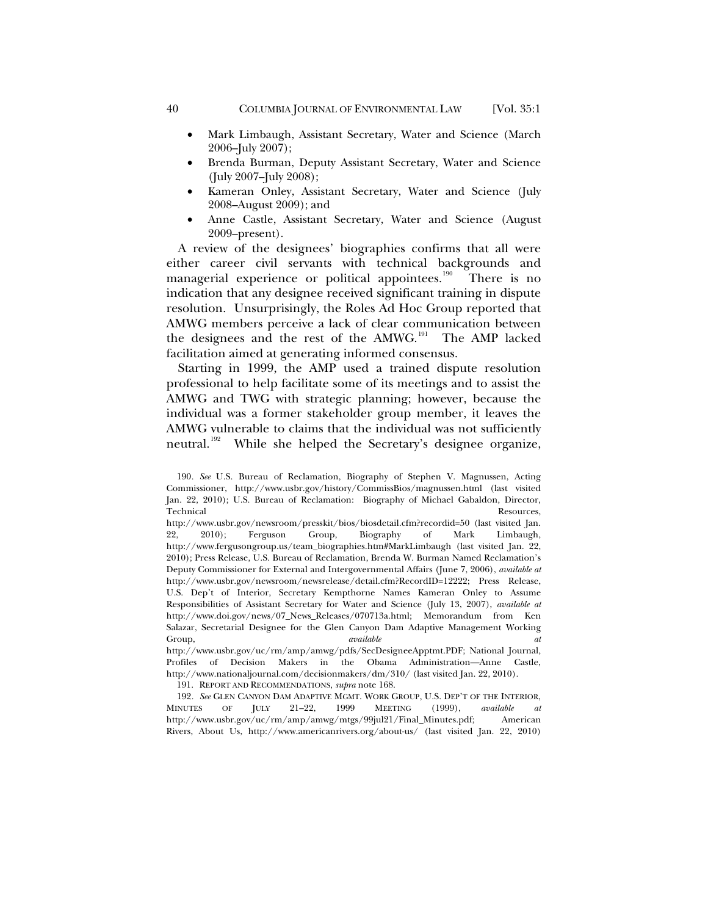- Mark Limbaugh, Assistant Secretary, Water and Science (March 2006–July 2007);
- Brenda Burman, Deputy Assistant Secretary, Water and Science (July 2007–July 2008);
- Kameran Onley, Assistant Secretary, Water and Science (July 2008–August 2009); and
- Anne Castle, Assistant Secretary, Water and Science (August 2009–present).

A review of the designees' biographies confirms that all were either career civil servants with technical backgrounds and managerial experience or political appointees.<sup>[190](#page-39-0)</sup> There is no indication that any designee received significant training in dispute resolution. Unsurprisingly, the Roles Ad Hoc Group reported that AMWG members perceive a lack of clear communication between the designees and the rest of the AMWG.<sup>[191](#page-39-1)</sup> The AMP lacked facilitation aimed at generating informed consensus.

Starting in 1999, the AMP used a trained dispute resolution professional to help facilitate some of its meetings and to assist the AMWG and TWG with strategic planning; however, because the individual was a former stakeholder group member, it leaves the AMWG vulnerable to claims that the individual was not sufficiently neutral.<sup>[192](#page-39-2)</sup> While she helped the Secretary's designee organize,

191. REPORT AND RECOMMENDATIONS, *supra* note 168.

<span id="page-39-2"></span><span id="page-39-1"></span>192*. See* GLEN CANYON DAM ADAPTIVE MGMT. WORK GROUP, U.S. DEP'T OF THE INTERIOR, MINUTES OF JULY 21–22, 1999 MEETING (1999), *available at* http://www.usbr.gov/uc/rm/amp/amwg/mtgs/99jul21/Final\_Minutes.pdf; American Rivers, About Us, http://www.americanrivers.org/about-us/ (last visited Jan. 22, 2010)

<span id="page-39-0"></span><sup>190</sup>*. See* U.S. Bureau of Reclamation, Biography of Stephen V. Magnussen, Acting Commissioner, http://www.usbr.gov/history/CommissBios/magnussen.html (last visited Jan. 22, 2010); U.S. Bureau of Reclamation: Biography of Michael Gabaldon, Director, Technical Resources,

http://www.usbr.gov/newsroom/presskit/bios/biosdetail.cfm?recordid=50 (last visited Jan. 22, 2010); Ferguson Group, Biography of Mark Limbaugh, http://www.fergusongroup.us/team\_biographies.htm#MarkLimbaugh (last visited Jan. 22, 2010); Press Release, U.S. Bureau of Reclamation, Brenda W. Burman Named Reclamation's Deputy Commissioner for External and Intergovernmental Affairs (June 7, 2006), *available at* http://www.usbr.gov/newsroom/newsrelease/detail.cfm?RecordID=12222; Press Release, U.S. Dep't of Interior, Secretary Kempthorne Names Kameran Onley to Assume Responsibilities of Assistant Secretary for Water and Science (July 13, 2007), *available at* http://www.doi.gov/news/07\_News\_Releases/070713a.html; Memorandum from Ken Salazar, Secretarial Designee for the Glen Canyon Dam Adaptive Management Working Group, *available at* http://www.usbr.gov/uc/rm/amp/amwg/pdfs/SecDesigneeApptmt.PDF; National Journal, Profiles of Decision Makers in the Obama Administration—Anne Castle, http://www.nationaljournal.com/decisionmakers/dm/310/ (last visited Jan. 22, 2010).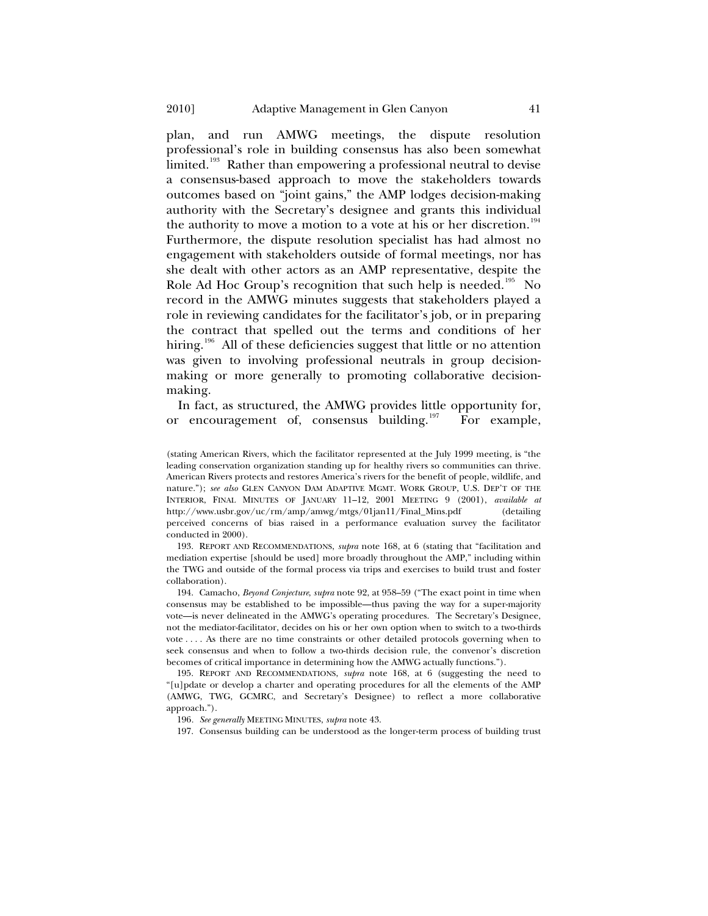plan, and run AMWG meetings, the dispute resolution professional's role in building consensus has also been somewhat limited.<sup>[193](#page-40-0)</sup> Rather than empowering a professional neutral to devise a consensus-based approach to move the stakeholders towards outcomes based on "joint gains," the AMP lodges decision-making authority with the Secretary's designee and grants this individual the authority to move a motion to a vote at his or her discretion.<sup>[194](#page-40-1)</sup> Furthermore, the dispute resolution specialist has had almost no engagement with stakeholders outside of formal meetings, nor has she dealt with other actors as an AMP representative, despite the Role Ad Hoc Group's recognition that such help is needed.<sup>[195](#page-40-2)</sup> No record in the AMWG minutes suggests that stakeholders played a role in reviewing candidates for the facilitator's job, or in preparing the contract that spelled out the terms and conditions of her hiring.<sup>[196](#page-40-3)</sup> All of these deficiencies suggest that little or no attention was given to involving professional neutrals in group decisionmaking or more generally to promoting collaborative decisionmaking.

In fact, as structured, the AMWG provides little opportunity for, or encouragement of, consensus building.<sup>[197](#page-40-4)</sup> For example,

(stating American Rivers, which the facilitator represented at the July 1999 meeting, is "the leading conservation organization standing up for healthy rivers so communities can thrive. American Rivers protects and restores America's rivers for the benefit of people, wildlife, and nature."); *see also* GLEN CANYON DAM ADAPTIVE MGMT. WORK GROUP, U.S. DEP'T OF THE INTERIOR, FINAL MINUTES OF JANUARY 11–12, 2001 MEETING 9 (2001), *available at*  http://www.usbr.gov/uc/rm/amp/amwg/mtgs/01jan11/Final\_Mins.pdf (detailing perceived concerns of bias raised in a performance evaluation survey the facilitator conducted in 2000).

<span id="page-40-0"></span>193. REPORT AND RECOMMENDATIONS, *supra* note 168, at 6 (stating that "facilitation and mediation expertise [should be used] more broadly throughout the AMP," including within the TWG and outside of the formal process via trips and exercises to build trust and foster collaboration).

<span id="page-40-1"></span>194. Camacho, *Beyond Conjecture*, *supra* note 92, at 958–59 ("The exact point in time when consensus may be established to be impossible—thus paving the way for a super-majority vote—is never delineated in the AMWG's operating procedures. The Secretary's Designee, not the mediator-facilitator, decides on his or her own option when to switch to a two-thirds vote . . . . As there are no time constraints or other detailed protocols governing when to seek consensus and when to follow a two-thirds decision rule, the convenor's discretion becomes of critical importance in determining how the AMWG actually functions.").

<span id="page-40-4"></span><span id="page-40-3"></span><span id="page-40-2"></span>195. REPORT AND RECOMMENDATIONS, *supra* note 168, at 6 (suggesting the need to "[u]pdate or develop a charter and operating procedures for all the elements of the AMP (AMWG, TWG, GCMRC, and Secretary's Designee) to reflect a more collaborative approach.").

196*. See generally* MEETING MINUTES, *supra* note 43.

197. Consensus building can be understood as the longer-term process of building trust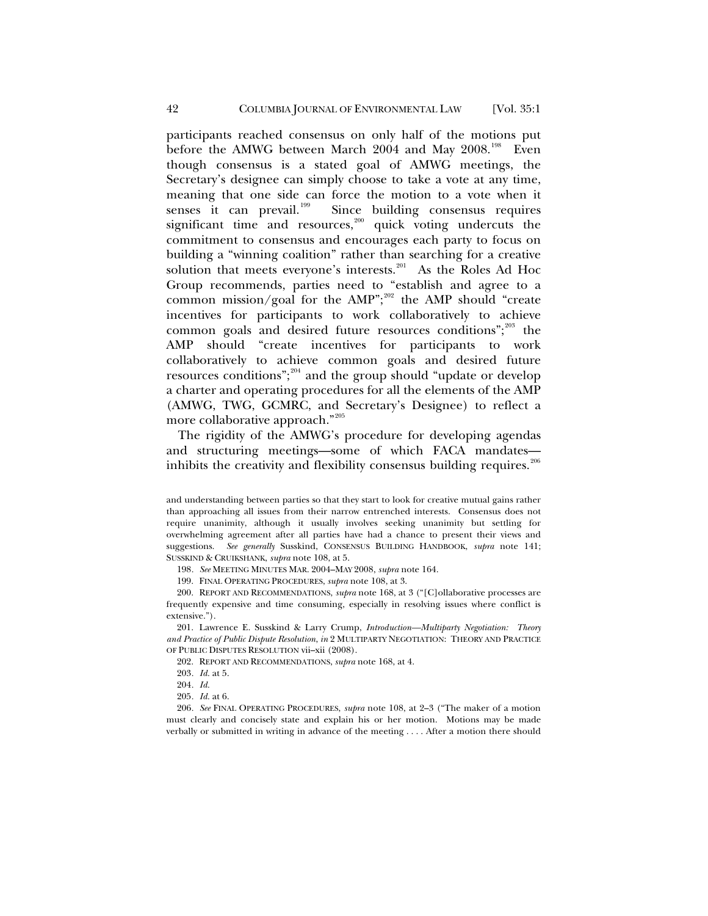more collaborative approach."<sup>205</sup> participants reached consensus on only half of the motions put before the AMWG between March 2004 and May 2008.<sup>[198](#page-41-0)</sup> Even though consensus is a stated goal of AMWG meetings, the Secretary's designee can simply choose to take a vote at any time, meaning that one side can force the motion to a vote when it senses it can prevail.<sup>199</sup> Since building consensus requires Since building consensus requires significant time and resources, $200$  quick voting undercuts the commitment to consensus and encourages each party to focus on building a "winning coalition" rather than searching for a creative solution that meets everyone's interests.<sup>[201](#page-41-3)</sup> As the Roles Ad Hoc Group recommends, parties need to "establish and agree to a common mission/goal for the AMP"; $^{202}$  $^{202}$  $^{202}$  the AMP should "create" incentives for participants to work collaboratively to achieve common goals and desired future resources conditions"; $^{203}$  $^{203}$  $^{203}$  the AMP should "create incentives for participants to work collaboratively to achieve common goals and desired future resources conditions";<sup>[204](#page-41-6)</sup> and the group should "update or develop" a charter and operating procedures for all the elements of the AMP (AMWG, TWG, GCMRC, and Secretary's Designee) to reflect a

The rigidity of the AMWG's procedure for developing agendas and structuring meetings—some of which FACA mandates inhibits the creativity and flexibility consensus building requires. $^{206}$  $^{206}$  $^{206}$ 

198*. See* MEETING MINUTES MAR. 2004–MAY 2008, *supra* note 164.

199. FINAL OPERATING PROCEDURES, *supra* note 108, at 3.

<span id="page-41-2"></span><span id="page-41-1"></span><span id="page-41-0"></span>200. REPORT AND RECOMMENDATIONS, *supra* note 168, at 3 ("[C]ollaborative processes are frequently expensive and time consuming, especially in resolving issues where conflict is extensive.").

<span id="page-41-4"></span><span id="page-41-3"></span>201. Lawrence E. Susskind & Larry Crump, *Introduction—Multiparty Negotiation: Theory and Practice of Public Dispute Resolution*, *in* 2 MULTIPARTY NEGOTIATION: THEORY AND PRACTICE OF PUBLIC DISPUTES RESOLUTION vii–xii (2008).

202. REPORT AND RECOMMENDATIONS, *supra* note 168, at 4.

203*. Id.* at 5.

204*. Id.*

205*. Id.* at 6.

<span id="page-41-7"></span><span id="page-41-6"></span><span id="page-41-5"></span>206*. See* FINAL OPERATING PROCEDURES, *supra* note 108, at 2–3 ("The maker of a motion must clearly and concisely state and explain his or her motion. Motions may be made verbally or submitted in writing in advance of the meeting . . . . After a motion there should

and understanding between parties so that they start to look for creative mutual gains rather than approaching all issues from their narrow entrenched interests. Consensus does not require unanimity, although it usually involves seeking unanimity but settling for overwhelming agreement after all parties have had a chance to present their views and suggestions. *See generally* Susskind, CONSENSUS BUILDING HANDBOOK, *supra* note 141; SUSSKIND & CRUIKSHANK, *supra* note 108, at 5.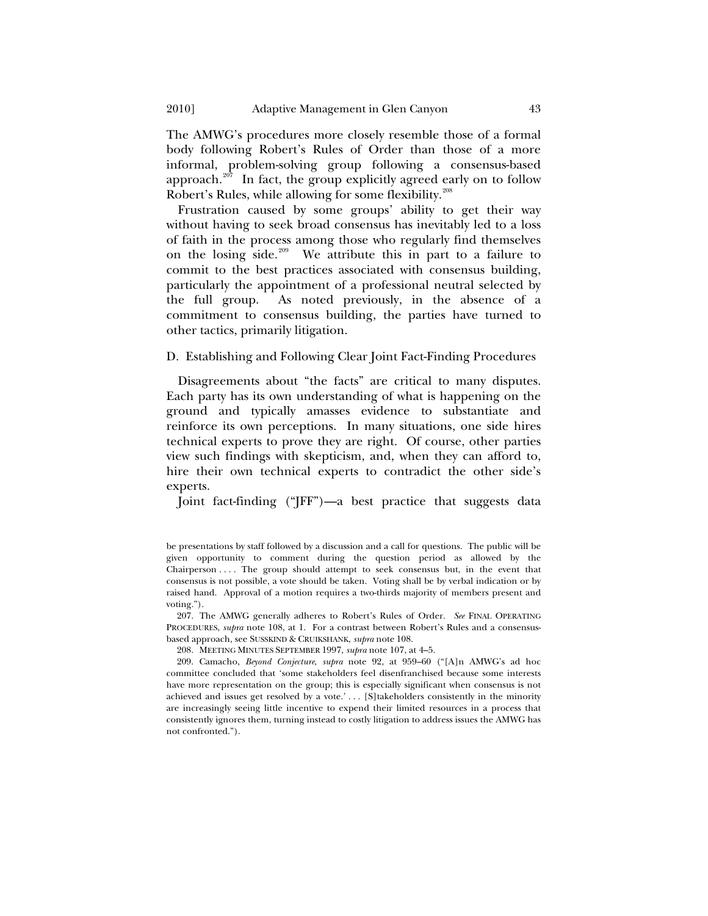The AMWG's procedures more closely resemble those of a formal body following Robert's Rules of Order than those of a more informal, problem-solving group following a consensus-based approach.<sup>[207](#page-42-1)</sup> In fact, the group explicitly agreed early on to follow Robert's Rules, while allowing for some flexibility.<sup>[208](#page-42-2)</sup>

Frustration caused by some groups' ability to get their way without having to seek broad consensus has inevitably led to a loss of faith in the process among those who regularly find themselves on the losing side.<sup>[209](#page-42-3)</sup> We attribute this in part to a failure to commit to the best practices associated with consensus building, particularly the appointment of a professional neutral selected by the full group. As noted previously, in the absence of a commitment to consensus building, the parties have turned to other tactics, primarily litigation.

# D. Establishing and Following Clear Joint Fact-Finding Procedures

Disagreements about "the facts" are critical to many disputes. Each party has its own understanding of what is happening on the ground and typically amasses evidence to substantiate and reinforce its own perceptions. In many situations, one side hires technical experts to prove they are right. Of course, other parties view such findings with skepticism, and, when they can afford to, hire their own technical experts to contradict the other side's experts.

Joint fact-finding ("JFF")—a best practice that suggests data

<span id="page-42-1"></span>207. The AMWG generally adheres to Robert's Rules of Order. *See* FINAL OPERATING PROCEDURES, *supra* note 108, at 1. For a contrast between Robert's Rules and a consensusbased approach, see SUSSKIND & CRUIKSHANK, *supra* note 108.

208. MEETING MINUTES SEPTEMBER 1997, *supra* note 107, at 4–5.

<span id="page-42-3"></span><span id="page-42-2"></span>209. Camacho, *Beyond Conjecture*, *supra* note 92, at 959–60 ("[A]n AMWG's ad hoc committee concluded that 'some stakeholders feel disenfranchised because some interests have more representation on the group; this is especially significant when consensus is not achieved and issues get resolved by a vote.' . . . [S]takeholders consistently in the minority are increasingly seeing little incentive to expend their limited resources in a process that consistently ignores them, turning instead to costly litigation to address issues the AMWG has not confronted.").

<span id="page-42-0"></span>

be presentations by staff followed by a discussion and a call for questions. The public will be given opportunity to comment during the question period as allowed by the Chairperson . . . . The group should attempt to seek consensus but, in the event that consensus is not possible, a vote should be taken. Voting shall be by verbal indication or by raised hand. Approval of a motion requires a two-thirds majority of members present and voting.").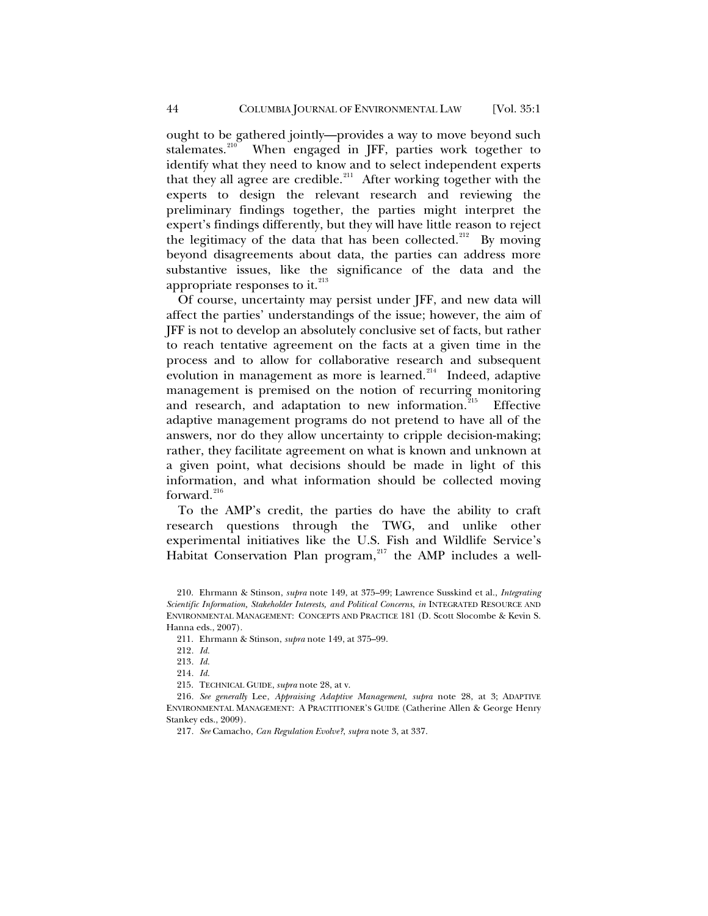ought to be gathered jointly—provides a way to move beyond such stalemates.<sup>[210](#page-43-0)</sup> When engaged in JFF, parties work together to identify what they need to know and to select independent experts that they all agree are credible.<sup>[211](#page-43-1)</sup> After working together with the experts to design the relevant research and reviewing the preliminary findings together, the parties might interpret the expert's findings differently, but they will have little reason to reject the legitimacy of the data that has been collected.<sup>[212](#page-43-2)</sup> By moving beyond disagreements about data, the parties can address more substantive issues, like the significance of the data and the appropriate responses to it.<sup>[213](#page-43-3)</sup>

Of course, uncertainty may persist under JFF, and new data will affect the parties' understandings of the issue; however, the aim of JFF is not to develop an absolutely conclusive set of facts, but rather to reach tentative agreement on the facts at a given time in the process and to allow for collaborative research and subsequent evolution in management as more is learned.<sup>[214](#page-43-4)</sup> Indeed, adaptive management is premised on the notion of recurring monitoring and research, and adaptation to new information.<sup>[215](#page-43-5)</sup> Effective adaptive management programs do not pretend to have all of the answers, nor do they allow uncertainty to cripple decision-making; rather, they facilitate agreement on what is known and unknown at a given point, what decisions should be made in light of this information, and what information should be collected moving forward.<sup>[216](#page-43-6)</sup>

To the AMP's credit, the parties do have the ability to craft research questions through the TWG, and unlike other experimental initiatives like the U.S. Fish and Wildlife Service's Habitat Conservation Plan program,<sup>[217](#page-43-7)</sup> the AMP includes a well-

<span id="page-43-1"></span><span id="page-43-0"></span><sup>210.</sup> Ehrmann & Stinson, *supra* note 149, at 375–99; Lawrence Susskind et al., *Integrating Scientific Information, Stakeholder Interests, and Political Concerns*, *in* INTEGRATED RESOURCE AND ENVIRONMENTAL MANAGEMENT: CONCEPTS AND PRACTICE 181 (D. Scott Slocombe & Kevin S. Hanna eds., 2007).

<sup>211.</sup> Ehrmann & Stinson, *supra* note 149, at 375–99.

<sup>212</sup>*. Id.*

<sup>213</sup>*. Id.*

<sup>214</sup>*. Id.*

<sup>215.</sup> TECHNICAL GUIDE, *supra* note 28, at v.

<span id="page-43-7"></span><span id="page-43-6"></span><span id="page-43-5"></span><span id="page-43-4"></span><span id="page-43-3"></span><span id="page-43-2"></span><sup>216</sup>*. See generally* Lee, *Appraising Adaptive Management*, *supra* note 28, at 3; ADAPTIVE ENVIRONMENTAL MANAGEMENT: A PRACTITIONER'S GUIDE (Catherine Allen & George Henry Stankey eds., 2009).

<sup>217</sup>*. See* Camacho, *Can Regulation Evolve?*, *supra* note 3, at 337.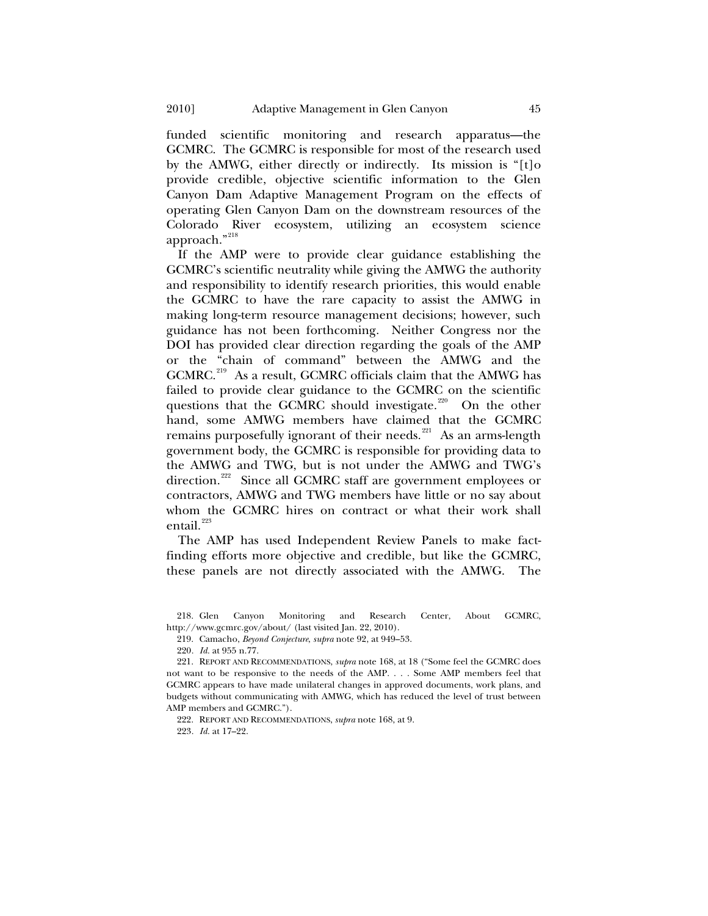funded scientific monitoring and research apparatus—the GCMRC. The GCMRC is responsible for most of the research used by the AMWG, either directly or indirectly. Its mission is "[t]o provide credible, objective scientific information to the Glen Canyon Dam Adaptive Management Program on the effects of operating Glen Canyon Dam on the downstream resources of the Colorado River ecosystem, utilizing an ecosystem science approach."[218](#page-44-0)

If the AMP were to provide clear guidance establishing the GCMRC's scientific neutrality while giving the AMWG the authority and responsibility to identify research priorities, this would enable the GCMRC to have the rare capacity to assist the AMWG in making long-term resource management decisions; however, such guidance has not been forthcoming. Neither Congress nor the DOI has provided clear direction regarding the goals of the AMP or the "chain of command" between the AMWG and the GCMRC.<sup>[219](#page-44-1)</sup> As a result, GCMRC officials claim that the AMWG has failed to provide clear guidance to the GCMRC on the scientific questions that the GCMRC should investigate.<sup>[220](#page-44-2)</sup> On the other hand, some AMWG members have claimed that the GCMRC remains purposefully ignorant of their needs.<sup>[221](#page-44-3)</sup> As an arms-length government body, the GCMRC is responsible for providing data to the AMWG and TWG, but is not under the AMWG and TWG's direction.<sup>[222](#page-44-4)</sup> Since all GCMRC staff are government employees or contractors, AMWG and TWG members have little or no say about whom the GCMRC hires on contract or what their work shall entail.<sup>[223](#page-44-5)</sup>

The AMP has used Independent Review Panels to make factfinding efforts more objective and credible, but like the GCMRC, these panels are not directly associated with the AMWG. The

<span id="page-44-1"></span><span id="page-44-0"></span>218. Glen Canyon Monitoring and Research Center, About GCMRC, http://www.gcmrc.gov/about/ (last visited Jan. 22, 2010).

219. Camacho, *Beyond Conjecture*, *supra* note 92, at 949–53.

220*. Id.* at 955 n.77.

222. REPORT AND RECOMMENDATIONS, *supra* note 168, at 9.

<span id="page-44-5"></span>223*. Id.* at 17–22.

<span id="page-44-4"></span><span id="page-44-3"></span><span id="page-44-2"></span><sup>221.</sup> REPORT AND RECOMMENDATIONS, *supra* note 168, at 18 ("Some feel the GCMRC does not want to be responsive to the needs of the AMP. . . . Some AMP members feel that GCMRC appears to have made unilateral changes in approved documents, work plans, and budgets without communicating with AMWG, which has reduced the level of trust between AMP members and GCMRC.").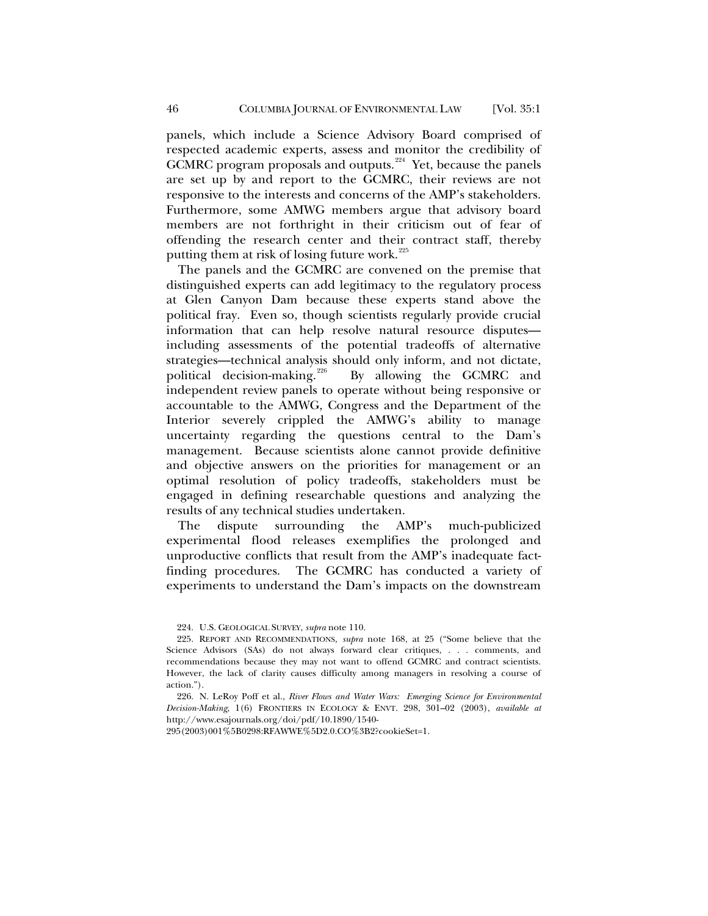panels, which include a Science Advisory Board comprised of respected academic experts, assess and monitor the credibility of GCMRC program proposals and outputs.<sup>[224](#page-45-0)</sup> Yet, because the panels are set up by and report to the GCMRC, their reviews are not responsive to the interests and concerns of the AMP's stakeholders. Furthermore, some AMWG members argue that advisory board members are not forthright in their criticism out of fear of offending the research center and their contract staff, thereby putting them at risk of losing future work.<sup>[225](#page-45-1)</sup>

The panels and the GCMRC are convened on the premise that distinguished experts can add legitimacy to the regulatory process at Glen Canyon Dam because these experts stand above the political fray. Even so, though scientists regularly provide crucial information that can help resolve natural resource disputes including assessments of the potential tradeoffs of alternative strategies—technical analysis should only inform, and not dictate, political decision-making.<sup>226</sup> By allowing the GCMRC and By allowing the GCMRC and independent review panels to operate without being responsive or accountable to the AMWG, Congress and the Department of the Interior severely crippled the AMWG's ability to manage uncertainty regarding the questions central to the Dam's management. Because scientists alone cannot provide definitive and objective answers on the priorities for management or an optimal resolution of policy tradeoffs, stakeholders must be engaged in defining researchable questions and analyzing the results of any technical studies undertaken.

The dispute surrounding the AMP's much-publicized experimental flood releases exemplifies the prolonged and unproductive conflicts that result from the AMP's inadequate factfinding procedures. The GCMRC has conducted a variety of experiments to understand the Dam's impacts on the downstream

295(2003)001%5B0298:RFAWWE%5D2.0.CO%3B2?cookieSet=1.

<sup>224.</sup> U.S. GEOLOGICAL SURVEY, *supra* note 110.

<span id="page-45-1"></span><span id="page-45-0"></span><sup>225.</sup> REPORT AND RECOMMENDATIONS, *supra* note 168, at 25 ("Some believe that the Science Advisors (SAs) do not always forward clear critiques, . . . comments, and recommendations because they may not want to offend GCMRC and contract scientists. However, the lack of clarity causes difficulty among managers in resolving a course of action.").

<span id="page-45-2"></span><sup>226.</sup> N. LeRoy Poff et al., *River Flows and Water Wars: Emerging Science for Environmental Decision-Making*, 1(6) FRONTIERS IN ECOLOGY & ENVT. 298, 301–02 (2003), *available at* http://www.esajournals.org/doi/pdf/10.1890/1540-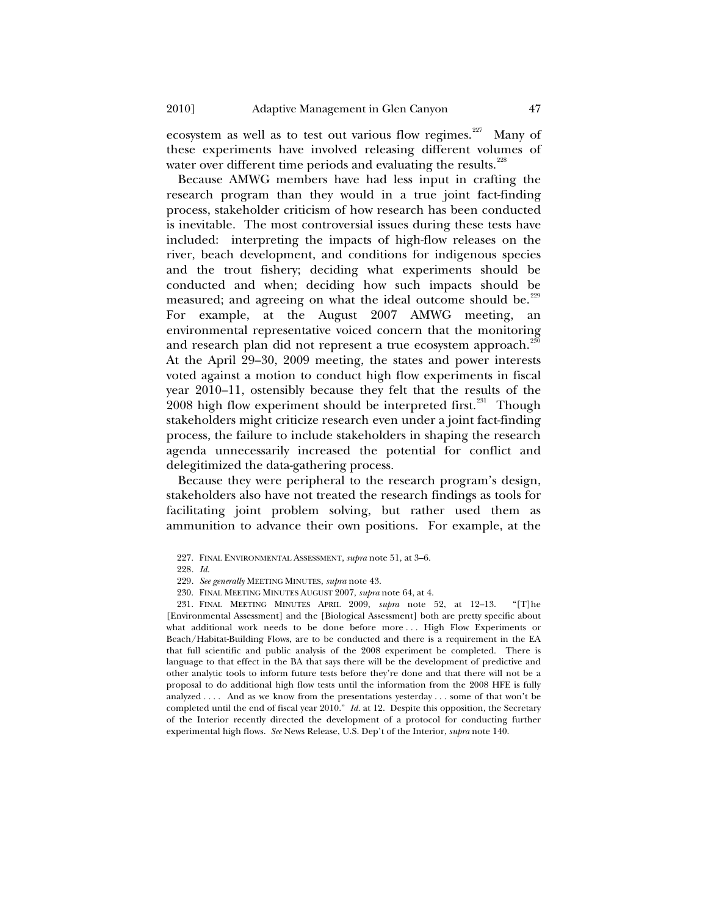ecosystem as well as to test out various flow regimes.<sup>[227](#page-46-0)</sup> Many of these experiments have involved releasing different volumes of water over different time periods and evaluating the results.<sup>[228](#page-46-1)</sup>

Because AMWG members have had less input in crafting the research program than they would in a true joint fact-finding process, stakeholder criticism of how research has been conducted is inevitable. The most controversial issues during these tests have included: interpreting the impacts of high-flow releases on the river, beach development, and conditions for indigenous species and the trout fishery; deciding what experiments should be conducted and when; deciding how such impacts should be measured; and agreeing on what the ideal outcome should be.<sup>[229](#page-46-2)</sup> For example, at the August 2007 AMWG meeting, environmental representative voiced concern that the monitoring and research plan did not represent a true ecosystem approach.<sup>[230](#page-46-3)</sup> At the April 29–30, 2009 meeting, the states and power interests

voted against a motion to conduct high flow experiments in fiscal year 2010–11, ostensibly because they felt that the results of the  $2008$  high flow experiment should be interpreted first.<sup>[231](#page-46-4)</sup> Though stakeholders might criticize research even under a joint fact-finding process, the failure to include stakeholders in shaping the research agenda unnecessarily increased the potential for conflict and delegitimized the data-gathering process.

Because they were peripheral to the research program's design, stakeholders also have not treated the research findings as tools for facilitating joint problem solving, but rather used them as ammunition to advance their own positions. For example, at the

<span id="page-46-4"></span><span id="page-46-3"></span><span id="page-46-2"></span><span id="page-46-1"></span><span id="page-46-0"></span>231. FINAL MEETING MINUTES APRIL 2009, *supra* note 52, at 12–13. "[T]he [Environmental Assessment] and the [Biological Assessment] both are pretty specific about what additional work needs to be done before more ... High Flow Experiments or Beach/Habitat-Building Flows, are to be conducted and there is a requirement in the EA that full scientific and public analysis of the 2008 experiment be completed. There is language to that effect in the BA that says there will be the development of predictive and other analytic tools to inform future tests before they're done and that there will not be a proposal to do additional high flow tests until the information from the 2008 HFE is fully analyzed . . . . And as we know from the presentations yesterday . . . some of that won't be completed until the end of fiscal year 2010." *Id.* at 12. Despite this opposition, the Secretary of the Interior recently directed the development of a protocol for conducting further experimental high flows. *See* News Release, U.S. Dep't of the Interior, *supra* note 140.

<sup>227.</sup> FINAL ENVIRONMENTAL ASSESSMENT, *supra* note 51, at 3–6.

<sup>228</sup>*. Id.*

<sup>229</sup>*. See generally* MEETING MINUTES, *supra* note 43.

<sup>230.</sup> FINAL MEETING MINUTES AUGUST 2007, *supra* note 64, at 4.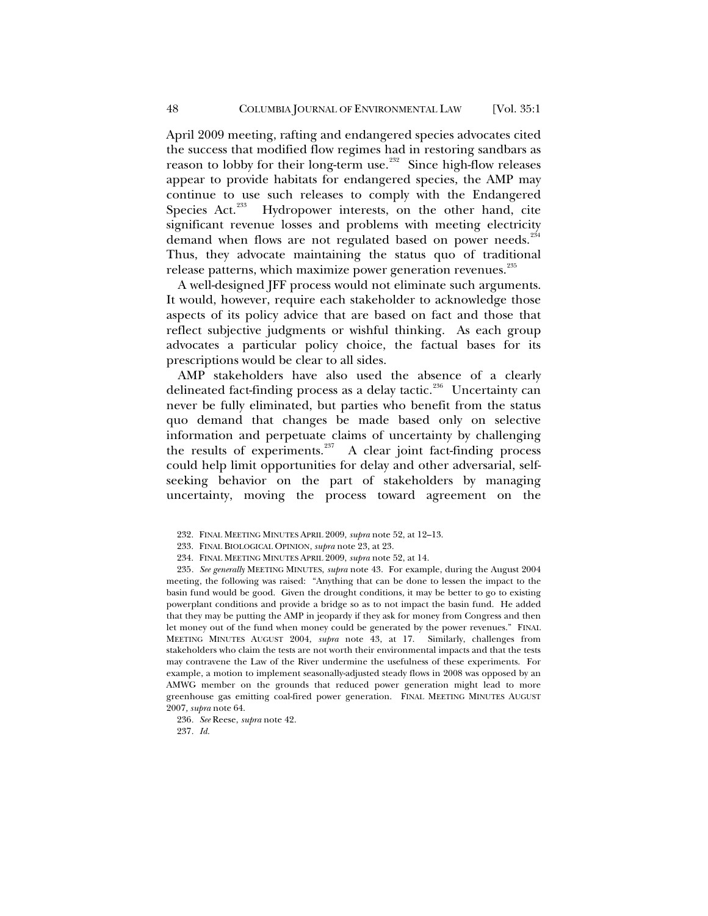April 2009 meeting, rafting and endangered species advocates cited the success that modified flow regimes had in restoring sandbars as reason to lobby for their long-term use.<sup>[232](#page-47-0)</sup> Since high-flow releases appear to provide habitats for endangered species, the AMP may continue to use such releases to comply with the Endangered Species Act.<sup>[233](#page-47-1)</sup> Hydropower interests, on the other hand, cite significant revenue losses and problems with meeting electricity demand when flows are not regulated based on power needs.<sup>[234](#page-47-2)</sup> Thus, they advocate maintaining the status quo of traditional release patterns, which maximize power generation revenues.<sup>[235](#page-47-3)</sup>

A well-designed JFF process would not eliminate such arguments. It would, however, require each stakeholder to acknowledge those aspects of its policy advice that are based on fact and those that reflect subjective judgments or wishful thinking. As each group advocates a particular policy choice, the factual bases for its prescriptions would be clear to all sides.

AMP stakeholders have also used the absence of a clearly delineated fact-finding process as a delay tactic.<sup>[236](#page-47-4)</sup> Uncertainty can never be fully eliminated, but parties who benefit from the status quo demand that changes be made based only on selective information and perpetuate claims of uncertainty by challenging the results of experiments. $237$  A clear joint fact-finding process could help limit opportunities for delay and other adversarial, selfseeking behavior on the part of stakeholders by managing uncertainty, moving the process toward agreement on the

<span id="page-47-3"></span><span id="page-47-2"></span><span id="page-47-1"></span><span id="page-47-0"></span>235*. See generally* MEETING MINUTES, *supra* note 43. For example, during the August 2004 meeting, the following was raised: "Anything that can be done to lessen the impact to the basin fund would be good. Given the drought conditions, it may be better to go to existing powerplant conditions and provide a bridge so as to not impact the basin fund. He added that they may be putting the AMP in jeopardy if they ask for money from Congress and then let money out of the fund when money could be generated by the power revenues." FINAL MEETING MINUTES AUGUST 2004, *supra* note 43, at 17. Similarly, challenges from stakeholders who claim the tests are not worth their environmental impacts and that the tests may contravene the Law of the River undermine the usefulness of these experiments. For example, a motion to implement seasonally-adjusted steady flows in 2008 was opposed by an AMWG member on the grounds that reduced power generation might lead to more greenhouse gas emitting coal-fired power generation. FINAL MEETING MINUTES AUGUST 2007*, supra* note 64.

<span id="page-47-5"></span><span id="page-47-4"></span>236*. See* Reese, *supra* note 42.

237*. Id.*

<sup>232.</sup> FINAL MEETING MINUTES APRIL 2009, *supra* note 52, at 12–13.

<sup>233.</sup> FINAL BIOLOGICAL OPINION, *supra* note 23, at 23.

<sup>234.</sup> FINAL MEETING MINUTES APRIL 2009, *supra* note 52, at 14.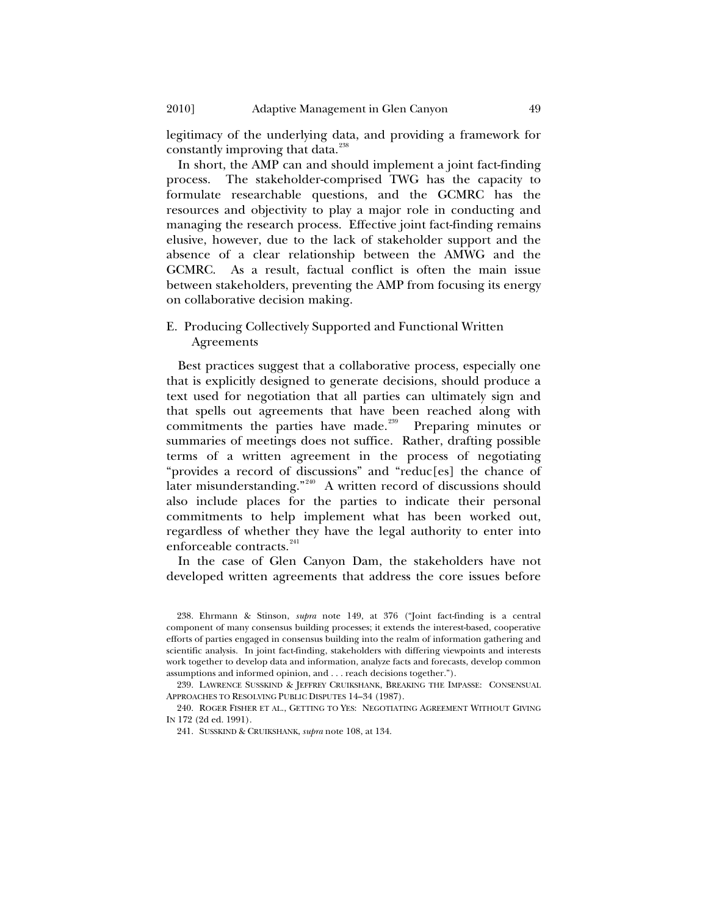legitimacy of the underlying data, and providing a framework for constantly improving that data.<sup>[238](#page-48-1)</sup>

In short, the AMP can and should implement a joint fact-finding process. The stakeholder-comprised TWG has the capacity to formulate researchable questions, and the GCMRC has the resources and objectivity to play a major role in conducting and managing the research process. Effective joint fact-finding remains elusive, however, due to the lack of stakeholder support and the absence of a clear relationship between the AMWG and the GCMRC. As a result, factual conflict is often the main issue between stakeholders, preventing the AMP from focusing its energy on collaborative decision making.

## E. Producing Collectively Supported and Functional Written Agreements

Best practices suggest that a collaborative process, especially one that is explicitly designed to generate decisions, should produce a text used for negotiation that all parties can ultimately sign and that spells out agreements that have been reached along with commitments the parties have made.<sup>[239](#page-48-2)</sup> Preparing minutes or summaries of meetings does not suffice. Rather, drafting possible terms of a written agreement in the process of negotiating "provides a record of discussions" and "reduc[es] the chance of later misunderstanding."<sup>[240](#page-48-3)</sup> A written record of discussions should also include places for the parties to indicate their personal commitments to help implement what has been worked out, regardless of whether they have the legal authority to enter into enforceable contracts.<sup>[241](#page-48-4)</sup>

In the case of Glen Canyon Dam, the stakeholders have not developed written agreements that address the core issues before

<span id="page-48-2"></span>239. LAWRENCE SUSSKIND & JEFFREY CRUIKSHANK, BREAKING THE IMPASSE: CONSENSUAL APPROACHES TO RESOLVING PUBLIC DISPUTES 14–34 (1987).

<span id="page-48-4"></span><span id="page-48-3"></span>240. ROGER FISHER ET AL., GETTING TO YES: NEGOTIATING AGREEMENT WITHOUT GIVING IN 172 (2d ed. 1991).

241. SUSSKIND & CRUIKSHANK, *supra* note 108, at 134.

<span id="page-48-0"></span>

<span id="page-48-1"></span><sup>238.</sup> Ehrmann & Stinson, *supra* note 149, at 376 ("Joint fact-finding is a central component of many consensus building processes; it extends the interest-based, cooperative efforts of parties engaged in consensus building into the realm of information gathering and scientific analysis. In joint fact-finding, stakeholders with differing viewpoints and interests work together to develop data and information, analyze facts and forecasts, develop common assumptions and informed opinion, and . . . reach decisions together.").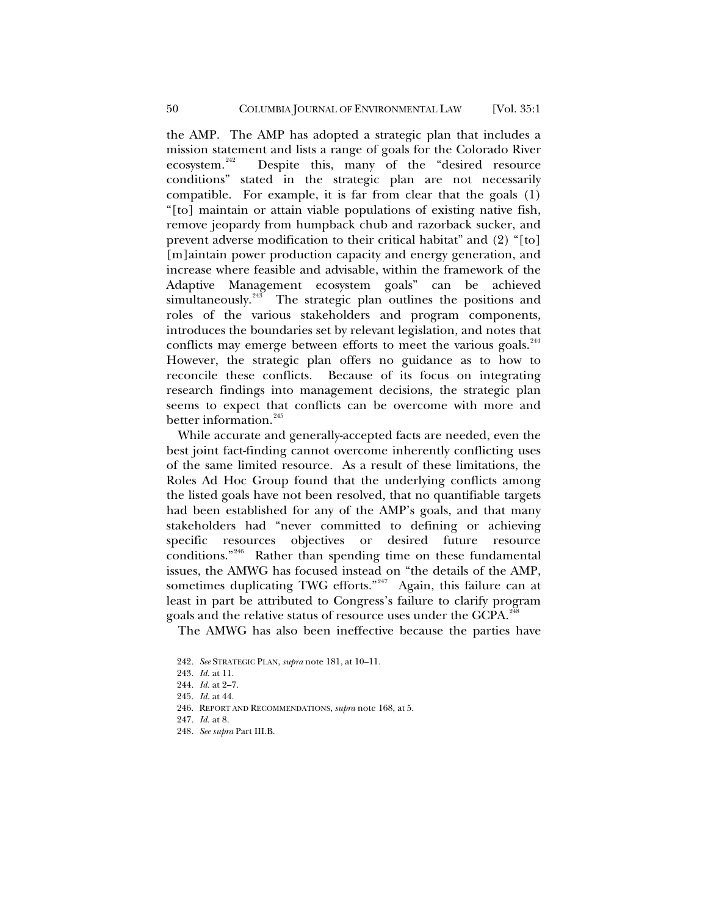the AMP. The AMP has adopted a strategic plan that includes a mission statement and lists a range of goals for the Colorado River<br>ecosystem.<sup>242</sup> Despite this, many of the "desired resource Despite this, many of the "desired resource conditions" stated in the strategic plan are not necessarily compatible. For example, it is far from clear that the goals (1) "[to] maintain or attain viable populations of existing native fish, remove jeopardy from humpback chub and razorback sucker, and prevent adverse modification to their critical habitat" and (2) "[to] [m]aintain power production capacity and energy generation, and increase where feasible and advisable, within the framework of the Adaptive Management ecosystem goals" can be achieved simultaneously.<sup>[243](#page-49-1)</sup> The strategic plan outlines the positions and roles of the various stakeholders and program components, introduces the boundaries set by relevant legislation, and notes that conflicts may emerge between efforts to meet the various goals.<sup>[244](#page-49-2)</sup> However, the strategic plan offers no guidance as to how to reconcile these conflicts. Because of its focus on integrating research findings into management decisions, the strategic plan seems to expect that conflicts can be overcome with more and better information.<sup>[245](#page-49-3)</sup>

While accurate and generally-accepted facts are needed, even the best joint fact-finding cannot overcome inherently conflicting uses of the same limited resource. As a result of these limitations, the Roles Ad Hoc Group found that the underlying conflicts among the listed goals have not been resolved, that no quantifiable targets had been established for any of the AMP's goals, and that many stakeholders had "never committed to defining or achieving specific resources objectives or desired future resource conditions."[246](#page-49-4) Rather than spending time on these fundamental issues, the AMWG has focused instead on "the details of the AMP, sometimes duplicating TWG efforts."<sup>[247](#page-49-5)</sup> Again, this failure can at least in part be attributed to Congress's failure to clarify program goals and the relative status of resource uses under the GCPA.<sup>[248](#page-49-6)</sup>

The AMWG has also been ineffective because the parties have

- <span id="page-49-4"></span>246. REPORT AND RECOMMENDATIONS, *supra* note 168, at 5.
- <span id="page-49-5"></span>247*. Id.* at 8.
- <span id="page-49-6"></span>248*. See supra* Part III.B.

<span id="page-49-1"></span><span id="page-49-0"></span><sup>242</sup>*. See* STRATEGIC PLAN, *supra* note 181, at 10–11.

<sup>243</sup>*. Id.* at 11.

<span id="page-49-2"></span><sup>244</sup>*. Id.* at 2–7.

<span id="page-49-3"></span><sup>245</sup>*. Id.* at 44.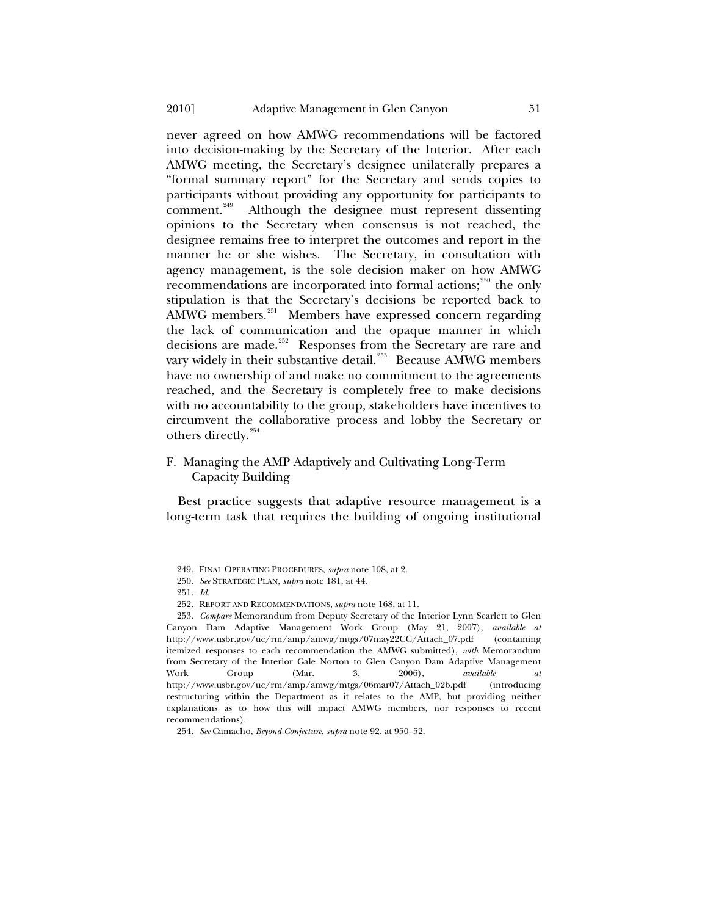<span id="page-50-0"></span>never agreed on how AMWG recommendations will be factored into decision-making by the Secretary of the Interior. After each AMWG meeting, the Secretary's designee unilaterally prepares a "formal summary report" for the Secretary and sends copies to participants without providing any opportunity for participants to comment.<sup>[249](#page-50-1)</sup> Although the designee must represent dissenting opinions to the Secretary when consensus is not reached, the designee remains free to interpret the outcomes and report in the manner he or she wishes. The Secretary, in consultation with agency management, is the sole decision maker on how AMWG recommendations are incorporated into formal actions; $^{250}$  $^{250}$  $^{250}$  the only stipulation is that the Secretary's decisions be reported back to AMWG members.<sup>[251](#page-50-3)</sup> Members have expressed concern regarding the lack of communication and the opaque manner in which decisions are made.<sup>[252](#page-50-4)</sup> Responses from the Secretary are rare and vary widely in their substantive detail.<sup>[253](#page-50-5)</sup> Because AMWG members have no ownership of and make no commitment to the agreements reached, and the Secretary is completely free to make decisions with no accountability to the group, stakeholders have incentives to circumvent the collaborative process and lobby the Secretary or others directly.<sup>[254](#page-50-6)</sup>

# F. Managing the AMP Adaptively and Cultivating Long-Term Capacity Building

Best practice suggests that adaptive resource management is a long-term task that requires the building of ongoing institutional

<span id="page-50-5"></span><span id="page-50-4"></span><span id="page-50-3"></span><span id="page-50-2"></span><span id="page-50-1"></span>253*. Compare* Memorandum from Deputy Secretary of the Interior Lynn Scarlett to Glen Canyon Dam Adaptive Management Work Group (May 21, 2007), *available at* http://www.usbr.gov/uc/rm/amp/amwg/mtgs/07may22CC/Attach\_07.pdf (containing itemized responses to each recommendation the AMWG submitted), *with* Memorandum from Secretary of the Interior Gale Norton to Glen Canyon Dam Adaptive Management Work Group (Mar. 3, 2006), *available at* http://www.usbr.gov/uc/rm/amp/amwg/mtgs/06mar07/Attach\_02b.pdf (introducing restructuring within the Department as it relates to the AMP, but providing neither explanations as to how this will impact AMWG members, nor responses to recent recommendations).

<sup>249.</sup> FINAL OPERATING PROCEDURES, *supra* note 108, at 2.

<sup>250</sup>*. See* STRATEGIC PLAN, *supra* note 181, at 44.

<sup>251</sup>*. Id.*

<sup>252.</sup> REPORT AND RECOMMENDATIONS, *supra* note 168, at 11.

<span id="page-50-6"></span><sup>254</sup>*. See* Camacho, *Beyond Conjecture*, *supra* note 92, at 950–52.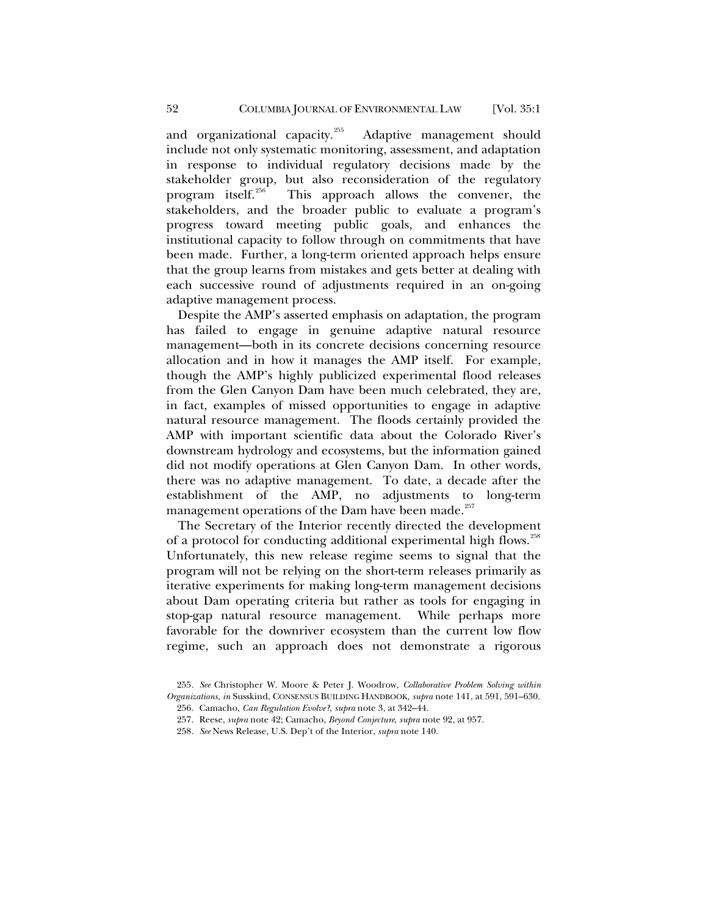and organizational capacity.<sup>[255](#page-51-0)</sup> Adaptive management should include not only systematic monitoring, assessment, and adaptation in response to individual regulatory decisions made by the stakeholder group, but also reconsideration of the regulatory<br>program itself.<sup>256</sup> This approach allows the convener, the This approach allows the convener, the stakeholders, and the broader public to evaluate a program's progress toward meeting public goals, and enhances the institutional capacity to follow through on commitments that have been made. Further, a long-term oriented approach helps ensure that the group learns from mistakes and gets better at dealing with each successive round of adjustments required in an on-going adaptive management process.

Despite the AMP's asserted emphasis on adaptation, the program has failed to engage in genuine adaptive natural resource management—both in its concrete decisions concerning resource allocation and in how it manages the AMP itself. For example, though the AMP's highly publicized experimental flood releases from the Glen Canyon Dam have been much celebrated, they are, in fact, examples of missed opportunities to engage in adaptive natural resource management. The floods certainly provided the AMP with important scientific data about the Colorado River's downstream hydrology and ecosystems, but the information gained did not modify operations at Glen Canyon Dam. In other words, there was no adaptive management. To date, a decade after the establishment of the AMP, no adjustments to long-term management operations of the Dam have been made.<sup>[257](#page-51-2)</sup>

The Secretary of the Interior recently directed the development of a protocol for conducting additional experimental high flows.<sup>[258](#page-51-3)</sup> Unfortunately, this new release regime seems to signal that the program will not be relying on the short-term releases primarily as iterative experiments for making long-term management decisions about Dam operating criteria but rather as tools for engaging in stop-gap natural resource management. While perhaps more favorable for the downriver ecosystem than the current low flow regime, such an approach does not demonstrate a rigorous

258*. See* News Release, U.S. Dep't of the Interior, *supra* note 140.

<span id="page-51-3"></span><span id="page-51-2"></span><span id="page-51-1"></span><span id="page-51-0"></span><sup>255</sup>*. See* Christopher W. Moore & Peter J. Woodrow, *Collaborative Problem Solving within Organizations*, *in* Susskind, CONSENSUS BUILDING HANDBOOK*, supra* note 141, at 591, 591–630.

<sup>256.</sup> Camacho, *Can Regulation Evolve?*, *supra* note 3, at 342–44.

<sup>257.</sup> Reese, *supra* note 42; Camacho, *Beyond Conjecture*, *supra* note 92, at 957.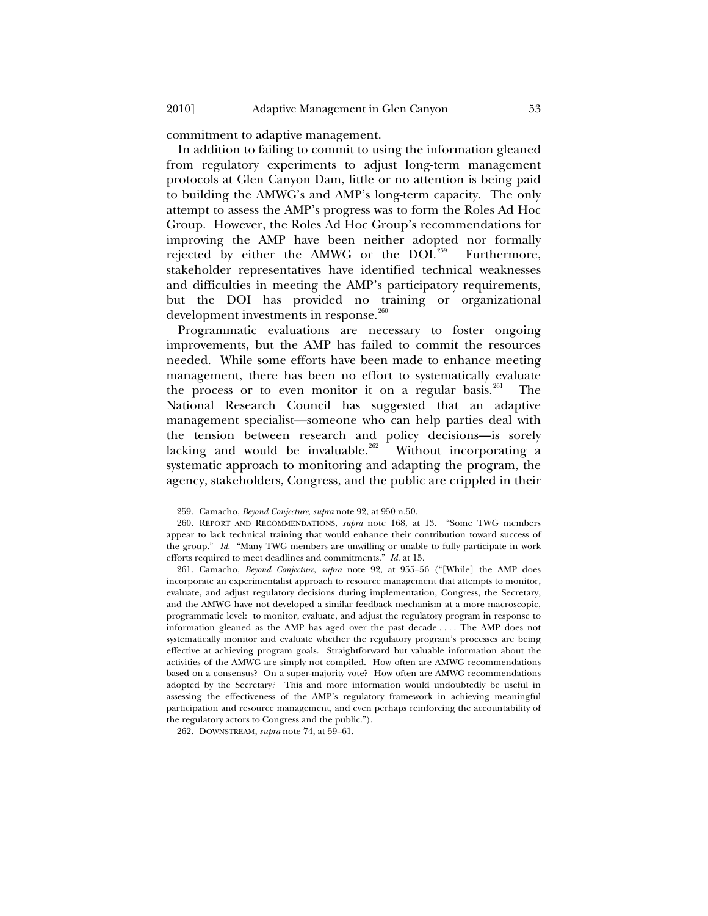commitment to adaptive management.

In addition to failing to commit to using the information gleaned from regulatory experiments to adjust long-term management protocols at Glen Canyon Dam, little or no attention is being paid to building the AMWG's and AMP's long-term capacity. The only attempt to assess the AMP's progress was to form the Roles Ad Hoc Group. However, the Roles Ad Hoc Group's recommendations for improving the AMP have been neither adopted nor formally rejected by either the AMWG or the DOI.<sup>[259](#page-52-0)</sup> Furthermore, stakeholder representatives have identified technical weaknesses and difficulties in meeting the AMP's participatory requirements, but the DOI has provided no training or organizational development investments in response.<sup>[260](#page-52-1)</sup>

Programmatic evaluations are necessary to foster ongoing improvements, but the AMP has failed to commit the resources needed. While some efforts have been made to enhance meeting management, there has been no effort to systematically evaluate the process or to even monitor it on a regular basis.<sup>[261](#page-52-2)</sup> The National Research Council has suggested that an adaptive management specialist—someone who can help parties deal with the tension between research and policy decisions—is sorely lacking and would be invaluable.<sup>[262](#page-52-3)</sup> Without incorporating a systematic approach to monitoring and adapting the program, the agency, stakeholders, Congress, and the public are crippled in their

<span id="page-52-2"></span>261. Camacho, *Beyond Conjecture*, *supra* note 92, at 955–56 ("[While] the AMP does incorporate an experimentalist approach to resource management that attempts to monitor, evaluate, and adjust regulatory decisions during implementation, Congress, the Secretary, and the AMWG have not developed a similar feedback mechanism at a more macroscopic, programmatic level: to monitor, evaluate, and adjust the regulatory program in response to information gleaned as the AMP has aged over the past decade . . . . The AMP does not systematically monitor and evaluate whether the regulatory program's processes are being effective at achieving program goals. Straightforward but valuable information about the activities of the AMWG are simply not compiled. How often are AMWG recommendations based on a consensus? On a super-majority vote? How often are AMWG recommendations adopted by the Secretary? This and more information would undoubtedly be useful in assessing the effectiveness of the AMP's regulatory framework in achieving meaningful participation and resource management, and even perhaps reinforcing the accountability of the regulatory actors to Congress and the public.").

<span id="page-52-3"></span>262. DOWNSTREAM, *supra* note 74, at 59–61.

<sup>259.</sup> Camacho, *Beyond Conjecture*, *supra* note 92, at 950 n.50.

<span id="page-52-1"></span><span id="page-52-0"></span><sup>260.</sup> REPORT AND RECOMMENDATIONS, *supra* note 168, at 13. "Some TWG members appear to lack technical training that would enhance their contribution toward success of the group." *Id.* "Many TWG members are unwilling or unable to fully participate in work efforts required to meet deadlines and commitments." *Id.* at 15.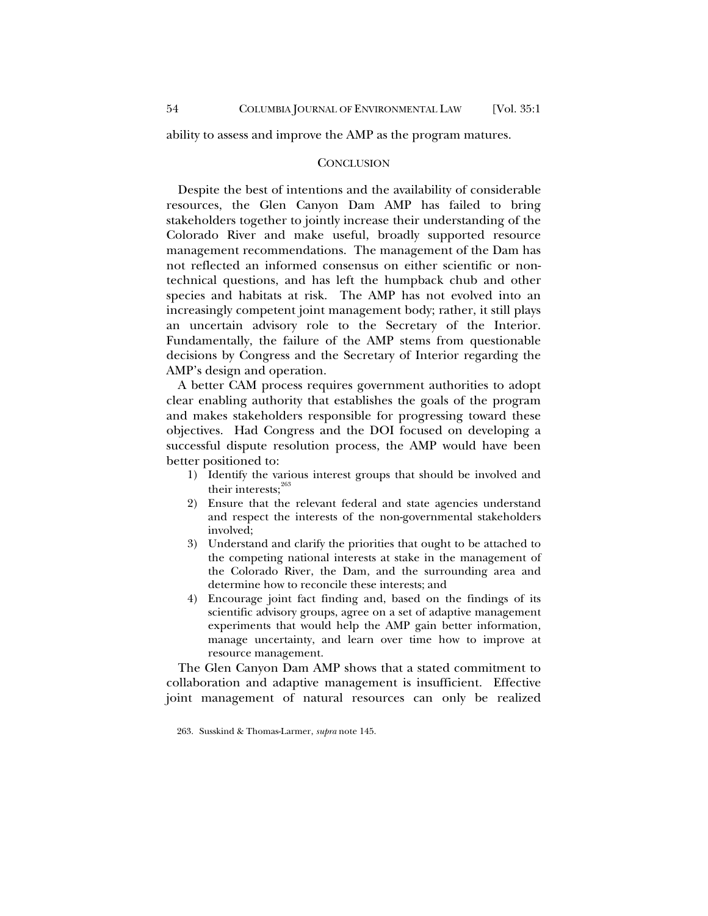<span id="page-53-0"></span>ability to assess and improve the AMP as the program matures.

### **CONCLUSION**

Despite the best of intentions and the availability of considerable resources, the Glen Canyon Dam AMP has failed to bring stakeholders together to jointly increase their understanding of the Colorado River and make useful, broadly supported resource management recommendations. The management of the Dam has not reflected an informed consensus on either scientific or nontechnical questions, and has left the humpback chub and other species and habitats at risk. The AMP has not evolved into an increasingly competent joint management body; rather, it still plays an uncertain advisory role to the Secretary of the Interior. Fundamentally, the failure of the AMP stems from questionable decisions by Congress and the Secretary of Interior regarding the AMP's design and operation.

A better CAM process requires government authorities to adopt clear enabling authority that establishes the goals of the program and makes stakeholders responsible for progressing toward these objectives. Had Congress and the DOI focused on developing a successful dispute resolution process, the AMP would have been better positioned to:

- 1) Identify the various interest groups that should be involved and their interests: $263$
- 2) Ensure that the relevant federal and state agencies understand and respect the interests of the non-governmental stakeholders involved;
- 3) Understand and clarify the priorities that ought to be attached to the competing national interests at stake in the management of the Colorado River, the Dam, and the surrounding area and determine how to reconcile these interests; and
- 4) Encourage joint fact finding and, based on the findings of its scientific advisory groups, agree on a set of adaptive management experiments that would help the AMP gain better information, manage uncertainty, and learn over time how to improve at resource management.

The Glen Canyon Dam AMP shows that a stated commitment to collaboration and adaptive management is insufficient. Effective joint management of natural resources can only be realized

<span id="page-53-1"></span><sup>263.</sup> Susskind & Thomas-Larmer, *supra* note 145.